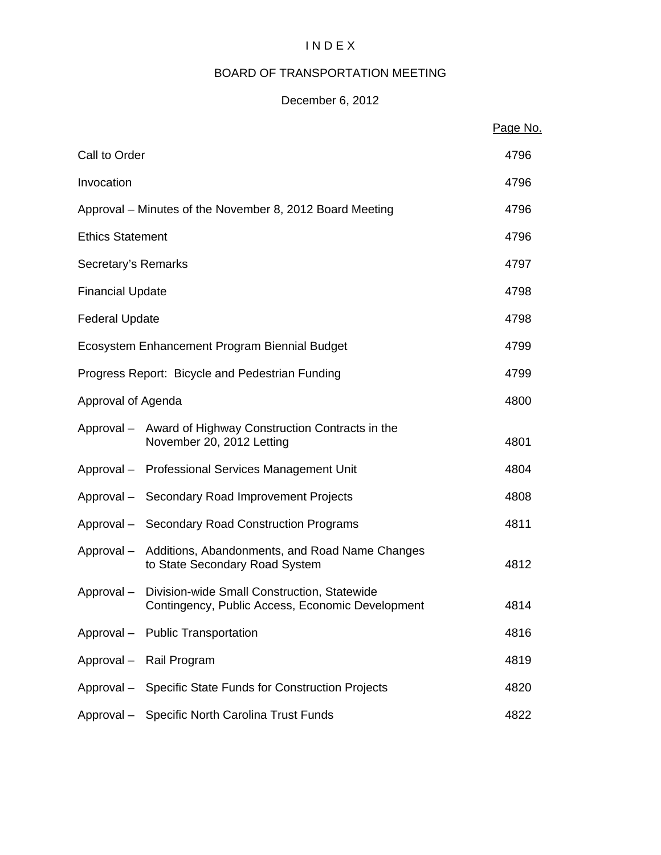# I N D E X

## BOARD OF TRANSPORTATION MEETING

# December 6, 2012

|                         |                                                                                                            | Page No. |
|-------------------------|------------------------------------------------------------------------------------------------------------|----------|
| Call to Order           |                                                                                                            | 4796     |
| Invocation              |                                                                                                            | 4796     |
|                         | Approval – Minutes of the November 8, 2012 Board Meeting                                                   | 4796     |
| <b>Ethics Statement</b> |                                                                                                            | 4796     |
| Secretary's Remarks     |                                                                                                            | 4797     |
| <b>Financial Update</b> |                                                                                                            | 4798     |
| <b>Federal Update</b>   |                                                                                                            | 4798     |
|                         | Ecosystem Enhancement Program Biennial Budget                                                              | 4799     |
|                         | Progress Report: Bicycle and Pedestrian Funding                                                            | 4799     |
| Approval of Agenda      |                                                                                                            | 4800     |
|                         | Approval - Award of Highway Construction Contracts in the<br>November 20, 2012 Letting                     | 4801     |
|                         | Approval - Professional Services Management Unit                                                           | 4804     |
|                         | Approval - Secondary Road Improvement Projects                                                             | 4808     |
|                         | Approval - Secondary Road Construction Programs                                                            | 4811     |
|                         | Approval – Additions, Abandonments, and Road Name Changes<br>to State Secondary Road System                | 4812     |
|                         | Approval - Division-wide Small Construction, Statewide<br>Contingency, Public Access, Economic Development | 4814     |
|                         | Approval - Public Transportation                                                                           | 4816     |
|                         | Approval - Rail Program                                                                                    | 4819     |
|                         | Approval - Specific State Funds for Construction Projects                                                  | 4820     |
|                         | Approval - Specific North Carolina Trust Funds                                                             | 4822     |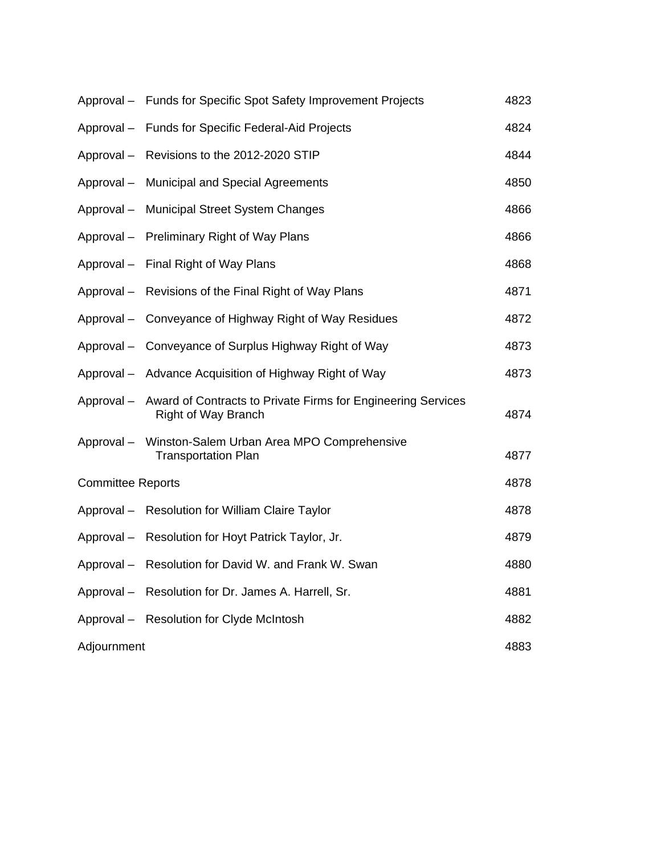|                          | Approval - Funds for Specific Spot Safety Improvement Projects                             | 4823 |
|--------------------------|--------------------------------------------------------------------------------------------|------|
| Approval-                | <b>Funds for Specific Federal-Aid Projects</b>                                             | 4824 |
| Approval-                | Revisions to the 2012-2020 STIP                                                            | 4844 |
| Approval-                | <b>Municipal and Special Agreements</b>                                                    | 4850 |
| Approval-                | <b>Municipal Street System Changes</b>                                                     | 4866 |
|                          | Approval - Preliminary Right of Way Plans                                                  | 4866 |
| Approval-                | Final Right of Way Plans                                                                   | 4868 |
| Approval-                | Revisions of the Final Right of Way Plans                                                  | 4871 |
| Approval-                | Conveyance of Highway Right of Way Residues                                                | 4872 |
| Approval-                | Conveyance of Surplus Highway Right of Way                                                 | 4873 |
|                          | Approval - Advance Acquisition of Highway Right of Way                                     | 4873 |
| Approval-                | Award of Contracts to Private Firms for Engineering Services<br><b>Right of Way Branch</b> | 4874 |
|                          | Approval - Winston-Salem Urban Area MPO Comprehensive<br><b>Transportation Plan</b>        | 4877 |
| <b>Committee Reports</b> |                                                                                            | 4878 |
|                          | Approval - Resolution for William Claire Taylor                                            | 4878 |
| Approval-                | Resolution for Hoyt Patrick Taylor, Jr.                                                    | 4879 |
|                          | Approval - Resolution for David W. and Frank W. Swan                                       | 4880 |
| Approval-                | Resolution for Dr. James A. Harrell, Sr.                                                   | 4881 |
|                          | Approval - Resolution for Clyde McIntosh                                                   | 4882 |
| Adjournment              |                                                                                            | 4883 |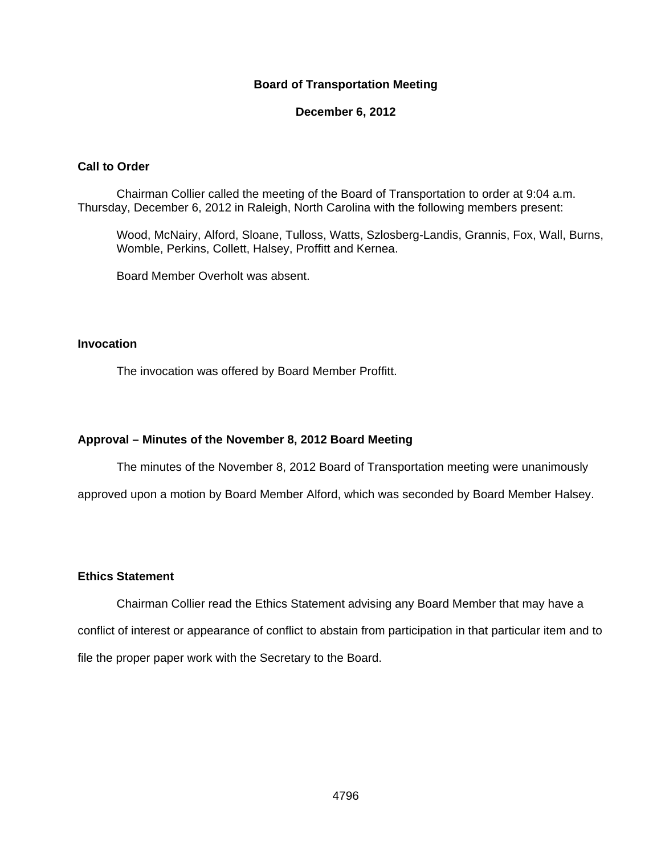### **Board of Transportation Meeting**

### **December 6, 2012**

### **Call to Order**

Chairman Collier called the meeting of the Board of Transportation to order at 9:04 a.m. Thursday, December 6, 2012 in Raleigh, North Carolina with the following members present:

Wood, McNairy, Alford, Sloane, Tulloss, Watts, Szlosberg-Landis, Grannis, Fox, Wall, Burns, Womble, Perkins, Collett, Halsey, Proffitt and Kernea.

Board Member Overholt was absent.

### **Invocation**

The invocation was offered by Board Member Proffitt.

### **Approval – Minutes of the November 8, 2012 Board Meeting**

The minutes of the November 8, 2012 Board of Transportation meeting were unanimously

approved upon a motion by Board Member Alford, which was seconded by Board Member Halsey.

### **Ethics Statement**

Chairman Collier read the Ethics Statement advising any Board Member that may have a conflict of interest or appearance of conflict to abstain from participation in that particular item and to file the proper paper work with the Secretary to the Board.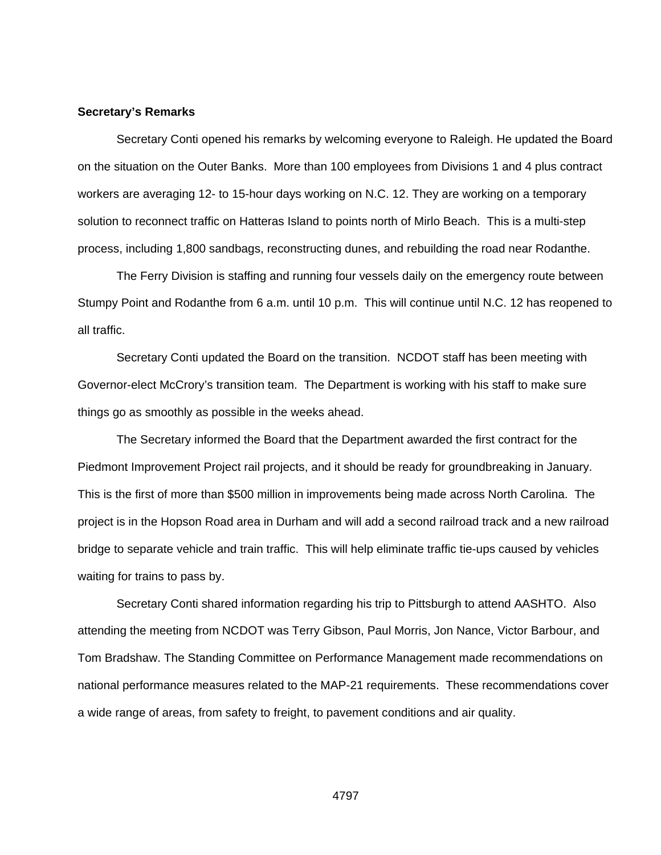#### **Secretary's Remarks**

Secretary Conti opened his remarks by welcoming everyone to Raleigh. He updated the Board on the situation on the Outer Banks. More than 100 employees from Divisions 1 and 4 plus contract workers are averaging 12- to 15-hour days working on N.C. 12. They are working on a temporary solution to reconnect traffic on Hatteras Island to points north of Mirlo Beach. This is a multi-step process, including 1,800 sandbags, reconstructing dunes, and rebuilding the road near Rodanthe.

The Ferry Division is staffing and running four vessels daily on the emergency route between Stumpy Point and Rodanthe from 6 a.m. until 10 p.m. This will continue until N.C. 12 has reopened to all traffic.

Secretary Conti updated the Board on the transition. NCDOT staff has been meeting with Governor-elect McCrory's transition team. The Department is working with his staff to make sure things go as smoothly as possible in the weeks ahead.

The Secretary informed the Board that the Department awarded the first contract for the Piedmont Improvement Project rail projects, and it should be ready for groundbreaking in January. This is the first of more than \$500 million in improvements being made across North Carolina. The project is in the Hopson Road area in Durham and will add a second railroad track and a new railroad bridge to separate vehicle and train traffic. This will help eliminate traffic tie-ups caused by vehicles waiting for trains to pass by.

Secretary Conti shared information regarding his trip to Pittsburgh to attend AASHTO. Also attending the meeting from NCDOT was Terry Gibson, Paul Morris, Jon Nance, Victor Barbour, and Tom Bradshaw. The Standing Committee on Performance Management made recommendations on national performance measures related to the MAP-21 requirements. These recommendations cover a wide range of areas, from safety to freight, to pavement conditions and air quality.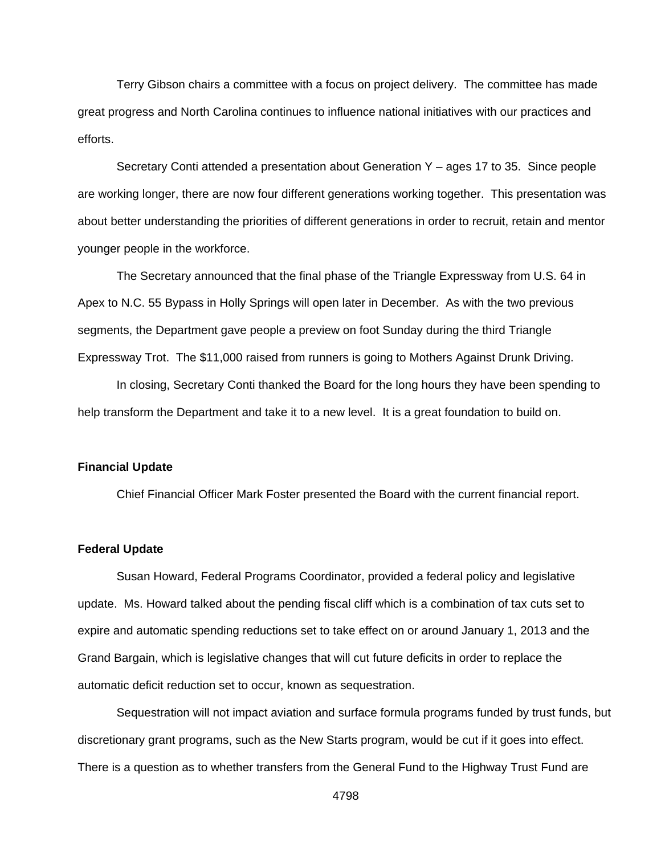Terry Gibson chairs a committee with a focus on project delivery. The committee has made great progress and North Carolina continues to influence national initiatives with our practices and efforts.

Secretary Conti attended a presentation about Generation Y – ages 17 to 35. Since people are working longer, there are now four different generations working together. This presentation was about better understanding the priorities of different generations in order to recruit, retain and mentor younger people in the workforce.

The Secretary announced that the final phase of the Triangle Expressway from U.S. 64 in Apex to N.C. 55 Bypass in Holly Springs will open later in December. As with the two previous segments, the Department gave people a preview on foot Sunday during the third Triangle Expressway Trot. The \$11,000 raised from runners is going to Mothers Against Drunk Driving.

In closing, Secretary Conti thanked the Board for the long hours they have been spending to help transform the Department and take it to a new level. It is a great foundation to build on.

#### **Financial Update**

Chief Financial Officer Mark Foster presented the Board with the current financial report.

### **Federal Update**

 Susan Howard, Federal Programs Coordinator, provided a federal policy and legislative update. Ms. Howard talked about the pending fiscal cliff which is a combination of tax cuts set to expire and automatic spending reductions set to take effect on or around January 1, 2013 and the Grand Bargain, which is legislative changes that will cut future deficits in order to replace the automatic deficit reduction set to occur, known as sequestration.

Sequestration will not impact aviation and surface formula programs funded by trust funds, but discretionary grant programs, such as the New Starts program, would be cut if it goes into effect. There is a question as to whether transfers from the General Fund to the Highway Trust Fund are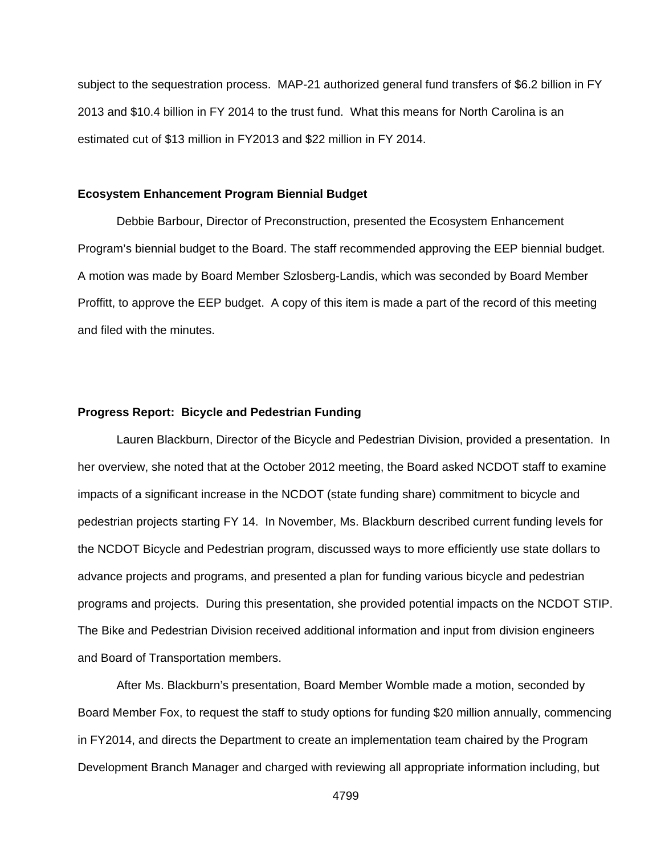subject to the sequestration process. MAP-21 authorized general fund transfers of \$6.2 billion in FY 2013 and \$10.4 billion in FY 2014 to the trust fund. What this means for North Carolina is an estimated cut of \$13 million in FY2013 and \$22 million in FY 2014.

#### **Ecosystem Enhancement Program Biennial Budget**

 Debbie Barbour, Director of Preconstruction, presented the Ecosystem Enhancement Program's biennial budget to the Board. The staff recommended approving the EEP biennial budget. A motion was made by Board Member Szlosberg-Landis, which was seconded by Board Member Proffitt, to approve the EEP budget. A copy of this item is made a part of the record of this meeting and filed with the minutes.

### **Progress Report: Bicycle and Pedestrian Funding**

 Lauren Blackburn, Director of the Bicycle and Pedestrian Division, provided a presentation. In her overview, she noted that at the October 2012 meeting, the Board asked NCDOT staff to examine impacts of a significant increase in the NCDOT (state funding share) commitment to bicycle and pedestrian projects starting FY 14. In November, Ms. Blackburn described current funding levels for the NCDOT Bicycle and Pedestrian program, discussed ways to more efficiently use state dollars to advance projects and programs, and presented a plan for funding various bicycle and pedestrian programs and projects. During this presentation, she provided potential impacts on the NCDOT STIP. The Bike and Pedestrian Division received additional information and input from division engineers and Board of Transportation members.

 After Ms. Blackburn's presentation, Board Member Womble made a motion, seconded by Board Member Fox, to request the staff to study options for funding \$20 million annually, commencing in FY2014, and directs the Department to create an implementation team chaired by the Program Development Branch Manager and charged with reviewing all appropriate information including, but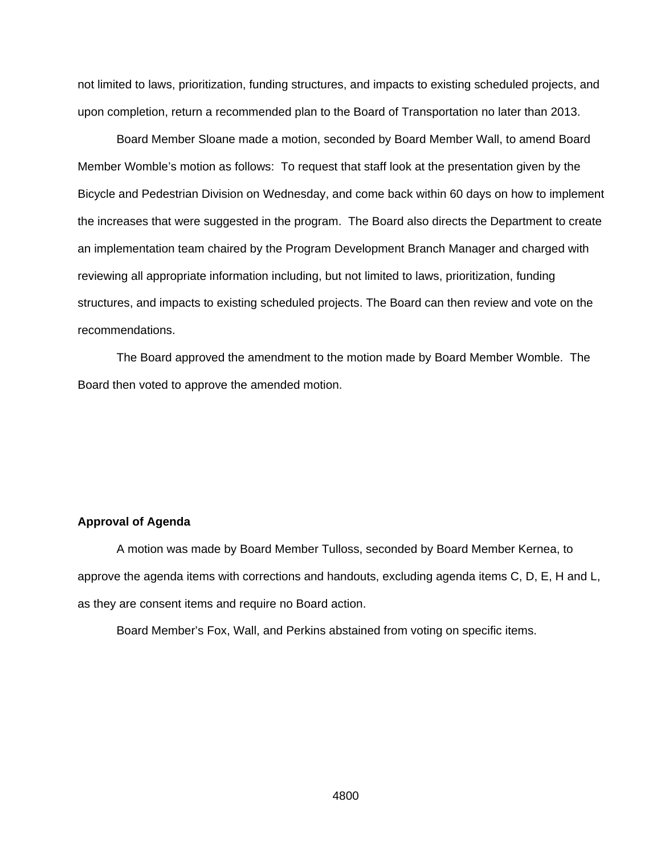not limited to laws, prioritization, funding structures, and impacts to existing scheduled projects, and upon completion, return a recommended plan to the Board of Transportation no later than 2013.

Board Member Sloane made a motion, seconded by Board Member Wall, to amend Board Member Womble's motion as follows: To request that staff look at the presentation given by the Bicycle and Pedestrian Division on Wednesday, and come back within 60 days on how to implement the increases that were suggested in the program. The Board also directs the Department to create an implementation team chaired by the Program Development Branch Manager and charged with reviewing all appropriate information including, but not limited to laws, prioritization, funding structures, and impacts to existing scheduled projects. The Board can then review and vote on the recommendations.

 The Board approved the amendment to the motion made by Board Member Womble. The Board then voted to approve the amended motion.

### **Approval of Agenda**

 A motion was made by Board Member Tulloss, seconded by Board Member Kernea, to approve the agenda items with corrections and handouts, excluding agenda items C, D, E, H and L, as they are consent items and require no Board action.

Board Member's Fox, Wall, and Perkins abstained from voting on specific items.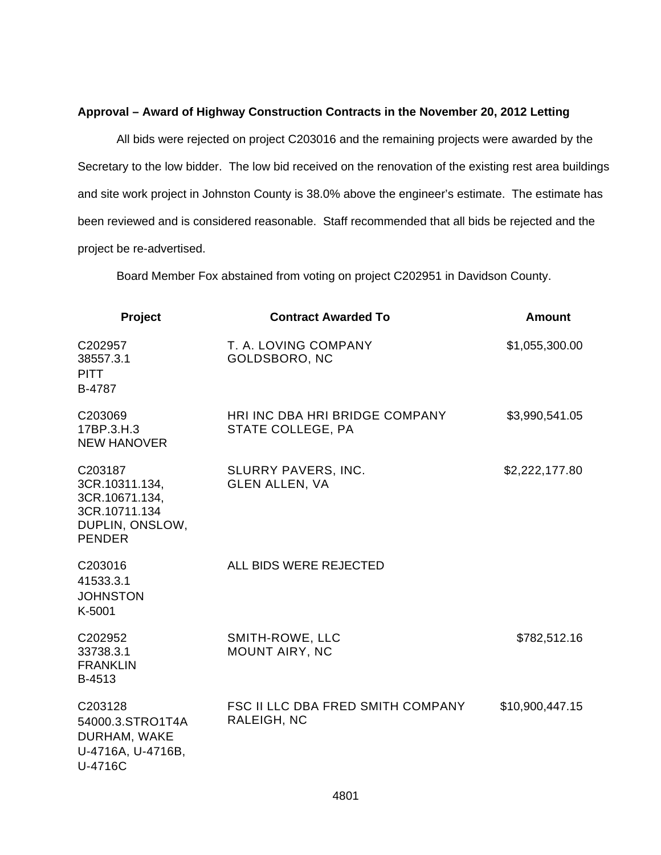### **Approval – Award of Highway Construction Contracts in the November 20, 2012 Letting**

All bids were rejected on project C203016 and the remaining projects were awarded by the Secretary to the low bidder. The low bid received on the renovation of the existing rest area buildings and site work project in Johnston County is 38.0% above the engineer's estimate. The estimate has been reviewed and is considered reasonable. Staff recommended that all bids be rejected and the project be re-advertised.

Board Member Fox abstained from voting on project C202951 in Davidson County.

| Project                                                                                          | <b>Contract Awarded To</b>                              | <b>Amount</b>   |
|--------------------------------------------------------------------------------------------------|---------------------------------------------------------|-----------------|
| C202957<br>38557.3.1<br><b>PITT</b><br>B-4787                                                    | T. A. LOVING COMPANY<br>GOLDSBORO, NC                   | \$1,055,300.00  |
| C203069<br>17BP.3.H.3<br><b>NEW HANOVER</b>                                                      | HRI INC DBA HRI BRIDGE COMPANY<br>STATE COLLEGE, PA     | \$3,990,541.05  |
| C203187<br>3CR.10311.134,<br>3CR.10671.134,<br>3CR.10711.134<br>DUPLIN, ONSLOW,<br><b>PENDER</b> | SLURRY PAVERS, INC.<br><b>GLEN ALLEN, VA</b>            | \$2,222,177.80  |
| C203016<br>41533.3.1<br><b>JOHNSTON</b><br>K-5001                                                | ALL BIDS WERE REJECTED                                  |                 |
| C202952<br>33738.3.1<br><b>FRANKLIN</b><br>B-4513                                                | SMITH-ROWE, LLC<br>MOUNT AIRY, NC                       | \$782,512.16    |
| C203128<br>54000.3.STRO1T4A<br>DURHAM, WAKE<br>U-4716A, U-4716B,<br>U-4716C                      | <b>FSC II LLC DBA FRED SMITH COMPANY</b><br>RALEIGH, NC | \$10,900,447.15 |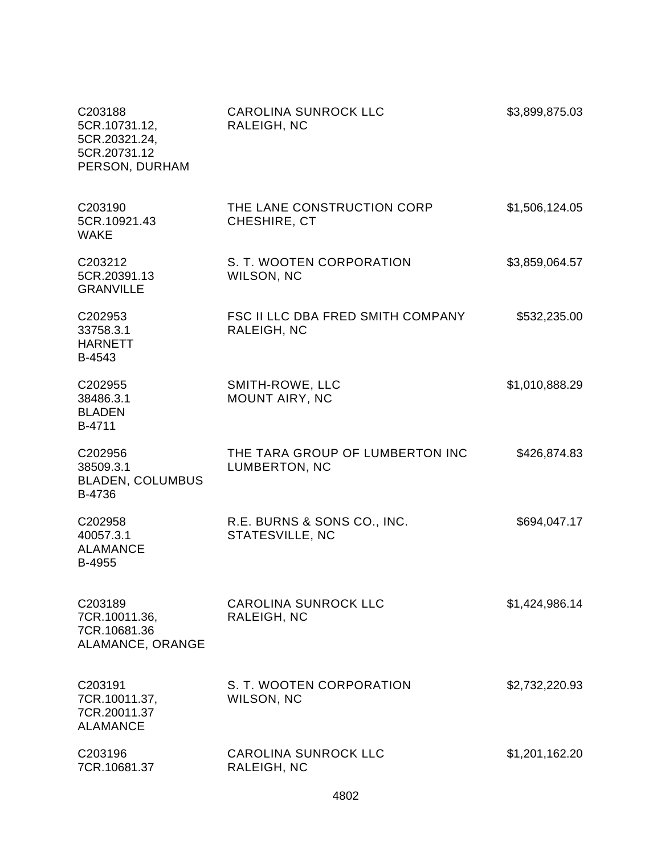| C203188<br>5CR.10731.12,<br>5CR.20321.24,<br>5CR.20731.12<br>PERSON, DURHAM | <b>CAROLINA SUNROCK LLC</b><br>RALEIGH, NC       | \$3,899,875.03 |
|-----------------------------------------------------------------------------|--------------------------------------------------|----------------|
| C203190<br>5CR.10921.43<br><b>WAKE</b>                                      | THE LANE CONSTRUCTION CORP<br>CHESHIRE, CT       | \$1,506,124.05 |
| C203212<br>5CR.20391.13<br><b>GRANVILLE</b>                                 | S. T. WOOTEN CORPORATION<br>WILSON, NC           | \$3,859,064.57 |
| C202953<br>33758.3.1<br><b>HARNETT</b><br>B-4543                            | FSC II LLC DBA FRED SMITH COMPANY<br>RALEIGH, NC | \$532,235.00   |
| C202955<br>38486.3.1<br><b>BLADEN</b><br>B-4711                             | SMITH-ROWE, LLC<br>MOUNT AIRY, NC                | \$1,010,888.29 |
| C202956<br>38509.3.1<br><b>BLADEN, COLUMBUS</b><br>B-4736                   | THE TARA GROUP OF LUMBERTON INC<br>LUMBERTON, NC | \$426,874.83   |
| C202958<br>40057.3.1<br><b>ALAMANCE</b><br>B-4955                           | R.E. BURNS & SONS CO., INC.<br>STATESVILLE, NC   | \$694,047.17   |
| C203189<br>7CR.10011.36,<br>7CR.10681.36<br>ALAMANCE, ORANGE                | <b>CAROLINA SUNROCK LLC</b><br>RALEIGH, NC       | \$1,424,986.14 |
| C203191<br>7CR.10011.37,<br>7CR.20011.37<br><b>ALAMANCE</b>                 | S. T. WOOTEN CORPORATION<br>WILSON, NC           | \$2,732,220.93 |
| C203196<br>7CR.10681.37                                                     | <b>CAROLINA SUNROCK LLC</b><br>RALEIGH, NC       | \$1,201,162.20 |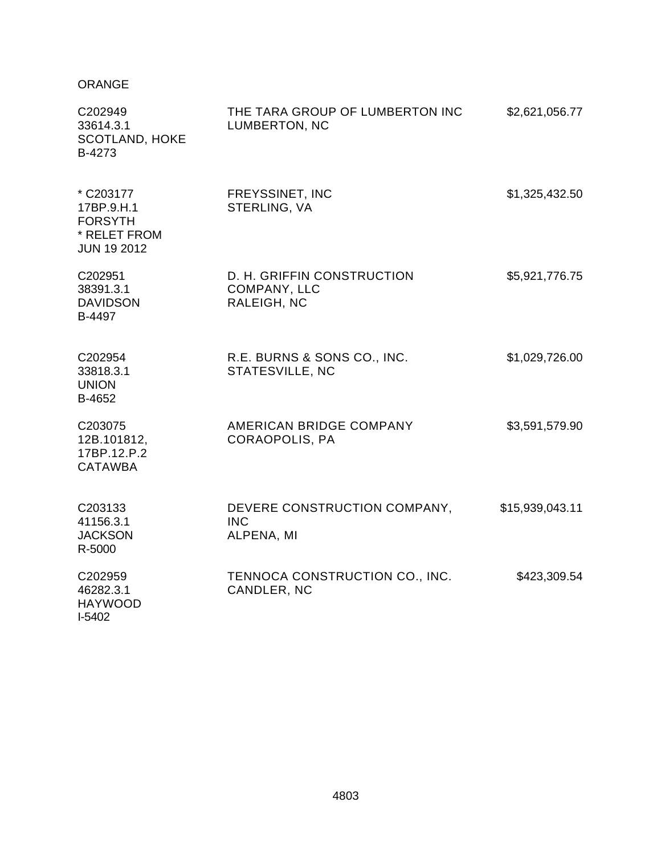## ORANGE

| C202949<br>33614.3.1<br><b>SCOTLAND, HOKE</b><br>B-4273                         | THE TARA GROUP OF LUMBERTON INC<br>LUMBERTON, NC          | \$2,621,056.77  |
|---------------------------------------------------------------------------------|-----------------------------------------------------------|-----------------|
| * C203177<br>17BP.9.H.1<br><b>FORSYTH</b><br>* RELET FROM<br><b>JUN 19 2012</b> | FREYSSINET, INC<br>STERLING, VA                           | \$1,325,432.50  |
| C202951<br>38391.3.1<br><b>DAVIDSON</b><br>B-4497                               | D. H. GRIFFIN CONSTRUCTION<br>COMPANY, LLC<br>RALEIGH, NC | \$5,921,776.75  |
| C202954<br>33818.3.1<br><b>UNION</b><br>B-4652                                  | R.E. BURNS & SONS CO., INC.<br>STATESVILLE, NC            | \$1,029,726.00  |
| C203075<br>12B.101812,<br>17BP.12.P.2<br><b>CATAWBA</b>                         | AMERICAN BRIDGE COMPANY<br>CORAOPOLIS, PA                 | \$3,591,579.90  |
| C203133<br>41156.3.1<br><b>JACKSON</b><br>R-5000                                | DEVERE CONSTRUCTION COMPANY,<br><b>INC</b><br>ALPENA, MI  | \$15,939,043.11 |
| C202959<br>46282.3.1<br><b>HAYWOOD</b><br>$I-5402$                              | TENNOCA CONSTRUCTION CO., INC.<br>CANDLER, NC             | \$423,309.54    |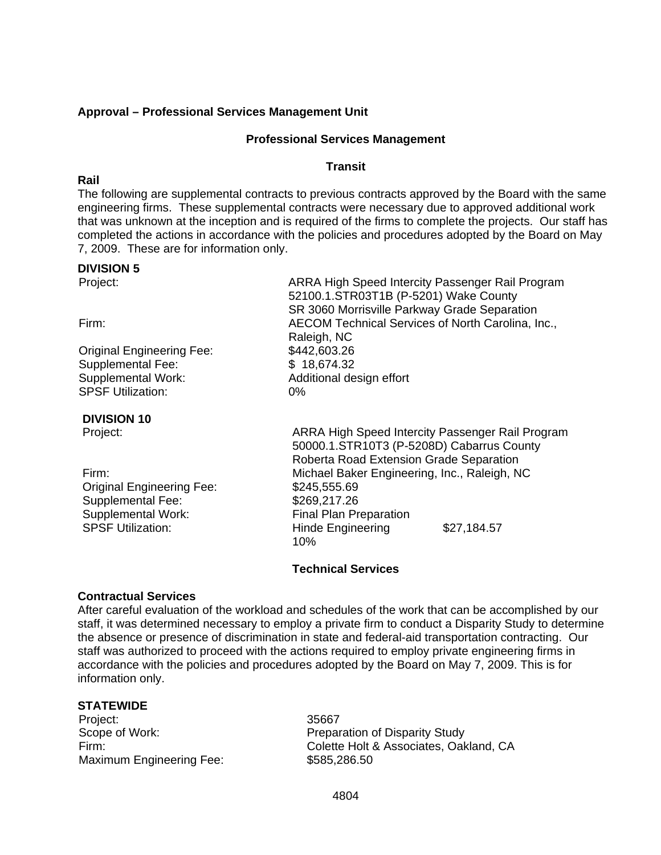## **Approval – Professional Services Management Unit**

### **Professional Services Management**

### **Transit**

**Rail** 

The following are supplemental contracts to previous contracts approved by the Board with the same engineering firms. These supplemental contracts were necessary due to approved additional work that was unknown at the inception and is required of the firms to complete the projects. Our staff has completed the actions in accordance with the policies and procedures adopted by the Board on May 7, 2009. These are for information only.

### **DIVISION 5**

Original Engineering Fee: \$442,603.26

Supplemental Fee: \$ 18.674.32 Supplemental Work: Additional design effort SPSF Utilization: 0%

## **DIVISION 10**

Original Engineering Fee: \$245,555.69 Supplemental Fee: \$269,217.26<br>Supplemental Work: \$150 Final Plan Pr

Project: ARRA High Speed Intercity Passenger Rail Program 52100.1.STR03T1B (P-5201) Wake County SR 3060 Morrisville Parkway Grade Separation Firm: AECOM Technical Services of North Carolina, Inc., Raleigh, NC

Project: ARRA High Speed Intercity Passenger Rail Program 50000.1.STR10T3 (P-5208D) Cabarrus County Roberta Road Extension Grade Separation Firm: Michael Baker Engineering, Inc., Raleigh, NC **Final Plan Preparation** SPSF Utilization: The Hinde Engineering \$27,184.57 10%

## **Technical Services**

## **Contractual Services**

After careful evaluation of the workload and schedules of the work that can be accomplished by our staff, it was determined necessary to employ a private firm to conduct a Disparity Study to determine the absence or presence of discrimination in state and federal-aid transportation contracting. Our staff was authorized to proceed with the actions required to employ private engineering firms in accordance with the policies and procedures adopted by the Board on May 7, 2009. This is for information only.

## **STATEWIDE**

Project: 35667 Maximum Engineering Fee: \$585,286.50

Scope of Work: example a preparation of Disparity Study Firm: Colette Holt & Associates, Oakland, CA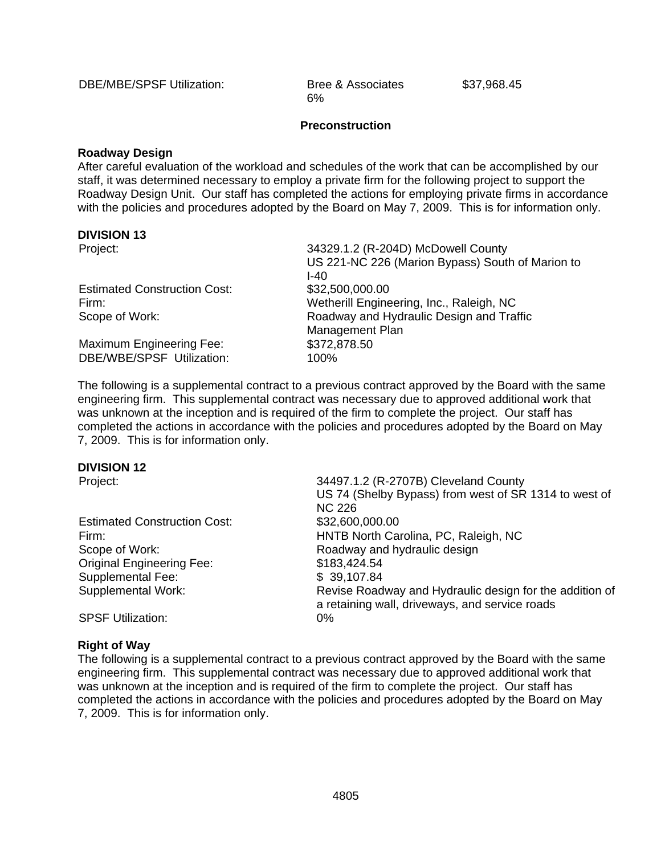DBE/MBE/SPSF Utilization: Bree & Associates \$37,968.45

6%

### **Preconstruction**

### **Roadway Design**

After careful evaluation of the workload and schedules of the work that can be accomplished by our staff, it was determined necessary to employ a private firm for the following project to support the Roadway Design Unit. Our staff has completed the actions for employing private firms in accordance with the policies and procedures adopted by the Board on May 7, 2009. This is for information only.

### **DIVISION 13**

| Project:                            | 34329.1.2 (R-204D) McDowell County               |
|-------------------------------------|--------------------------------------------------|
|                                     | US 221-NC 226 (Marion Bypass) South of Marion to |
|                                     | I-40                                             |
| <b>Estimated Construction Cost:</b> | \$32,500,000.00                                  |
| Firm:                               | Wetherill Engineering, Inc., Raleigh, NC         |
| Scope of Work:                      | Roadway and Hydraulic Design and Traffic         |
|                                     | Management Plan                                  |
| Maximum Engineering Fee:            | \$372,878.50                                     |
| DBE/WBE/SPSF Utilization:           | 100%                                             |

The following is a supplemental contract to a previous contract approved by the Board with the same engineering firm. This supplemental contract was necessary due to approved additional work that was unknown at the inception and is required of the firm to complete the project. Our staff has completed the actions in accordance with the policies and procedures adopted by the Board on May 7, 2009. This is for information only.

### **DIVISION 12**

Estimated Construction Cost: \$32,600,000.00 Original Engineering Fee: Supplemental Fee: Supplemental Work:

Project: 34497.1.2 (R-2707B) Cleveland County US 74 (Shelby Bypass) from west of SR 1314 to west of NC 226 Firm: HNTB North Carolina, PC, Raleigh, NC Scope of Work: Scope of Work: Roadway and hydraulic design \$183,424.54 \$ 39,107.84 Revise Roadway and Hydraulic design for the addition of a retaining wall, driveways, and service roads

SPSF Utilization: 0%

### **Right of Way**

The following is a supplemental contract to a previous contract approved by the Board with the same engineering firm. This supplemental contract was necessary due to approved additional work that was unknown at the inception and is required of the firm to complete the project. Our staff has completed the actions in accordance with the policies and procedures adopted by the Board on May 7, 2009. This is for information only.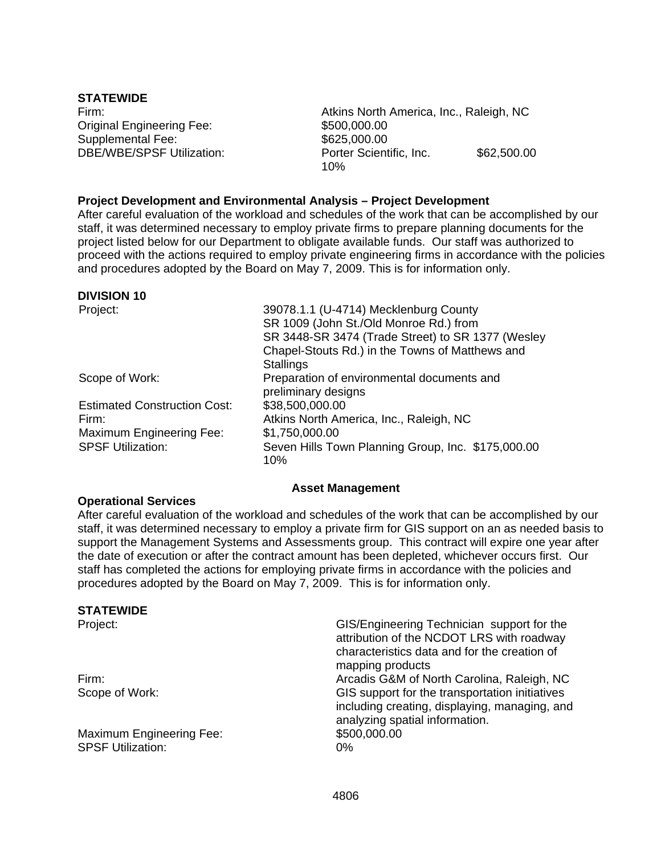**STATEWIDE**  Original Engineering Fee: \$500,000.00 Supplemental Fee: DBE/WBE/SPSF Utilization:

Firm: Atkins North America, Inc., Raleigh, NC \$625,000.00 Porter Scientific, Inc. \$62,500.00 10%

### **Project Development and Environmental Analysis – Project Development**

After careful evaluation of the workload and schedules of the work that can be accomplished by our staff, it was determined necessary to employ private firms to prepare planning documents for the project listed below for our Department to obligate available funds. Our staff was authorized to proceed with the actions required to employ private engineering firms in accordance with the policies and procedures adopted by the Board on May 7, 2009. This is for information only.

### **DIVISION 10**

Project: 39078.1.1 (U-4714) Mecklenburg County SR 1009 (John St./Old Monroe Rd.) from SR 3448-SR 3474 (Trade Street) to SR 1377 (Wesley Chapel-Stouts Rd.) in the Towns of Matthews and **Stallings** Scope of Work: Preparation of environmental documents and preliminary designs Estimated Construction Cost: \$38,500,000.00 Firm: Atkins North America, Inc., Raleigh, NC Maximum Engineering Fee: \$1,750,000.00 SPSF Utilization: Seven Hills Town Planning Group, Inc. \$175,000.00 10%

### **Asset Management**

### **Operational Services**

After careful evaluation of the workload and schedules of the work that can be accomplished by our staff, it was determined necessary to employ a private firm for GIS support on an as needed basis to support the Management Systems and Assessments group. This contract will expire one year after the date of execution or after the contract amount has been depleted, whichever occurs first. Our staff has completed the actions for employing private firms in accordance with the policies and procedures adopted by the Board on May 7, 2009. This is for information only.

### **STATEWIDE**

Project: GIS/Engineering Technician support for the attribution of the NCDOT LRS with roadway characteristics data and for the creation of mapping products Firm: Arcadis G&M of North Carolina, Raleigh, NC Scope of Work: GIS support for the transportation initiatives including creating, displaying, managing, and analyzing spatial information. Maximum Engineering Fee: \$500,000.000 SPSF Utilization: 0%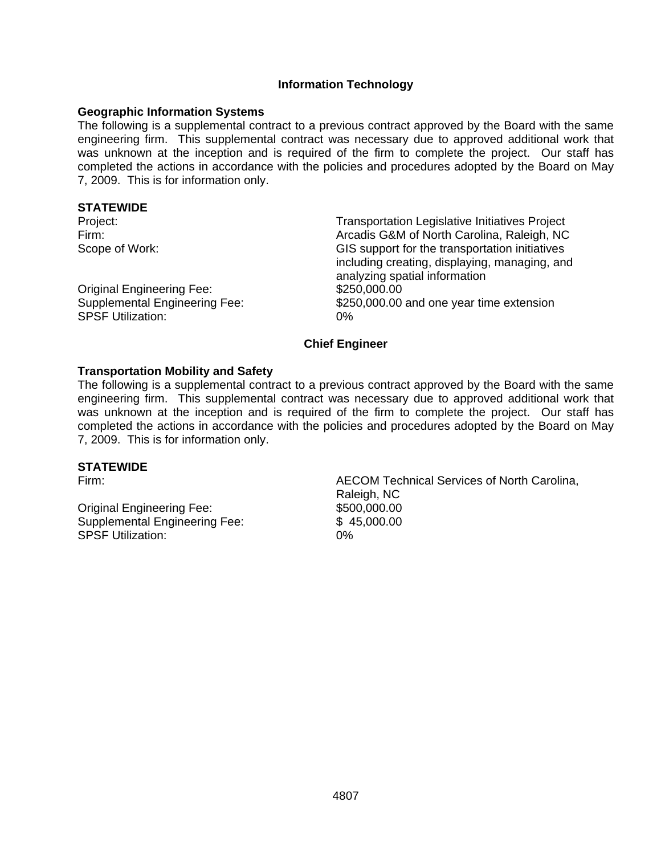### **Information Technology**

### **Geographic Information Systems**

The following is a supplemental contract to a previous contract approved by the Board with the same engineering firm. This supplemental contract was necessary due to approved additional work that was unknown at the inception and is required of the firm to complete the project. Our staff has completed the actions in accordance with the policies and procedures adopted by the Board on May 7, 2009. This is for information only.

### **STATEWIDE**

| Project:                             | <b>Transportation Legislative Initiatives Project</b> |
|--------------------------------------|-------------------------------------------------------|
| Firm:                                | Arcadis G&M of North Carolina, Raleigh, NC            |
| Scope of Work:                       | GIS support for the transportation initiatives        |
|                                      | including creating, displaying, managing, and         |
|                                      | analyzing spatial information                         |
| <b>Original Engineering Fee:</b>     | \$250,000.00                                          |
| <b>Supplemental Engineering Fee:</b> | \$250,000.00 and one year time extension              |
| <b>SPSF Utilization:</b>             | 0%                                                    |

### **Chief Engineer**

### **Transportation Mobility and Safety**

The following is a supplemental contract to a previous contract approved by the Board with the same engineering firm. This supplemental contract was necessary due to approved additional work that was unknown at the inception and is required of the firm to complete the project. Our staff has completed the actions in accordance with the policies and procedures adopted by the Board on May 7, 2009. This is for information only.

### **STATEWIDE**

Original Engineering Fee: \$500,000.00 Supplemental Engineering Fee: \$ 45,000.00 SPSF Utilization: 0%

Firm: AECOM Technical Services of North Carolina, Raleigh, NC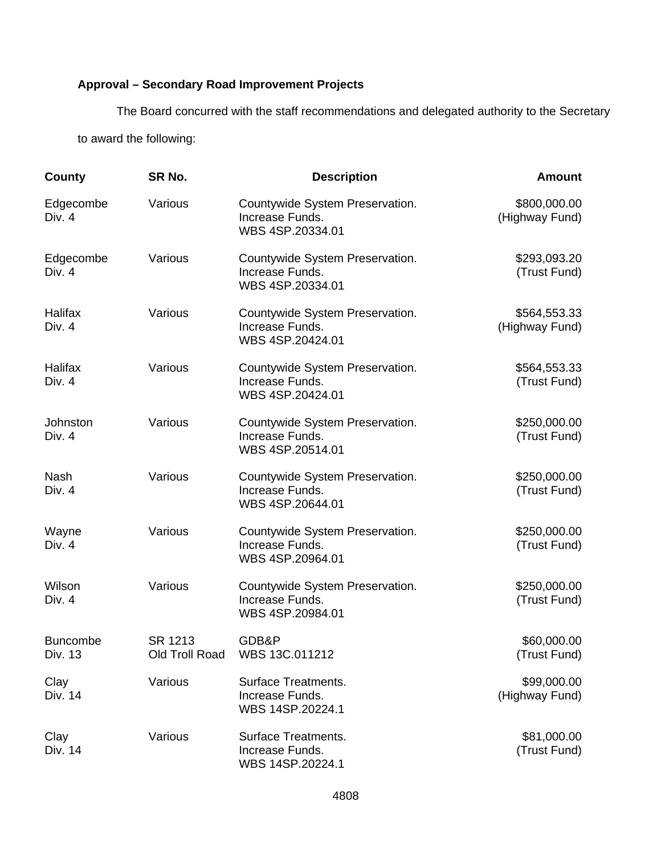# **Approval – Secondary Road Improvement Projects**

The Board concurred with the staff recommendations and delegated authority to the Secretary to award the following:

| County                     | SR No.                    | <b>Description</b>                                                     | <b>Amount</b>                  |
|----------------------------|---------------------------|------------------------------------------------------------------------|--------------------------------|
| Edgecombe<br>Div. 4        | Various                   | Countywide System Preservation.<br>Increase Funds.<br>WBS 4SP.20334.01 | \$800,000.00<br>(Highway Fund) |
| Edgecombe<br>Div. 4        | Various                   | Countywide System Preservation.<br>Increase Funds.<br>WBS 4SP.20334.01 | \$293,093.20<br>(Trust Fund)   |
| Halifax<br>Div. 4          | Various                   | Countywide System Preservation.<br>Increase Funds.<br>WBS 4SP.20424.01 | \$564,553.33<br>(Highway Fund) |
| Halifax<br>Div. 4          | Various                   | Countywide System Preservation.<br>Increase Funds.<br>WBS 4SP.20424.01 | \$564,553.33<br>(Trust Fund)   |
| Johnston<br>Div. 4         | Various                   | Countywide System Preservation.<br>Increase Funds.<br>WBS 4SP.20514.01 | \$250,000.00<br>(Trust Fund)   |
| <b>Nash</b><br>Div. 4      | Various                   | Countywide System Preservation.<br>Increase Funds.<br>WBS 4SP.20644.01 | \$250,000.00<br>(Trust Fund)   |
| Wayne<br>Div. 4            | Various                   | Countywide System Preservation.<br>Increase Funds.<br>WBS 4SP.20964.01 | \$250,000.00<br>(Trust Fund)   |
| Wilson<br>Div. 4           | Various                   | Countywide System Preservation.<br>Increase Funds.<br>WBS 4SP.20984.01 | \$250,000.00<br>(Trust Fund)   |
| <b>Buncombe</b><br>Div. 13 | SR 1213<br>Old Troll Road | GDB&P<br>WBS 13C.011212                                                | \$60,000.00<br>(Trust Fund)    |
| Clay<br>Div. 14            | Various                   | <b>Surface Treatments.</b><br>Increase Funds.<br>WBS 14SP.20224.1      | \$99,000.00<br>(Highway Fund)  |
| Clay<br>Div. 14            | Various                   | <b>Surface Treatments.</b><br>Increase Funds.<br>WBS 14SP.20224.1      | \$81,000.00<br>(Trust Fund)    |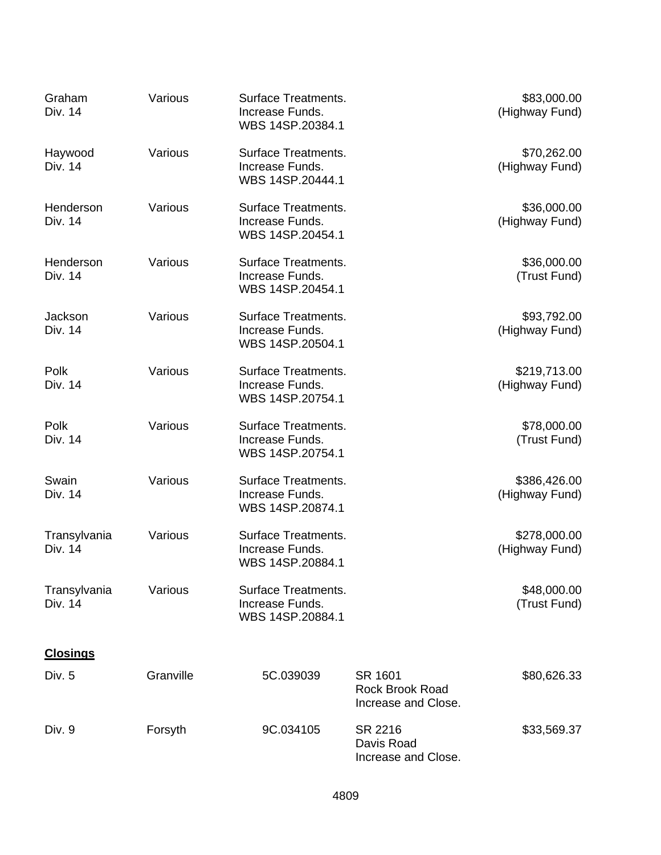| Graham<br>Div. 14       | Various   | Surface Treatments.<br>Increase Funds.<br>WBS 14SP.20384.1        |                                                          | \$83,000.00<br>(Highway Fund)  |
|-------------------------|-----------|-------------------------------------------------------------------|----------------------------------------------------------|--------------------------------|
| Haywood<br>Div. 14      | Various   | <b>Surface Treatments.</b><br>Increase Funds.<br>WBS 14SP.20444.1 |                                                          | \$70,262.00<br>(Highway Fund)  |
| Henderson<br>Div. 14    | Various   | Surface Treatments.<br>Increase Funds.<br>WBS 14SP.20454.1        |                                                          | \$36,000.00<br>(Highway Fund)  |
| Henderson<br>Div. 14    | Various   | Surface Treatments.<br>Increase Funds.<br>WBS 14SP.20454.1        |                                                          | \$36,000.00<br>(Trust Fund)    |
| Jackson<br>Div. 14      | Various   | <b>Surface Treatments.</b><br>Increase Funds.<br>WBS 14SP.20504.1 |                                                          | \$93,792.00<br>(Highway Fund)  |
| Polk<br>Div. 14         | Various   | <b>Surface Treatments.</b><br>Increase Funds.<br>WBS 14SP.20754.1 |                                                          | \$219,713.00<br>(Highway Fund) |
| Polk<br>Div. 14         | Various   | <b>Surface Treatments.</b><br>Increase Funds.<br>WBS 14SP.20754.1 |                                                          | \$78,000.00<br>(Trust Fund)    |
| Swain<br>Div. 14        | Various   | Surface Treatments.<br>Increase Funds.<br>WBS 14SP.20874.1        |                                                          | \$386,426.00<br>(Highway Fund) |
| Transylvania<br>Div. 14 | Various   | <b>Surface Treatments.</b><br>Increase Funds.<br>WBS 14SP.20884.1 |                                                          | \$278,000.00<br>(Highway Fund) |
| Transylvania<br>Div. 14 | Various   | <b>Surface Treatments.</b><br>Increase Funds.<br>WBS 14SP.20884.1 |                                                          | \$48,000.00<br>(Trust Fund)    |
| <b>Closings</b>         |           |                                                                   |                                                          |                                |
| Div. 5                  | Granville | 5C.039039                                                         | SR 1601<br><b>Rock Brook Road</b><br>Increase and Close. | \$80,626.33                    |
| Div. 9                  | Forsyth   | 9C.034105                                                         | SR 2216<br>Davis Road<br>Increase and Close.             | \$33,569.37                    |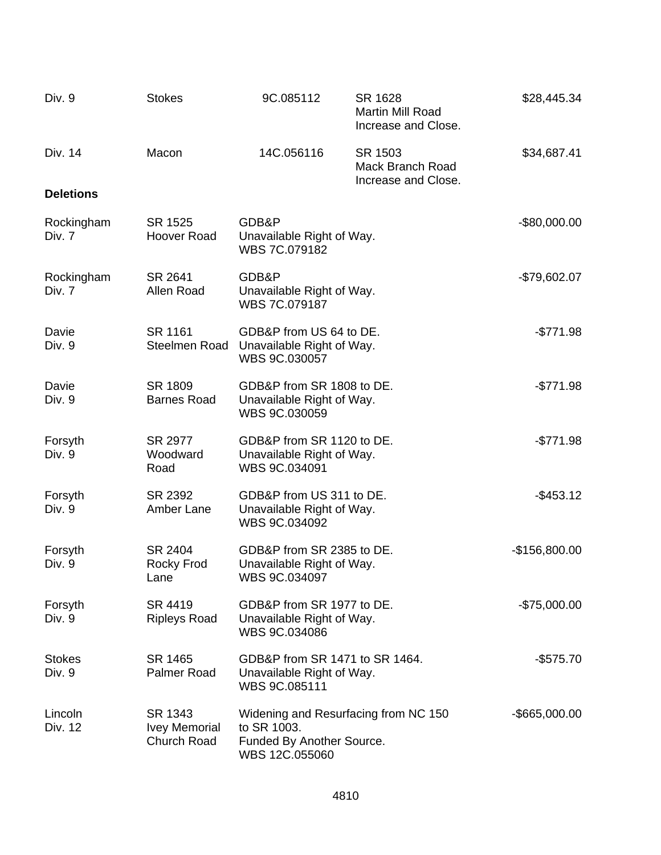| Div. 9                  | <b>Stokes</b>                                  | 9C.085112                                                                                          | SR 1628<br>Martin Mill Road<br>Increase and Close.        | \$28,445.34      |
|-------------------------|------------------------------------------------|----------------------------------------------------------------------------------------------------|-----------------------------------------------------------|------------------|
| Div. 14                 | Macon                                          | 14C.056116                                                                                         | SR 1503<br><b>Mack Branch Road</b><br>Increase and Close. | \$34,687.41      |
| <b>Deletions</b>        |                                                |                                                                                                    |                                                           |                  |
| Rockingham<br>Div. 7    | SR 1525<br>Hoover Road                         | GDB&P<br>Unavailable Right of Way.<br>WBS 7C.079182                                                |                                                           | $-$80,000.00$    |
| Rockingham<br>Div. 7    | SR 2641<br>Allen Road                          | GDB&P<br>Unavailable Right of Way.<br>WBS 7C.079187                                                |                                                           | $-$79,602.07$    |
| Davie<br>Div. 9         | SR 1161<br>Steelmen Road                       | GDB&P from US 64 to DE.<br>Unavailable Right of Way.<br>WBS 9C.030057                              |                                                           | $-$771.98$       |
| Davie<br>Div. 9         | SR 1809<br><b>Barnes Road</b>                  | GDB&P from SR 1808 to DE.<br>Unavailable Right of Way.<br>WBS 9C.030059                            |                                                           | $-$771.98$       |
| Forsyth<br>Div. 9       | SR 2977<br>Woodward<br>Road                    | GDB&P from SR 1120 to DE.<br>Unavailable Right of Way.<br>WBS 9C.034091                            |                                                           | $-$771.98$       |
| Forsyth<br>Div. 9       | SR 2392<br>Amber Lane                          | GDB&P from US 311 to DE.<br>Unavailable Right of Way.<br>WBS 9C.034092                             |                                                           | $-$ \$453.12     |
| Forsyth<br>Div. 9       | SR 2404<br><b>Rocky Frod</b><br>Lane           | GDB&P from SR 2385 to DE.<br>Unavailable Right of Way.<br>WBS 9C.034097                            |                                                           | $-$156,800.00$   |
| Forsyth<br>Div. 9       | SR 4419<br><b>Ripleys Road</b>                 | GDB&P from SR 1977 to DE.<br>Unavailable Right of Way.<br>WBS 9C.034086                            |                                                           | $-$75,000.00$    |
| <b>Stokes</b><br>Div. 9 | SR 1465<br>Palmer Road                         | GDB&P from SR 1471 to SR 1464.<br>Unavailable Right of Way.<br>WBS 9C.085111                       |                                                           | $-$ \$575.70     |
| Lincoln<br>Div. 12      | SR 1343<br><b>Ivey Memorial</b><br>Church Road | Widening and Resurfacing from NC 150<br>to SR 1003.<br>Funded By Another Source.<br>WBS 12C.055060 |                                                           | $-$ \$665,000.00 |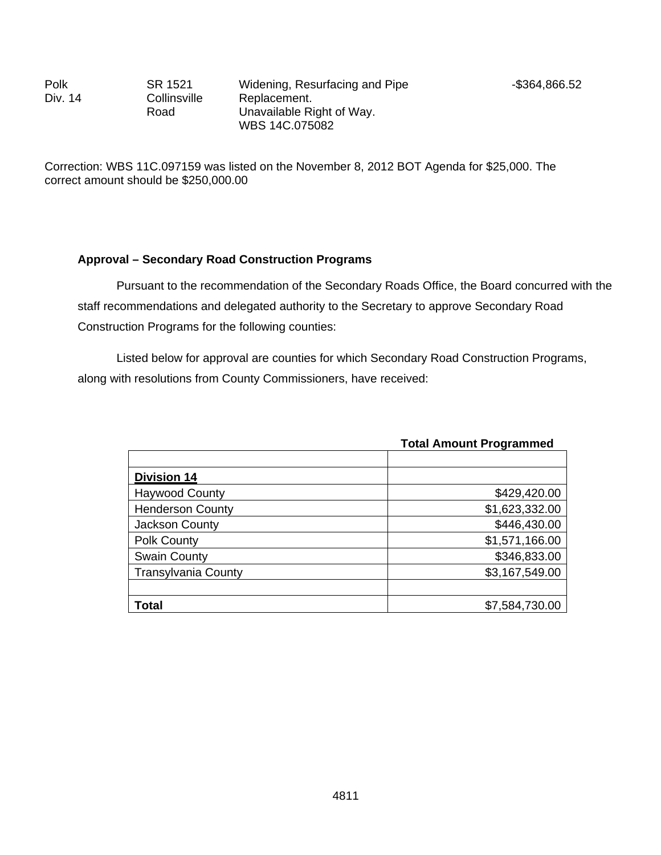Polk Div. 14

SR 1521 **Collinsville** Road

Correction: WBS 11C.097159 was listed on the November 8, 2012 BOT Agenda for \$25,000. The correct amount should be \$250,000.00

### **Approval – Secondary Road Construction Programs**

 Pursuant to the recommendation of the Secondary Roads Office, the Board concurred with the staff recommendations and delegated authority to the Secretary to approve Secondary Road Construction Programs for the following counties:

Listed below for approval are counties for which Secondary Road Construction Programs, along with resolutions from County Commissioners, have received:

|                            | Tulai Alliuulii Fluyidiiliileu |
|----------------------------|--------------------------------|
|                            |                                |
| <b>Division 14</b>         |                                |
| <b>Haywood County</b>      | \$429,420.00                   |
| <b>Henderson County</b>    | \$1,623,332.00                 |
| Jackson County             | \$446,430.00                   |
| <b>Polk County</b>         | \$1,571,166.00                 |
| <b>Swain County</b>        | \$346,833.00                   |
| <b>Transylvania County</b> | \$3,167,549.00                 |
|                            |                                |
| <b>Total</b>               | \$7,584,730.00                 |

### **Total Amount Programmed**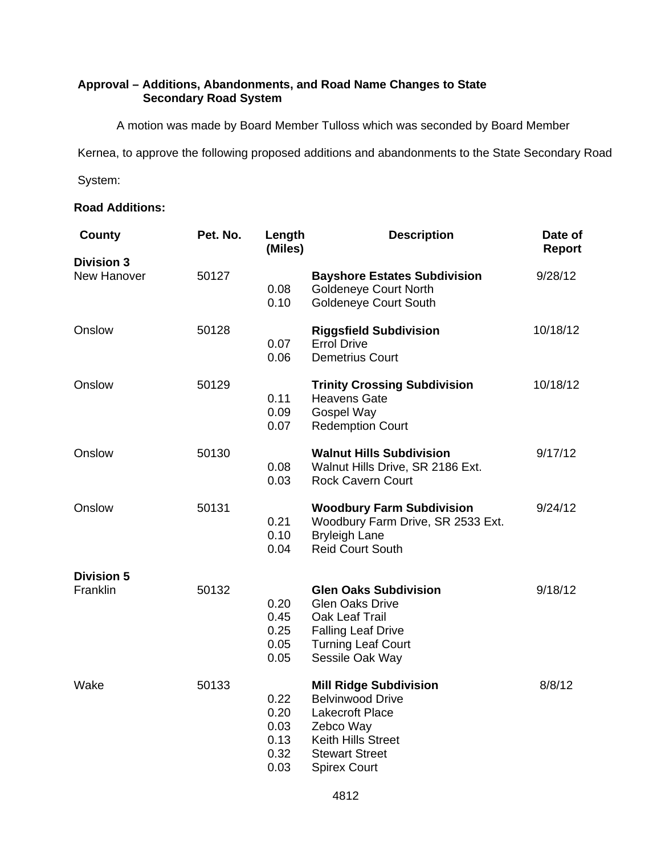## **Approval – Additions, Abandonments, and Road Name Changes to State Secondary Road System**

A motion was made by Board Member Tulloss which was seconded by Board Member

Kernea, to approve the following proposed additions and abandonments to the State Secondary Road

System:

### **Road Additions:**

| County                           | Pet. No. | Length<br>(Miles)                            | <b>Description</b>                                                                                                                                                    | Date of<br>Report |
|----------------------------------|----------|----------------------------------------------|-----------------------------------------------------------------------------------------------------------------------------------------------------------------------|-------------------|
| <b>Division 3</b><br>New Hanover | 50127    | 0.08<br>0.10                                 | <b>Bayshore Estates Subdivision</b><br><b>Goldeneye Court North</b><br><b>Goldeneye Court South</b>                                                                   | 9/28/12           |
| Onslow                           | 50128    | 0.07<br>0.06                                 | <b>Riggsfield Subdivision</b><br><b>Errol Drive</b><br><b>Demetrius Court</b>                                                                                         | 10/18/12          |
| Onslow                           | 50129    | 0.11<br>0.09<br>0.07                         | <b>Trinity Crossing Subdivision</b><br><b>Heavens Gate</b><br>Gospel Way<br><b>Redemption Court</b>                                                                   | 10/18/12          |
| Onslow                           | 50130    | 0.08<br>0.03                                 | <b>Walnut Hills Subdivision</b><br>Walnut Hills Drive, SR 2186 Ext.<br><b>Rock Cavern Court</b>                                                                       | 9/17/12           |
| Onslow                           | 50131    | 0.21<br>0.10<br>0.04                         | <b>Woodbury Farm Subdivision</b><br>Woodbury Farm Drive, SR 2533 Ext.<br><b>Bryleigh Lane</b><br><b>Reid Court South</b>                                              | 9/24/12           |
| <b>Division 5</b><br>Franklin    | 50132    | 0.20<br>0.45<br>0.25<br>0.05<br>0.05         | <b>Glen Oaks Subdivision</b><br><b>Glen Oaks Drive</b><br>Oak Leaf Trail<br><b>Falling Leaf Drive</b><br><b>Turning Leaf Court</b><br>Sessile Oak Way                 | 9/18/12           |
| Wake                             | 50133    | 0.22<br>0.20<br>0.03<br>0.13<br>0.32<br>0.03 | <b>Mill Ridge Subdivision</b><br><b>Belvinwood Drive</b><br><b>Lakecroft Place</b><br>Zebco Way<br>Keith Hills Street<br><b>Stewart Street</b><br><b>Spirex Court</b> | 8/8/12            |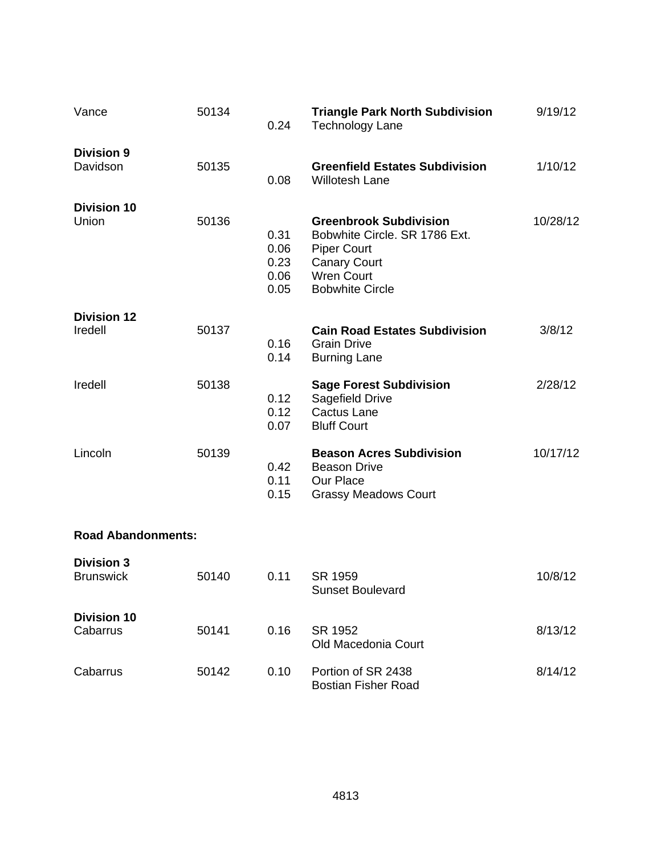| Vance                                 | 50134 | 0.24                                 | <b>Triangle Park North Subdivision</b><br><b>Technology Lane</b>                                                                                           | 9/19/12  |
|---------------------------------------|-------|--------------------------------------|------------------------------------------------------------------------------------------------------------------------------------------------------------|----------|
| <b>Division 9</b><br>Davidson         | 50135 | 0.08                                 | <b>Greenfield Estates Subdivision</b><br><b>Willotesh Lane</b>                                                                                             | 1/10/12  |
| <b>Division 10</b><br>Union           | 50136 | 0.31<br>0.06<br>0.23<br>0.06<br>0.05 | <b>Greenbrook Subdivision</b><br>Bobwhite Circle, SR 1786 Ext.<br><b>Piper Court</b><br><b>Canary Court</b><br><b>Wren Court</b><br><b>Bobwhite Circle</b> | 10/28/12 |
| <b>Division 12</b><br>Iredell         | 50137 | 0.16<br>0.14                         | <b>Cain Road Estates Subdivision</b><br><b>Grain Drive</b><br><b>Burning Lane</b>                                                                          | 3/8/12   |
| Iredell                               | 50138 | 0.12<br>0.12<br>0.07                 | <b>Sage Forest Subdivision</b><br>Sagefield Drive<br><b>Cactus Lane</b><br><b>Bluff Court</b>                                                              | 2/28/12  |
| Lincoln                               | 50139 | 0.42<br>0.11<br>0.15                 | <b>Beason Acres Subdivision</b><br><b>Beason Drive</b><br>Our Place<br><b>Grassy Meadows Court</b>                                                         | 10/17/12 |
| <b>Road Abandonments:</b>             |       |                                      |                                                                                                                                                            |          |
| <b>Division 3</b><br><b>Brunswick</b> | 50140 | 0.11                                 | SR 1959<br>Sunset Boulevard                                                                                                                                | 10/8/12  |
| <b>Division 10</b><br>Cabarrus        | 50141 | 0.16                                 | SR 1952<br>Old Macedonia Court                                                                                                                             | 8/13/12  |
| Cabarrus                              | 50142 | 0.10                                 | Portion of SR 2438<br><b>Bostian Fisher Road</b>                                                                                                           | 8/14/12  |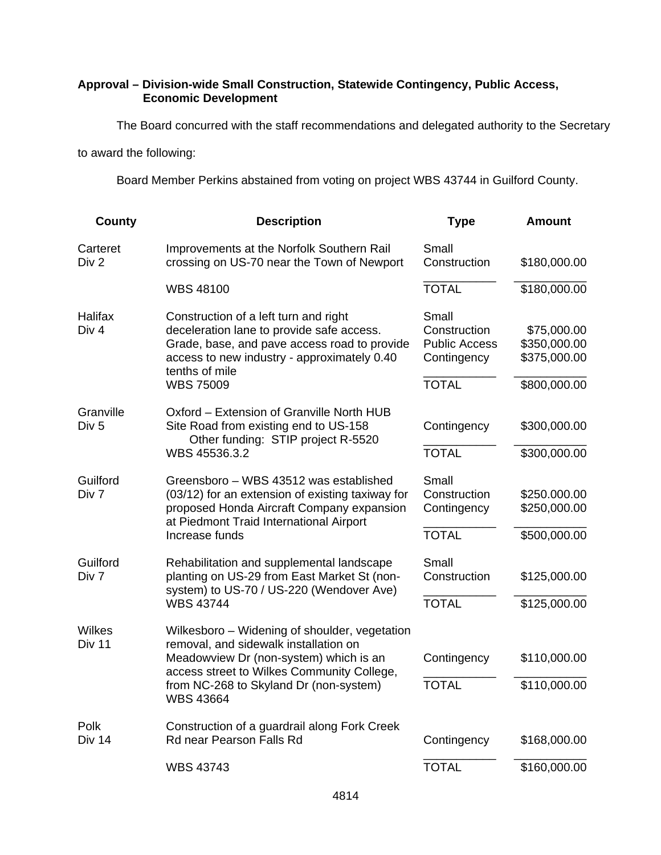## **Approval – Division-wide Small Construction, Statewide Contingency, Public Access, Economic Development**

The Board concurred with the staff recommendations and delegated authority to the Secretary

to award the following:

Board Member Perkins abstained from voting on project WBS 43744 in Guilford County.

| <b>County</b>                  | <b>Description</b>                                                                                                                                                                                                                           | <b>Type</b>                                                                  | <b>Amount</b>                                               |
|--------------------------------|----------------------------------------------------------------------------------------------------------------------------------------------------------------------------------------------------------------------------------------------|------------------------------------------------------------------------------|-------------------------------------------------------------|
| Carteret<br>Div 2              | Improvements at the Norfolk Southern Rail<br>crossing on US-70 near the Town of Newport                                                                                                                                                      | Small<br>Construction                                                        | \$180,000.00                                                |
|                                | WBS 48100                                                                                                                                                                                                                                    | <b>TOTAL</b>                                                                 | \$180,000.00                                                |
| Halifax<br>Div 4               | Construction of a left turn and right<br>deceleration lane to provide safe access.<br>Grade, base, and pave access road to provide<br>access to new industry - approximately 0.40<br>tenths of mile<br><b>WBS 75009</b>                      | Small<br>Construction<br><b>Public Access</b><br>Contingency<br><b>TOTAL</b> | \$75,000.00<br>\$350,000.00<br>\$375,000.00<br>\$800,000.00 |
| Granville<br>Div <sub>5</sub>  | Oxford – Extension of Granville North HUB<br>Site Road from existing end to US-158<br>Other funding: STIP project R-5520<br>WBS 45536.3.2                                                                                                    | Contingency<br><b>TOTAL</b>                                                  | \$300,000.00<br>\$300,000.00                                |
| Guilford<br>Div 7              | Greensboro - WBS 43512 was established<br>(03/12) for an extension of existing taxiway for<br>proposed Honda Aircraft Company expansion<br>at Piedmont Traid International Airport<br>Increase funds                                         | Small<br>Construction<br>Contingency<br><b>TOTAL</b>                         | \$250.000.00<br>\$250,000.00<br>\$500,000.00                |
| Guilford<br>Div 7              | Rehabilitation and supplemental landscape<br>planting on US-29 from East Market St (non-<br>system) to US-70 / US-220 (Wendover Ave)<br><b>WBS 43744</b>                                                                                     | Small<br>Construction<br><b>TOTAL</b>                                        | \$125,000.00<br>\$125,000.00                                |
| <b>Wilkes</b><br><b>Div 11</b> | Wilkesboro – Widening of shoulder, vegetation<br>removal, and sidewalk installation on<br>Meadowview Dr (non-system) which is an<br>access street to Wilkes Community College,<br>from NC-268 to Skyland Dr (non-system)<br><b>WBS 43664</b> | Contingency<br><b>TOTAL</b>                                                  | \$110,000.00<br>\$110,000.00                                |
| Polk<br>Div 14                 | Construction of a guardrail along Fork Creek<br>Rd near Pearson Falls Rd                                                                                                                                                                     | Contingency                                                                  | \$168,000.00                                                |
|                                | <b>WBS 43743</b>                                                                                                                                                                                                                             | <b>TOTAL</b>                                                                 | \$160,000.00                                                |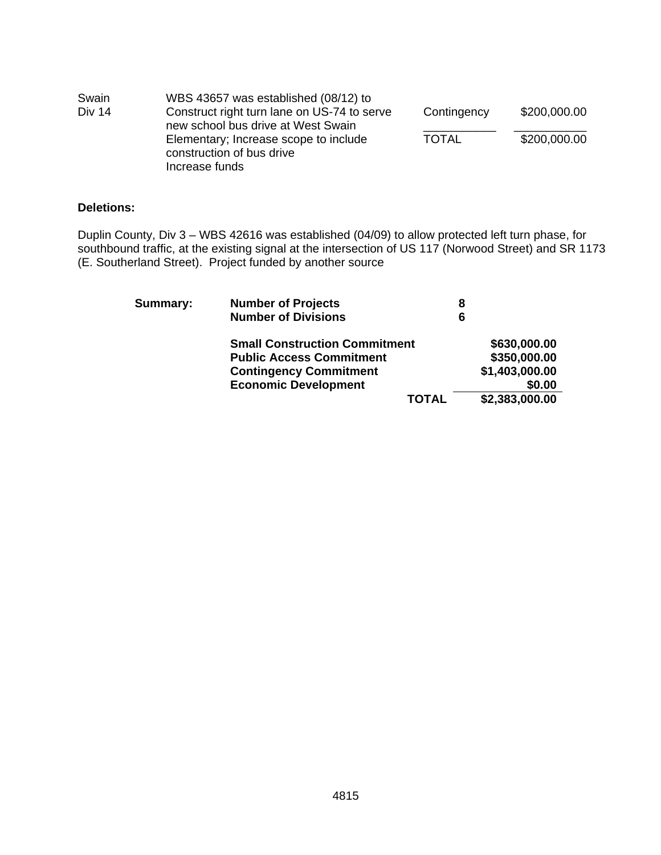| Swain         | WBS 43657 was established (08/12) to                                                 |              |              |
|---------------|--------------------------------------------------------------------------------------|--------------|--------------|
| <b>Div 14</b> | Construct right turn lane on US-74 to serve<br>new school bus drive at West Swain    | Contingency  | \$200,000.00 |
|               | Elementary; Increase scope to include<br>construction of bus drive<br>Increase funds | <b>TOTAL</b> | \$200,000.00 |

### **Deletions:**

Duplin County, Div 3 – WBS 42616 was established (04/09) to allow protected left turn phase, for southbound traffic, at the existing signal at the intersection of US 117 (Norwood Street) and SR 1173 (E. Southerland Street). Project funded by another source

| Summary: | <b>Number of Projects</b>            |              | 8              |
|----------|--------------------------------------|--------------|----------------|
|          | <b>Number of Divisions</b>           | 6            |                |
|          | <b>Small Construction Commitment</b> |              | \$630,000.00   |
|          | <b>Public Access Commitment</b>      |              | \$350,000.00   |
|          | <b>Contingency Commitment</b>        |              | \$1,403,000.00 |
|          | <b>Economic Development</b>          |              | \$0.00         |
|          |                                      | <b>TOTAL</b> | \$2,383,000.00 |
|          |                                      |              |                |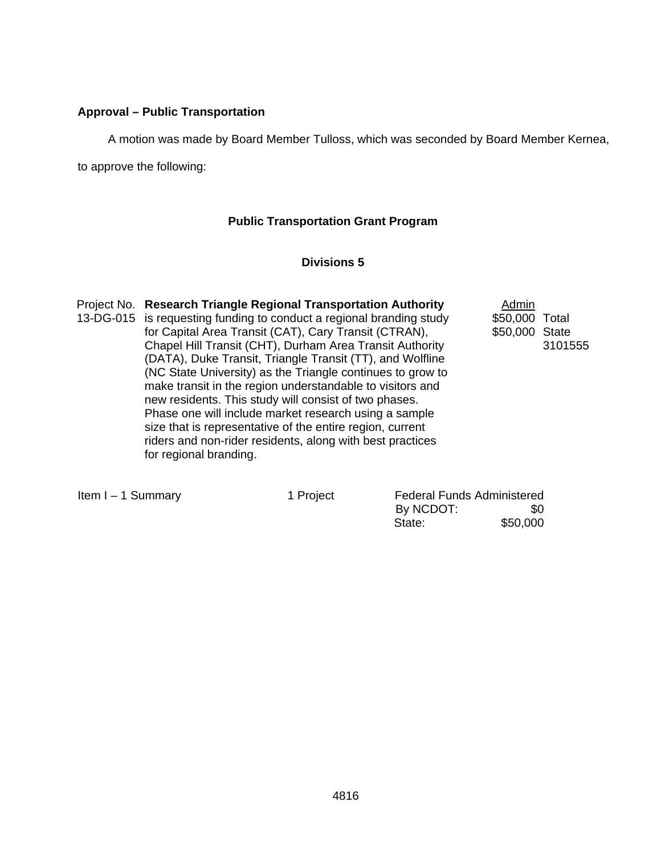## **Approval – Public Transportation**

A motion was made by Board Member Tulloss, which was seconded by Board Member Kernea,

to approve the following:

## **Public Transportation Grant Program**

## **Divisions 5**

| Project No. Research Triangle Regional Transportation Authority      | Admin          |         |
|----------------------------------------------------------------------|----------------|---------|
| 13-DG-015 is requesting funding to conduct a regional branding study | \$50,000 Total |         |
| for Capital Area Transit (CAT), Cary Transit (CTRAN),                | \$50,000 State |         |
| Chapel Hill Transit (CHT), Durham Area Transit Authority             |                | 3101555 |
| (DATA), Duke Transit, Triangle Transit (TT), and Wolfline            |                |         |
| (NC State University) as the Triangle continues to grow to           |                |         |
| make transit in the region understandable to visitors and            |                |         |
| new residents. This study will consist of two phases.                |                |         |
| Phase one will include market research using a sample                |                |         |
| size that is representative of the entire region, current            |                |         |
| riders and non-rider residents, along with best practices            |                |         |
| for regional branding.                                               |                |         |

|  |  | Item $I - 1$ Summary |
|--|--|----------------------|
|--|--|----------------------|

1 Project

| Item I - 1 Summary | 1 Project | <b>Federal Funds Administered</b> |          |
|--------------------|-----------|-----------------------------------|----------|
|                    |           | By NCDOT:                         | SO.      |
|                    |           | State:                            | \$50,000 |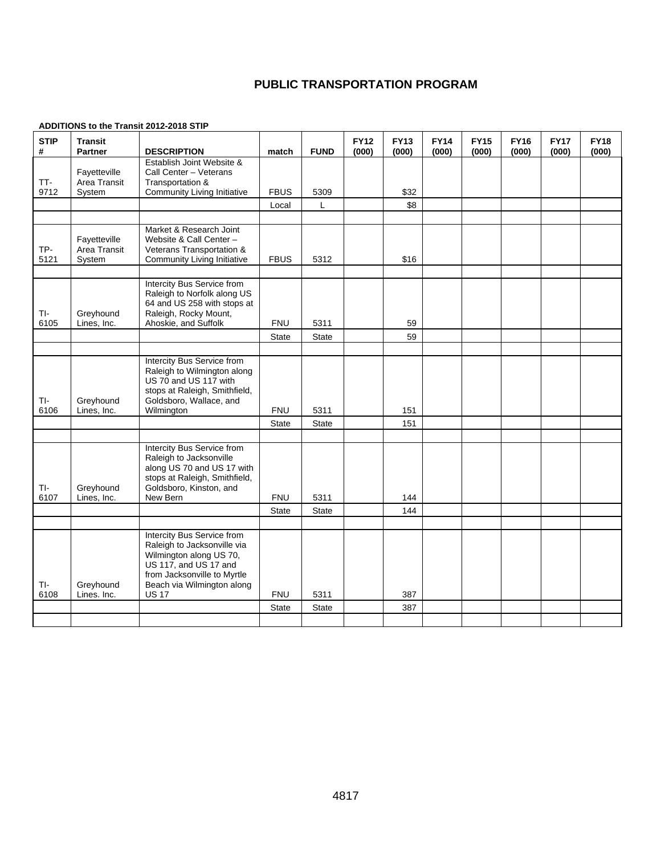## **PUBLIC TRANSPORTATION PROGRAM**

### **ADDITIONS to the Transit 2012-2018 STIP**

| <b>STIP</b><br># | <b>Transit</b><br><b>Partner</b> | <b>DESCRIPTION</b>                                        | match        | <b>FUND</b>   | <b>FY12</b><br>(000) | <b>FY13</b><br>(000) | <b>FY14</b><br>(000) | <b>FY15</b><br>(000) | <b>FY16</b><br>(000) | <b>FY17</b><br>(000) | <b>FY18</b><br>(000) |
|------------------|----------------------------------|-----------------------------------------------------------|--------------|---------------|----------------------|----------------------|----------------------|----------------------|----------------------|----------------------|----------------------|
|                  | Fayetteville                     | Establish Joint Website &<br>Call Center - Veterans       |              |               |                      |                      |                      |                      |                      |                      |                      |
| TT-              | Area Transit                     | Transportation &                                          |              |               |                      |                      |                      |                      |                      |                      |                      |
| 9712             | System                           | <b>Community Living Initiative</b>                        | <b>FBUS</b>  | 5309          |                      | \$32                 |                      |                      |                      |                      |                      |
|                  |                                  |                                                           | Local        | L             |                      | \$8                  |                      |                      |                      |                      |                      |
|                  |                                  | Market & Research Joint                                   |              |               |                      |                      |                      |                      |                      |                      |                      |
|                  | Fayetteville                     | Website & Call Center -                                   |              |               |                      |                      |                      |                      |                      |                      |                      |
| TP-              | Area Transit                     | Veterans Transportation &                                 |              |               |                      |                      |                      |                      |                      |                      |                      |
| 5121             | System                           | Community Living Initiative                               | <b>FBUS</b>  | 5312          |                      | \$16                 |                      |                      |                      |                      |                      |
|                  |                                  |                                                           |              |               |                      |                      |                      |                      |                      |                      |                      |
|                  |                                  | Intercity Bus Service from<br>Raleigh to Norfolk along US |              |               |                      |                      |                      |                      |                      |                      |                      |
|                  |                                  | 64 and US 258 with stops at                               |              |               |                      |                      |                      |                      |                      |                      |                      |
| TI-<br>6105      | Greyhound                        | Raleigh, Rocky Mount,                                     | <b>FNU</b>   |               |                      |                      |                      |                      |                      |                      |                      |
|                  | Lines, Inc.                      | Ahoskie, and Suffolk                                      | State        | 5311<br>State |                      | 59<br>59             |                      |                      |                      |                      |                      |
|                  |                                  |                                                           |              |               |                      |                      |                      |                      |                      |                      |                      |
|                  |                                  | Intercity Bus Service from                                |              |               |                      |                      |                      |                      |                      |                      |                      |
|                  |                                  | Raleigh to Wilmington along                               |              |               |                      |                      |                      |                      |                      |                      |                      |
|                  |                                  | US 70 and US 117 with<br>stops at Raleigh, Smithfield,    |              |               |                      |                      |                      |                      |                      |                      |                      |
| TI-              | Greyhound                        | Goldsboro, Wallace, and                                   |              |               |                      |                      |                      |                      |                      |                      |                      |
| 6106             | Lines, Inc.                      | Wilmington                                                | <b>FNU</b>   | 5311          |                      | 151                  |                      |                      |                      |                      |                      |
|                  |                                  |                                                           | <b>State</b> | <b>State</b>  |                      | 151                  |                      |                      |                      |                      |                      |
|                  |                                  |                                                           |              |               |                      |                      |                      |                      |                      |                      |                      |
|                  |                                  | Intercity Bus Service from<br>Raleigh to Jacksonville     |              |               |                      |                      |                      |                      |                      |                      |                      |
|                  |                                  | along US 70 and US 17 with                                |              |               |                      |                      |                      |                      |                      |                      |                      |
|                  |                                  | stops at Raleigh, Smithfield,                             |              |               |                      |                      |                      |                      |                      |                      |                      |
| TI-<br>6107      | Greyhound<br>Lines, Inc.         | Goldsboro, Kinston, and<br>New Bern                       | <b>FNU</b>   | 5311          |                      | 144                  |                      |                      |                      |                      |                      |
|                  |                                  |                                                           | <b>State</b> | <b>State</b>  |                      | 144                  |                      |                      |                      |                      |                      |
|                  |                                  |                                                           |              |               |                      |                      |                      |                      |                      |                      |                      |
|                  |                                  | Intercity Bus Service from                                |              |               |                      |                      |                      |                      |                      |                      |                      |
|                  |                                  | Raleigh to Jacksonville via                               |              |               |                      |                      |                      |                      |                      |                      |                      |
|                  |                                  | Wilmington along US 70,<br>US 117, and US 17 and          |              |               |                      |                      |                      |                      |                      |                      |                      |
|                  |                                  | from Jacksonville to Myrtle                               |              |               |                      |                      |                      |                      |                      |                      |                      |
| TI-              | Greyhound                        | Beach via Wilmington along                                |              |               |                      |                      |                      |                      |                      |                      |                      |
| 6108             | Lines. Inc.                      | <b>US 17</b>                                              | <b>FNU</b>   | 5311          |                      | 387                  |                      |                      |                      |                      |                      |
|                  |                                  |                                                           | <b>State</b> | <b>State</b>  |                      | 387                  |                      |                      |                      |                      |                      |
|                  |                                  |                                                           |              |               |                      |                      |                      |                      |                      |                      |                      |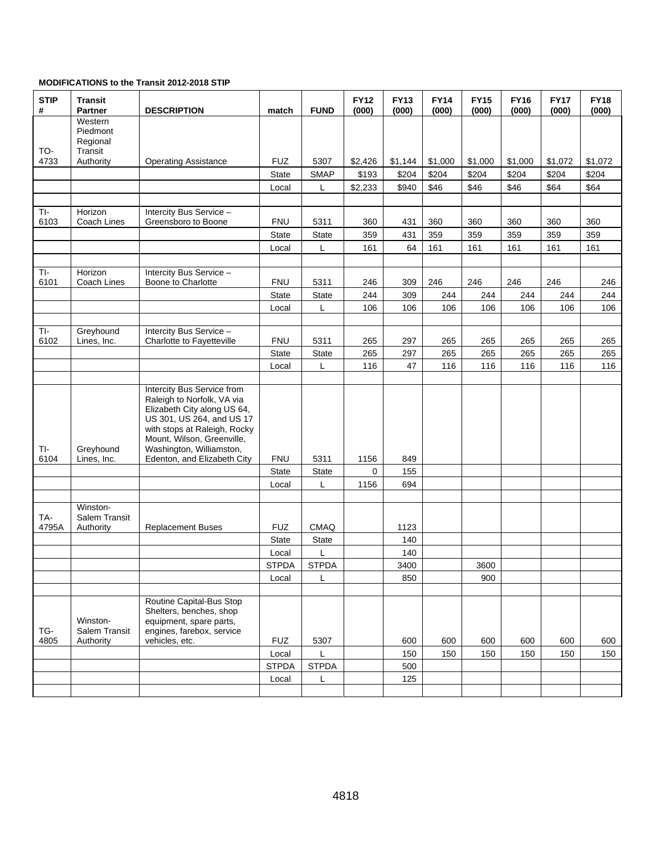#### **MODIFICATIONS to the Transit 2012-2018 STIP**

| <b>STIP</b><br># | <b>Transit</b><br><b>Partner</b>           | <b>DESCRIPTION</b>                                                                                                                                                                                                                            | match        | <b>FUND</b>   | <b>FY12</b><br>(000) | <b>FY13</b><br>(000) | <b>FY14</b><br>(000) | <b>FY15</b><br>(000) | <b>FY16</b><br>(000) | <b>FY17</b><br>(000) | <b>FY18</b><br>(000) |
|------------------|--------------------------------------------|-----------------------------------------------------------------------------------------------------------------------------------------------------------------------------------------------------------------------------------------------|--------------|---------------|----------------------|----------------------|----------------------|----------------------|----------------------|----------------------|----------------------|
| TO-              | Western<br>Piedmont<br>Regional<br>Transit |                                                                                                                                                                                                                                               |              |               |                      |                      |                      |                      |                      |                      |                      |
| 4733             | Authority                                  | <b>Operating Assistance</b>                                                                                                                                                                                                                   | <b>FUZ</b>   | 5307          | \$2,426              | \$1,144              | \$1,000              | \$1,000              | \$1,000              | \$1,072              | \$1,072              |
|                  |                                            |                                                                                                                                                                                                                                               | State        | <b>SMAP</b>   | \$193                | \$204                | \$204                | \$204                | \$204                | \$204                | \$204                |
|                  |                                            |                                                                                                                                                                                                                                               | Local        | L             | \$2,233              | \$940                | \$46                 | \$46                 | \$46                 | \$64                 | \$64                 |
|                  |                                            |                                                                                                                                                                                                                                               |              |               |                      |                      |                      |                      |                      |                      |                      |
| TI-<br>6103      | Horizon<br>Coach Lines                     | Intercity Bus Service -<br>Greensboro to Boone                                                                                                                                                                                                | <b>FNU</b>   | 5311          | 360                  | 431                  | 360                  | 360                  | 360                  | 360                  | 360                  |
|                  |                                            |                                                                                                                                                                                                                                               | State        | State         | 359                  | 431                  | 359                  | 359                  | 359                  | 359                  | 359                  |
|                  |                                            |                                                                                                                                                                                                                                               | Local        | L             | 161                  | 64                   | 161                  | 161                  | 161                  | 161                  | 161                  |
|                  |                                            |                                                                                                                                                                                                                                               |              |               |                      |                      |                      |                      |                      |                      |                      |
| TI-              | Horizon                                    | Intercity Bus Service -                                                                                                                                                                                                                       |              |               |                      |                      |                      |                      |                      |                      |                      |
| 6101             | Coach Lines                                | Boone to Charlotte                                                                                                                                                                                                                            | <b>FNU</b>   | 5311          | 246                  | 309                  | 246                  | 246                  | 246                  | 246                  | 246                  |
|                  |                                            |                                                                                                                                                                                                                                               | <b>State</b> | State         | 244<br>106           | 309<br>106           | 244<br>106           | 244<br>106           | 244                  | 244                  | 244<br>106           |
|                  |                                            |                                                                                                                                                                                                                                               | Local        | L             |                      |                      |                      |                      | 106                  | 106                  |                      |
| TI-              | Greyhound                                  | Intercity Bus Service -<br>Charlotte to Fayetteville                                                                                                                                                                                          | <b>FNU</b>   |               |                      |                      |                      |                      |                      |                      |                      |
| 6102             | Lines, Inc.                                |                                                                                                                                                                                                                                               | <b>State</b> | 5311<br>State | 265<br>265           | 297<br>297           | 265<br>265           | 265<br>265           | 265<br>265           | 265<br>265           | 265<br>265           |
|                  |                                            |                                                                                                                                                                                                                                               | Local        | L             | 116                  | 47                   | 116                  | 116                  | 116                  | 116                  | 116                  |
|                  |                                            |                                                                                                                                                                                                                                               |              |               |                      |                      |                      |                      |                      |                      |                      |
| TI-<br>6104      | Greyhound<br>Lines, Inc.                   | Intercity Bus Service from<br>Raleigh to Norfolk, VA via<br>Elizabeth City along US 64,<br>US 301, US 264, and US 17<br>with stops at Raleigh, Rocky<br>Mount, Wilson, Greenville,<br>Washington, Williamston,<br>Edenton, and Elizabeth City | <b>FNU</b>   | 5311          | 1156                 | 849                  |                      |                      |                      |                      |                      |
|                  |                                            |                                                                                                                                                                                                                                               | <b>State</b> | State         | $\mathbf 0$          | 155                  |                      |                      |                      |                      |                      |
|                  |                                            |                                                                                                                                                                                                                                               | Local        | L             | 1156                 | 694                  |                      |                      |                      |                      |                      |
| TA-              | Winston-<br>Salem Transit                  |                                                                                                                                                                                                                                               |              |               |                      |                      |                      |                      |                      |                      |                      |
| 4795A            | Authority                                  | <b>Replacement Buses</b>                                                                                                                                                                                                                      | <b>FUZ</b>   | <b>CMAQ</b>   |                      | 1123                 |                      |                      |                      |                      |                      |
|                  |                                            |                                                                                                                                                                                                                                               | <b>State</b> | State         |                      | 140                  |                      |                      |                      |                      |                      |
|                  |                                            |                                                                                                                                                                                                                                               | Local        | L             |                      | 140                  |                      |                      |                      |                      |                      |
|                  |                                            |                                                                                                                                                                                                                                               | <b>STPDA</b> | <b>STPDA</b>  |                      | 3400                 |                      | 3600                 |                      |                      |                      |
|                  |                                            |                                                                                                                                                                                                                                               | Local        | L             |                      | 850                  |                      | 900                  |                      |                      |                      |
| TG-<br>4805      | Winston-<br>Salem Transit<br>Authority     | Routine Capital-Bus Stop<br>Shelters, benches, shop<br>equipment, spare parts,<br>engines, farebox, service<br>vehicles, etc.                                                                                                                 | <b>FUZ</b>   | 5307          |                      | 600                  | 600                  | 600                  | 600                  | 600                  | 600                  |
|                  |                                            |                                                                                                                                                                                                                                               | Local        | L             |                      | 150                  | 150                  | 150                  | 150                  | 150                  | 150                  |
|                  |                                            |                                                                                                                                                                                                                                               | <b>STPDA</b> | <b>STPDA</b>  |                      | 500                  |                      |                      |                      |                      |                      |
|                  |                                            |                                                                                                                                                                                                                                               | Local        | L             |                      | 125                  |                      |                      |                      |                      |                      |
|                  |                                            |                                                                                                                                                                                                                                               |              |               |                      |                      |                      |                      |                      |                      |                      |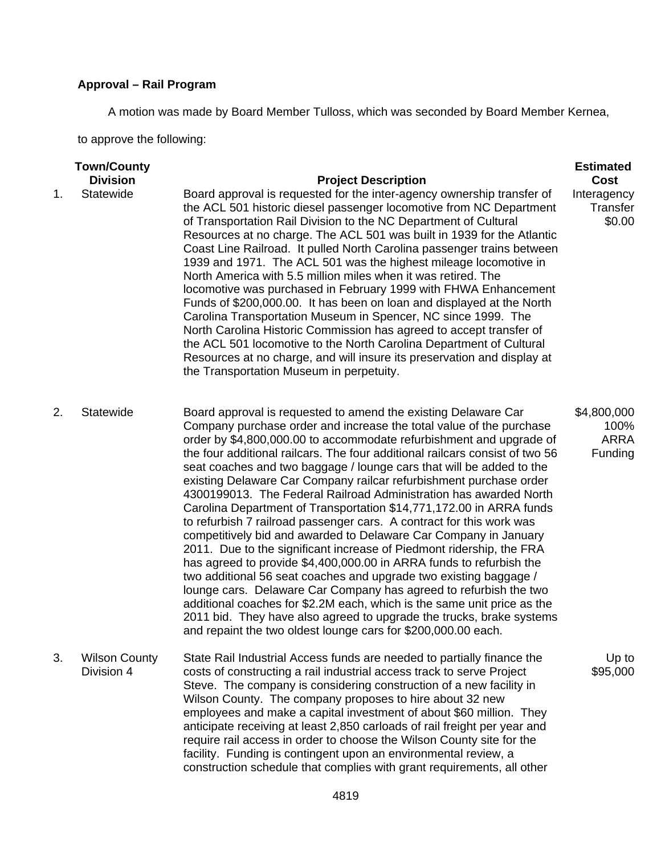# **Approval – Rail Program**

A motion was made by Board Member Tulloss, which was seconded by Board Member Kernea,

to approve the following:

| <b>Town/County</b><br><b>Estimated</b> |                                    |                                                                                                                                                                                                                                                                                                                                                                                                                                                                                                                                                                                                                                                                                                                                                                                                                                                                                                                                                                                                                                                                                                                                                                                                                                                 |                                               |  |
|----------------------------------------|------------------------------------|-------------------------------------------------------------------------------------------------------------------------------------------------------------------------------------------------------------------------------------------------------------------------------------------------------------------------------------------------------------------------------------------------------------------------------------------------------------------------------------------------------------------------------------------------------------------------------------------------------------------------------------------------------------------------------------------------------------------------------------------------------------------------------------------------------------------------------------------------------------------------------------------------------------------------------------------------------------------------------------------------------------------------------------------------------------------------------------------------------------------------------------------------------------------------------------------------------------------------------------------------|-----------------------------------------------|--|
|                                        | <b>Division</b>                    | <b>Project Description</b>                                                                                                                                                                                                                                                                                                                                                                                                                                                                                                                                                                                                                                                                                                                                                                                                                                                                                                                                                                                                                                                                                                                                                                                                                      | Cost                                          |  |
| 1.                                     | Statewide                          | Board approval is requested for the inter-agency ownership transfer of<br>the ACL 501 historic diesel passenger locomotive from NC Department<br>of Transportation Rail Division to the NC Department of Cultural<br>Resources at no charge. The ACL 501 was built in 1939 for the Atlantic<br>Coast Line Railroad. It pulled North Carolina passenger trains between<br>1939 and 1971. The ACL 501 was the highest mileage locomotive in<br>North America with 5.5 million miles when it was retired. The<br>locomotive was purchased in February 1999 with FHWA Enhancement<br>Funds of \$200,000.00. It has been on loan and displayed at the North<br>Carolina Transportation Museum in Spencer, NC since 1999. The<br>North Carolina Historic Commission has agreed to accept transfer of<br>the ACL 501 locomotive to the North Carolina Department of Cultural<br>Resources at no charge, and will insure its preservation and display at<br>the Transportation Museum in perpetuity.                                                                                                                                                                                                                                                    | Interagency<br>Transfer<br>\$0.00             |  |
| 2.                                     | Statewide                          | Board approval is requested to amend the existing Delaware Car<br>Company purchase order and increase the total value of the purchase<br>order by \$4,800,000.00 to accommodate refurbishment and upgrade of<br>the four additional railcars. The four additional railcars consist of two 56<br>seat coaches and two baggage / lounge cars that will be added to the<br>existing Delaware Car Company railcar refurbishment purchase order<br>4300199013. The Federal Railroad Administration has awarded North<br>Carolina Department of Transportation \$14,771,172.00 in ARRA funds<br>to refurbish 7 railroad passenger cars. A contract for this work was<br>competitively bid and awarded to Delaware Car Company in January<br>2011. Due to the significant increase of Piedmont ridership, the FRA<br>has agreed to provide \$4,400,000.00 in ARRA funds to refurbish the<br>two additional 56 seat coaches and upgrade two existing baggage /<br>lounge cars. Delaware Car Company has agreed to refurbish the two<br>additional coaches for \$2.2M each, which is the same unit price as the<br>2011 bid. They have also agreed to upgrade the trucks, brake systems<br>and repaint the two oldest lounge cars for \$200,000.00 each. | \$4,800,000<br>100%<br><b>ARRA</b><br>Funding |  |
| 3.                                     | <b>Wilson County</b><br>Division 4 | State Rail Industrial Access funds are needed to partially finance the<br>costs of constructing a rail industrial access track to serve Project<br>Steve. The company is considering construction of a new facility in<br>Wilson County. The company proposes to hire about 32 new<br>employees and make a capital investment of about \$60 million. They<br>anticipate receiving at least 2,850 carloads of rail freight per year and<br>require rail access in order to choose the Wilson County site for the<br>facility. Funding is contingent upon an environmental review, a<br>construction schedule that complies with grant requirements, all other                                                                                                                                                                                                                                                                                                                                                                                                                                                                                                                                                                                    | Up to<br>\$95,000                             |  |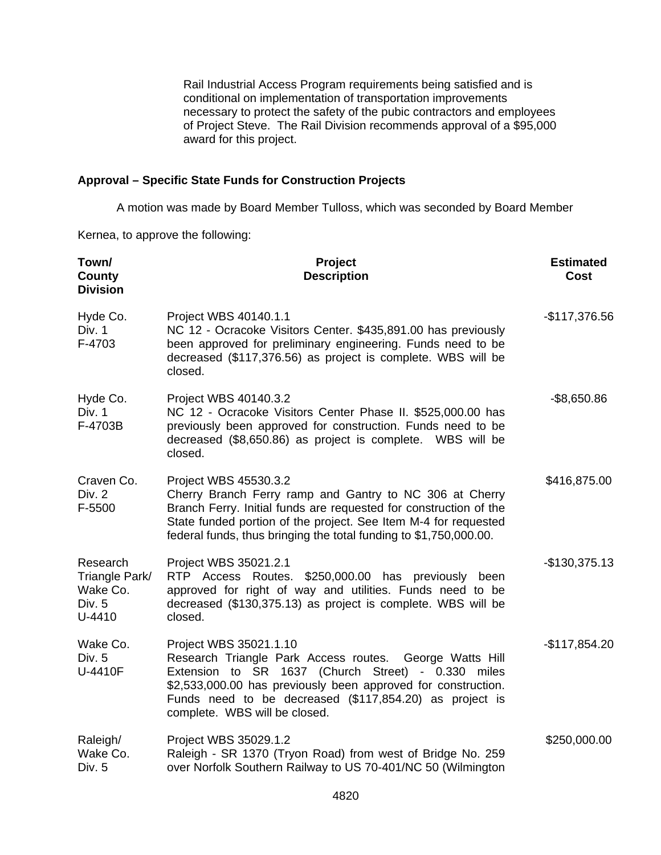Rail Industrial Access Program requirements being satisfied and is conditional on implementation of transportation improvements necessary to protect the safety of the pubic contractors and employees of Project Steve. The Rail Division recommends approval of a \$95,000 award for this project.

### **Approval – Specific State Funds for Construction Projects**

A motion was made by Board Member Tulloss, which was seconded by Board Member

Kernea, to approve the following:

| Town/<br>County<br><b>Division</b>                         | Project<br><b>Description</b>                                                                                                                                                                                                                                                                        | <b>Estimated</b><br><b>Cost</b> |
|------------------------------------------------------------|------------------------------------------------------------------------------------------------------------------------------------------------------------------------------------------------------------------------------------------------------------------------------------------------------|---------------------------------|
| Hyde Co.<br>Div. 1<br>F-4703                               | Project WBS 40140.1.1<br>NC 12 - Ocracoke Visitors Center. \$435,891.00 has previously<br>been approved for preliminary engineering. Funds need to be<br>decreased (\$117,376.56) as project is complete. WBS will be<br>closed.                                                                     | $-$117,376.56$                  |
| Hyde Co.<br>Div. 1<br>F-4703B                              | Project WBS 40140.3.2<br>NC 12 - Ocracoke Visitors Center Phase II. \$525,000.00 has<br>previously been approved for construction. Funds need to be<br>decreased (\$8,650.86) as project is complete. WBS will be<br>closed.                                                                         | $-$ \$8,650.86                  |
| Craven Co.<br>Div. 2<br>F-5500                             | Project WBS 45530.3.2<br>Cherry Branch Ferry ramp and Gantry to NC 306 at Cherry<br>Branch Ferry. Initial funds are requested for construction of the<br>State funded portion of the project. See Item M-4 for requested<br>federal funds, thus bringing the total funding to \$1,750,000.00.        | \$416,875.00                    |
| Research<br>Triangle Park/<br>Wake Co.<br>Div. 5<br>U-4410 | Project WBS 35021.2.1<br>RTP Access Routes.<br>\$250,000.00 has previously been<br>approved for right of way and utilities. Funds need to be<br>decreased (\$130,375.13) as project is complete. WBS will be<br>closed.                                                                              | $-$130,375.13$                  |
| Wake Co.<br>Div. 5<br>U-4410F                              | Project WBS 35021.1.10<br>Research Triangle Park Access routes. George Watts Hill<br>Extension to SR 1637 (Church Street) - 0.330 miles<br>\$2,533,000.00 has previously been approved for construction.<br>Funds need to be decreased (\$117,854.20) as project is<br>complete. WBS will be closed. | $-$117,854.20$                  |
| Raleigh/<br>Wake Co.<br>Div. 5                             | Project WBS 35029.1.2<br>Raleigh - SR 1370 (Tryon Road) from west of Bridge No. 259<br>over Norfolk Southern Railway to US 70-401/NC 50 (Wilmington                                                                                                                                                  | \$250,000.00                    |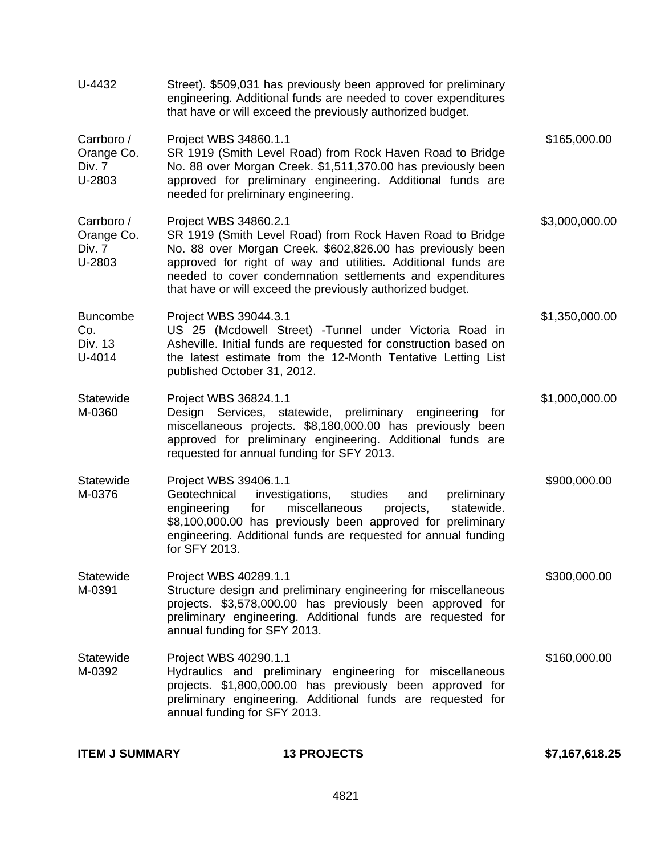| U-4432                                       | Street). \$509,031 has previously been approved for preliminary<br>engineering. Additional funds are needed to cover expenditures<br>that have or will exceed the previously authorized budget.                                                                                                                                              |                |
|----------------------------------------------|----------------------------------------------------------------------------------------------------------------------------------------------------------------------------------------------------------------------------------------------------------------------------------------------------------------------------------------------|----------------|
| Carrboro /<br>Orange Co.<br>Div. 7<br>U-2803 | Project WBS 34860.1.1<br>SR 1919 (Smith Level Road) from Rock Haven Road to Bridge<br>No. 88 over Morgan Creek. \$1,511,370.00 has previously been<br>approved for preliminary engineering. Additional funds are<br>needed for preliminary engineering.                                                                                      | \$165,000.00   |
| Carrboro /<br>Orange Co.<br>Div. 7<br>U-2803 | Project WBS 34860.2.1<br>SR 1919 (Smith Level Road) from Rock Haven Road to Bridge<br>No. 88 over Morgan Creek. \$602,826.00 has previously been<br>approved for right of way and utilities. Additional funds are<br>needed to cover condemnation settlements and expenditures<br>that have or will exceed the previously authorized budget. | \$3,000,000.00 |
| <b>Buncombe</b><br>Co.<br>Div. 13<br>U-4014  | Project WBS 39044.3.1<br>US 25 (Mcdowell Street) -Tunnel under Victoria Road in<br>Asheville. Initial funds are requested for construction based on<br>the latest estimate from the 12-Month Tentative Letting List<br>published October 31, 2012.                                                                                           | \$1,350,000.00 |
| Statewide<br>M-0360                          | Project WBS 36824.1.1<br>Design Services, statewide, preliminary engineering<br>for<br>miscellaneous projects. \$8,180,000.00 has previously been<br>approved for preliminary engineering. Additional funds are<br>requested for annual funding for SFY 2013.                                                                                | \$1,000,000.00 |
| Statewide<br>M-0376                          | Project WBS 39406.1.1<br>Geotechnical<br>investigations,<br>studies<br>preliminary<br>and<br>miscellaneous<br>engineering<br>projects,<br>statewide.<br>for<br>\$8,100,000.00 has previously been approved for preliminary<br>engineering. Additional funds are requested for annual funding<br>for SFY 2013.                                | \$900,000.00   |
| Statewide<br>M-0391                          | Project WBS 40289.1.1<br>Structure design and preliminary engineering for miscellaneous<br>projects. \$3,578,000.00 has previously been approved for<br>preliminary engineering. Additional funds are requested for<br>annual funding for SFY 2013.                                                                                          | \$300,000.00   |
| Statewide<br>M-0392                          | Project WBS 40290.1.1<br>Hydraulics and preliminary engineering for miscellaneous<br>projects. \$1,800,000.00 has previously been approved for<br>preliminary engineering. Additional funds are requested for<br>annual funding for SFY 2013.                                                                                                | \$160,000.00   |
|                                              |                                                                                                                                                                                                                                                                                                                                              |                |

| <b>ITEM J SUMMARY</b> | <b>13 PROJECTS</b> | \$7,167,618.25 |
|-----------------------|--------------------|----------------|
|                       |                    |                |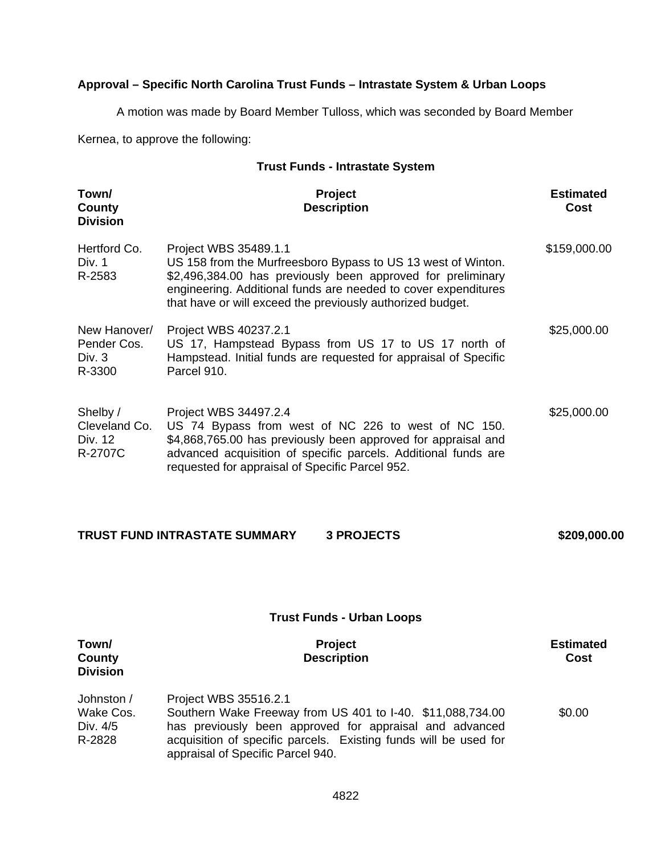## **Approval – Specific North Carolina Trust Funds – Intrastate System & Urban Loops**

A motion was made by Board Member Tulloss, which was seconded by Board Member

Kernea, to approve the following:

## **Trust Funds - Intrastate System**

| Town/<br>County<br><b>Division</b>                | <b>Project</b><br><b>Description</b>                                                                                                                                                                                                                                                 | <b>Estimated</b><br>Cost |
|---------------------------------------------------|--------------------------------------------------------------------------------------------------------------------------------------------------------------------------------------------------------------------------------------------------------------------------------------|--------------------------|
| Hertford Co.<br>Div. 1<br>R-2583                  | Project WBS 35489.1.1<br>US 158 from the Murfreesboro Bypass to US 13 west of Winton.<br>\$2,496,384.00 has previously been approved for preliminary<br>engineering. Additional funds are needed to cover expenditures<br>that have or will exceed the previously authorized budget. | \$159,000.00             |
| New Hanover/<br>Pender Cos.<br>Div. $3$<br>R-3300 | Project WBS 40237.2.1<br>US 17, Hampstead Bypass from US 17 to US 17 north of<br>Hampstead. Initial funds are requested for appraisal of Specific<br>Parcel 910.                                                                                                                     | \$25,000.00              |
| Shelby /<br>Cleveland Co.<br>Div. 12<br>R-2707C   | Project WBS 34497.2.4<br>US 74 Bypass from west of NC 226 to west of NC 150.<br>\$4,868,765.00 has previously been approved for appraisal and<br>advanced acquisition of specific parcels. Additional funds are<br>requested for appraisal of Specific Parcel 952.                   | \$25,000.00              |

| <b>TRUST FUND INTRASTATE SUMMARY</b> | <b>3 PROJECTS</b> | \$209,000.00 |
|--------------------------------------|-------------------|--------------|
|--------------------------------------|-------------------|--------------|

## **Trust Funds - Urban Loops**

| Town/<br>County<br><b>Division</b> | <b>Project</b><br><b>Description</b>                                                                  | <b>Estimated</b><br>Cost |
|------------------------------------|-------------------------------------------------------------------------------------------------------|--------------------------|
| Johnston /<br>Wake Cos.            | Project WBS 35516.2.1<br>Southern Wake Freeway from US 401 to I-40. \$11,088,734.00                   | \$0.00                   |
| Div. 4/5                           | has previously been approved for appraisal and advanced                                               |                          |
| R-2828                             | acquisition of specific parcels. Existing funds will be used for<br>appraisal of Specific Parcel 940. |                          |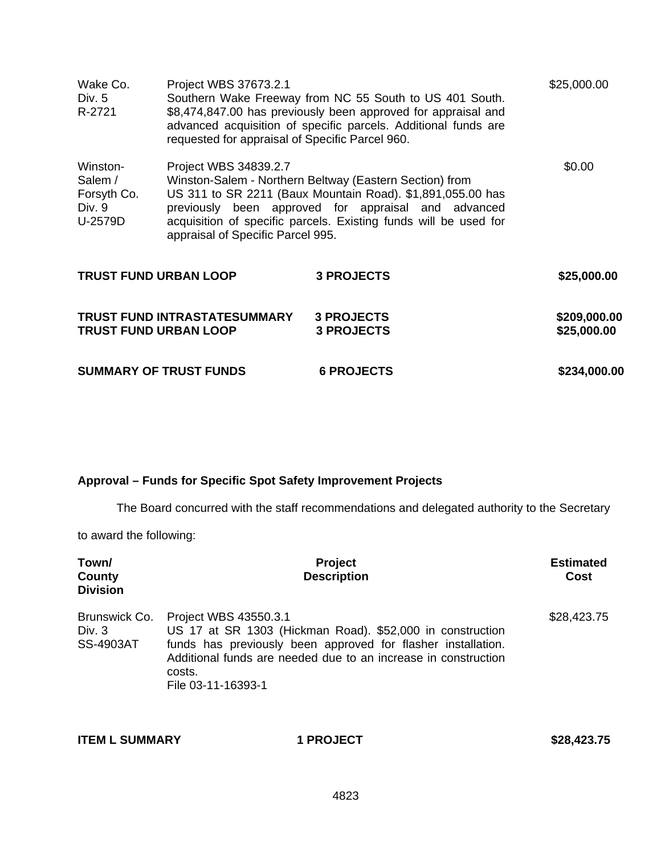| Wake Co.<br>Div. 5<br>R-2721                            | Project WBS 37673.2.1<br>requested for appraisal of Specific Parcel 960. | Southern Wake Freeway from NC 55 South to US 401 South.<br>\$8,474,847.00 has previously been approved for appraisal and<br>advanced acquisition of specific parcels. Additional funds are                                                       | \$25,000.00                 |
|---------------------------------------------------------|--------------------------------------------------------------------------|--------------------------------------------------------------------------------------------------------------------------------------------------------------------------------------------------------------------------------------------------|-----------------------------|
| Winston-<br>Salem /<br>Forsyth Co.<br>Div. 9<br>U-2579D | Project WBS 34839.2.7<br>appraisal of Specific Parcel 995.               | Winston-Salem - Northern Beltway (Eastern Section) from<br>US 311 to SR 2211 (Baux Mountain Road). \$1,891,055.00 has<br>previously been approved for appraisal and advanced<br>acquisition of specific parcels. Existing funds will be used for | \$0.00                      |
| <b>TRUST FUND URBAN LOOP</b>                            |                                                                          | <b>3 PROJECTS</b>                                                                                                                                                                                                                                | \$25,000.00                 |
| <b>TRUST FUND URBAN LOOP</b>                            | <b>TRUST FUND INTRASTATESUMMARY</b>                                      | <b>3 PROJECTS</b><br><b>3 PROJECTS</b>                                                                                                                                                                                                           | \$209,000.00<br>\$25,000.00 |
| <b>SUMMARY OF TRUST FUNDS</b>                           |                                                                          | <b>6 PROJECTS</b>                                                                                                                                                                                                                                | \$234,000.00                |

## **Approval – Funds for Specific Spot Safety Improvement Projects**

The Board concurred with the staff recommendations and delegated authority to the Secretary

to award the following:

| Town/<br>County<br><b>Division</b>            | <b>Project</b><br><b>Description</b>                                                                                                                                                                                                                 | <b>Estimated</b><br>Cost |
|-----------------------------------------------|------------------------------------------------------------------------------------------------------------------------------------------------------------------------------------------------------------------------------------------------------|--------------------------|
| Brunswick Co.<br>Div. $3$<br><b>SS-4903AT</b> | Project WBS 43550.3.1<br>US 17 at SR 1303 (Hickman Road). \$52,000 in construction<br>funds has previously been approved for flasher installation.<br>Additional funds are needed due to an increase in construction<br>costs.<br>File 03-11-16393-1 | \$28,423.75              |

| <b>ITEM L SUMMARY</b> | <b>1 PROJECT</b> | \$28,423.75 |
|-----------------------|------------------|-------------|
|                       |                  |             |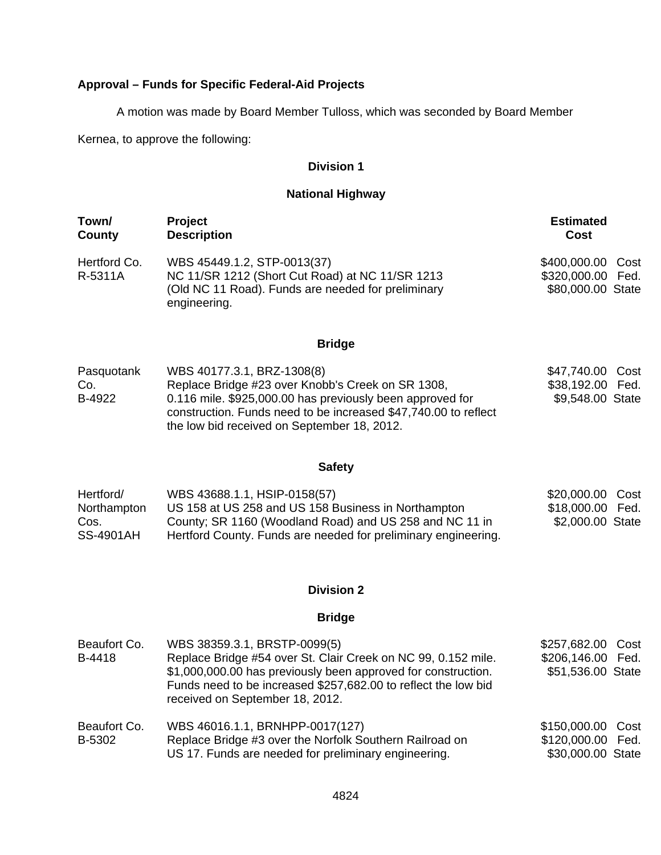# **Approval – Funds for Specific Federal-Aid Projects**

A motion was made by Board Member Tulloss, which was seconded by Board Member

Kernea, to approve the following:

## **Division 1**

## **National Highway**

| Town/<br>County                                      | <b>Project</b><br><b>Description</b>                                                                                                                                                                                                                           | <b>Estimated</b><br>Cost                                    |
|------------------------------------------------------|----------------------------------------------------------------------------------------------------------------------------------------------------------------------------------------------------------------------------------------------------------------|-------------------------------------------------------------|
| Hertford Co.<br>R-5311A                              | WBS 45449.1.2, STP-0013(37)<br>NC 11/SR 1212 (Short Cut Road) at NC 11/SR 1213<br>(Old NC 11 Road). Funds are needed for preliminary<br>engineering.                                                                                                           | \$400,000.00 Cost<br>\$320,000.00 Fed.<br>\$80,000.00 State |
|                                                      | <b>Bridge</b>                                                                                                                                                                                                                                                  |                                                             |
| Pasquotank<br>Co.<br>B-4922                          | WBS 40177.3.1, BRZ-1308(8)<br>Replace Bridge #23 over Knobb's Creek on SR 1308,<br>0.116 mile. \$925,000.00 has previously been approved for<br>construction. Funds need to be increased \$47,740.00 to reflect<br>the low bid received on September 18, 2012. | \$47,740.00 Cost<br>\$38,192.00 Fed.<br>\$9,548.00 State    |
|                                                      | <b>Safety</b>                                                                                                                                                                                                                                                  |                                                             |
| Hertford/<br>Northampton<br>Cos.<br><b>SS-4901AH</b> | WBS 43688.1.1, HSIP-0158(57)<br>US 158 at US 258 and US 158 Business in Northampton<br>County; SR 1160 (Woodland Road) and US 258 and NC 11 in<br>Hertford County. Funds are needed for preliminary engineering.                                               | \$20,000.00<br>Cost<br>\$18,000.00 Fed.<br>\$2,000.00 State |
|                                                      | <b>Division 2</b>                                                                                                                                                                                                                                              |                                                             |
|                                                      | <b>Bridge</b>                                                                                                                                                                                                                                                  |                                                             |

| Beaufort Co.<br>B-4418 | WBS 38359.3.1, BRSTP-0099(5)<br>Replace Bridge #54 over St. Clair Creek on NC 99, 0.152 mile.<br>\$1,000,000.00 has previously been approved for construction.<br>Funds need to be increased \$257,682.00 to reflect the low bid<br>received on September 18, 2012. | \$257,682.00 Cost<br>\$206,146.00 Fed.<br>\$51,536.00 State |  |
|------------------------|---------------------------------------------------------------------------------------------------------------------------------------------------------------------------------------------------------------------------------------------------------------------|-------------------------------------------------------------|--|
| Beaufort Co.           | WBS 46016.1.1, BRNHPP-0017(127)                                                                                                                                                                                                                                     | \$150,000.00 Cost                                           |  |
| B-5302                 | Replace Bridge #3 over the Norfolk Southern Railroad on                                                                                                                                                                                                             | \$120,000.00 Fed.                                           |  |
|                        | US 17. Funds are needed for preliminary engineering.                                                                                                                                                                                                                | \$30,000.00 State                                           |  |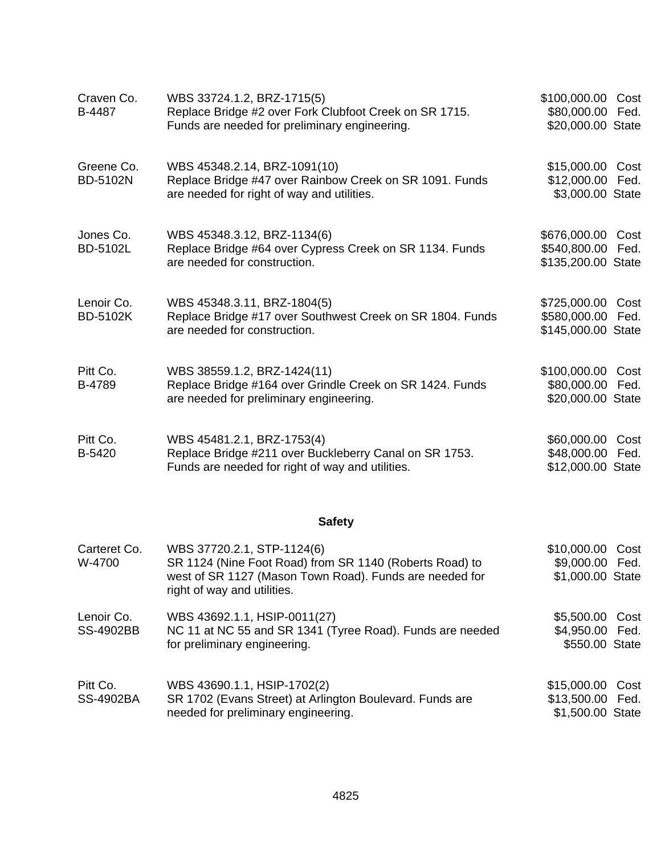| Craven Co.<br>B-4487          | WBS 33724.1.2, BRZ-1715(5)<br>Replace Bridge #2 over Fork Clubfoot Creek on SR 1715.<br>Funds are needed for preliminary engineering.    | \$100,000.00<br>\$80,000.00<br>\$20,000.00 State    | Cost<br>Fed. |
|-------------------------------|------------------------------------------------------------------------------------------------------------------------------------------|-----------------------------------------------------|--------------|
| Greene Co.<br><b>BD-5102N</b> | WBS 45348.2.14, BRZ-1091(10)<br>Replace Bridge #47 over Rainbow Creek on SR 1091. Funds<br>are needed for right of way and utilities.    | \$15,000.00 Cost<br>\$12,000.00<br>\$3,000.00 State | Fed.         |
| Jones Co.<br><b>BD-5102L</b>  | WBS 45348.3.12, BRZ-1134(6)<br>Replace Bridge #64 over Cypress Creek on SR 1134. Funds<br>are needed for construction.                   | \$676,000.00<br>\$540,800.00<br>\$135,200.00 State  | Cost<br>Fed. |
| Lenoir Co.<br><b>BD-5102K</b> | WBS 45348.3.11, BRZ-1804(5)<br>Replace Bridge #17 over Southwest Creek on SR 1804. Funds<br>are needed for construction.                 | \$725,000.00<br>\$580,000.00<br>\$145,000.00 State  | Cost<br>Fed. |
| Pitt Co.<br>B-4789            | WBS 38559.1.2, BRZ-1424(11)<br>Replace Bridge #164 over Grindle Creek on SR 1424. Funds<br>are needed for preliminary engineering.       | \$100,000.00<br>\$80,000.00<br>\$20,000.00 State    | Cost<br>Fed. |
| Pitt Co.<br>B-5420            | WBS 45481.2.1, BRZ-1753(4)<br>Replace Bridge #211 over Buckleberry Canal on SR 1753.<br>Funds are needed for right of way and utilities. | \$60,000.00<br>\$48,000.00<br>\$12,000.00 State     | Cost<br>Fed. |

# **Safety**

| Carteret Co.<br>W-4700         | WBS 37720.2.1, STP-1124(6)<br>SR 1124 (Nine Foot Road) from SR 1140 (Roberts Road) to<br>west of SR 1127 (Mason Town Road). Funds are needed for<br>right of way and utilities. | \$10,000.00 Cost<br>\$9,000.00 Fed.<br>\$1,000.00 State  |  |
|--------------------------------|---------------------------------------------------------------------------------------------------------------------------------------------------------------------------------|----------------------------------------------------------|--|
| Lenoir Co.<br><b>SS-4902BB</b> | WBS 43692.1.1, HSIP-0011(27)<br>NC 11 at NC 55 and SR 1341 (Tyree Road). Funds are needed<br>for preliminary engineering.                                                       | \$5,500.00 Cost<br>\$4,950.00 Fed.<br>\$550.00 State     |  |
| Pitt Co.<br><b>SS-4902BA</b>   | WBS 43690.1.1, HSIP-1702(2)<br>SR 1702 (Evans Street) at Arlington Boulevard. Funds are<br>needed for preliminary engineering.                                                  | \$15,000.00 Cost<br>\$13,500.00 Fed.<br>\$1,500.00 State |  |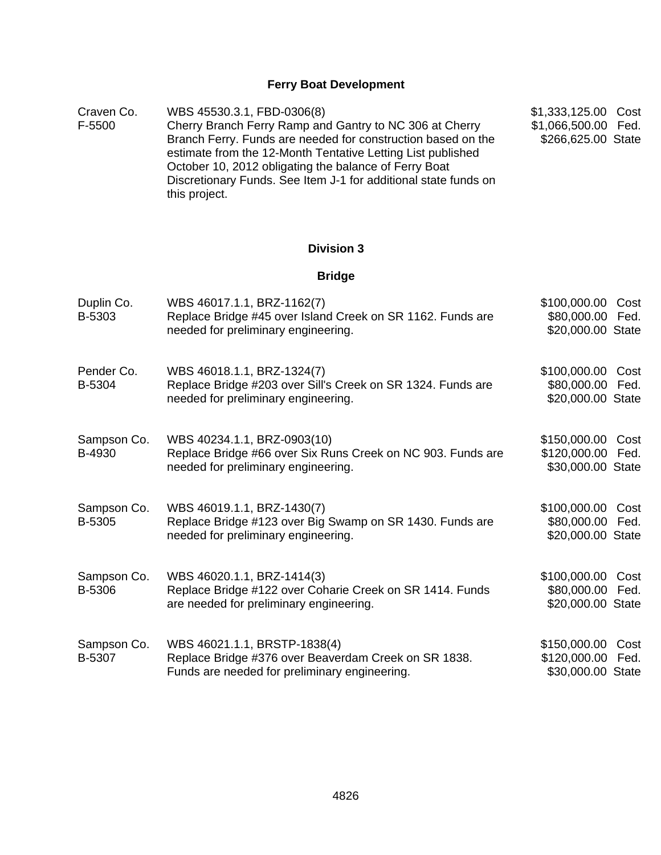# **Ferry Boat Development**

| Craven Co. | WBS 45530.3.1, FBD-0306(8)                                      | \$1,333,125.00 Cost |  |
|------------|-----------------------------------------------------------------|---------------------|--|
| F-5500     | Cherry Branch Ferry Ramp and Gantry to NC 306 at Cherry         | \$1,066,500.00 Fed. |  |
|            | Branch Ferry. Funds are needed for construction based on the    | \$266,625.00 State  |  |
|            | estimate from the 12-Month Tentative Letting List published     |                     |  |
|            | October 10, 2012 obligating the balance of Ferry Boat           |                     |  |
|            | Discretionary Funds. See Item J-1 for additional state funds on |                     |  |
|            | this project.                                                   |                     |  |

# **Division 3**

# **Bridge**

| Duplin Co.<br>B-5303         | WBS 46017.1.1, BRZ-1162(7)<br>Replace Bridge #45 over Island Creek on SR 1162. Funds are<br>needed for preliminary engineering.       | \$100,000.00<br>Cost<br>\$80,000.00<br>Fed.<br>\$20,000.00 State  |
|------------------------------|---------------------------------------------------------------------------------------------------------------------------------------|-------------------------------------------------------------------|
| Pender Co.<br>B-5304         | WBS 46018.1.1, BRZ-1324(7)<br>Replace Bridge #203 over Sill's Creek on SR 1324. Funds are<br>needed for preliminary engineering.      | \$100,000.00<br>Cost<br>\$80,000.00<br>Fed.<br>\$20,000.00 State  |
| Sampson Co.<br>B-4930        | WBS 40234.1.1, BRZ-0903(10)<br>Replace Bridge #66 over Six Runs Creek on NC 903. Funds are<br>needed for preliminary engineering.     | \$150,000.00<br>Cost<br>\$120,000.00 Fed.<br>\$30,000.00 State    |
| Sampson Co.<br><b>B-5305</b> | WBS 46019.1.1, BRZ-1430(7)<br>Replace Bridge #123 over Big Swamp on SR 1430. Funds are<br>needed for preliminary engineering.         | \$100,000.00<br>Cost<br>\$80,000.00<br>Fed.<br>\$20,000.00 State  |
| Sampson Co.<br>B-5306        | WBS 46020.1.1, BRZ-1414(3)<br>Replace Bridge #122 over Coharie Creek on SR 1414. Funds<br>are needed for preliminary engineering.     | \$100,000.00<br>Cost<br>\$80,000.00<br>Fed.<br>\$20,000.00 State  |
| Sampson Co.<br>B-5307        | WBS 46021.1.1, BRSTP-1838(4)<br>Replace Bridge #376 over Beaverdam Creek on SR 1838.<br>Funds are needed for preliminary engineering. | \$150,000.00<br>Cost<br>\$120,000.00<br>Fed.<br>\$30,000.00 State |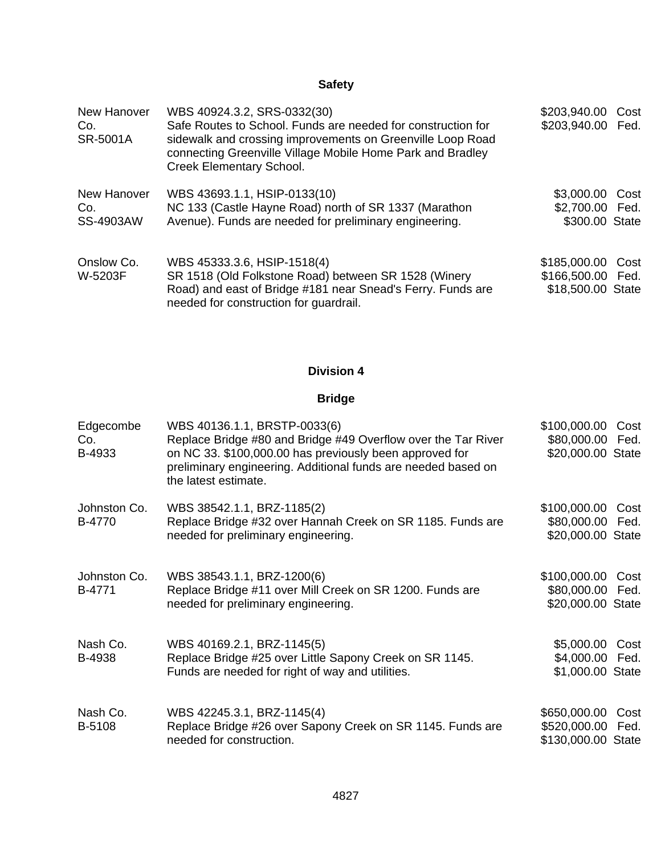# **Safety**

| New Hanover<br>Co.<br>SR-5001A  | WBS 40924.3.2, SRS-0332(30)<br>Safe Routes to School. Funds are needed for construction for<br>sidewalk and crossing improvements on Greenville Loop Road<br>connecting Greenville Village Mobile Home Park and Bradley<br>Creek Elementary School. | \$203,940.00<br>\$203,940.00 Fed.                           | Cost |
|---------------------------------|-----------------------------------------------------------------------------------------------------------------------------------------------------------------------------------------------------------------------------------------------------|-------------------------------------------------------------|------|
| New Hanover<br>Co.<br>SS-4903AW | WBS 43693.1.1, HSIP-0133(10)<br>NC 133 (Castle Hayne Road) north of SR 1337 (Marathon<br>Avenue). Funds are needed for preliminary engineering.                                                                                                     | \$3,000.00 Cost<br>\$2,700.00 Fed.<br>\$300.00 State        |      |
| Onslow Co.<br>W-5203F           | WBS 45333.3.6, HSIP-1518(4)<br>SR 1518 (Old Folkstone Road) between SR 1528 (Winery<br>Road) and east of Bridge #181 near Snead's Ferry. Funds are<br>needed for construction for guardrail.                                                        | \$185,000.00 Cost<br>\$166,500.00 Fed.<br>\$18,500.00 State |      |

# **Division 4**

# **Bridge**

| Edgecombe<br>Co.<br>B-4933 | WBS 40136.1.1, BRSTP-0033(6)<br>Replace Bridge #80 and Bridge #49 Overflow over the Tar River<br>on NC 33. \$100,000.00 has previously been approved for<br>preliminary engineering. Additional funds are needed based on<br>the latest estimate. | \$100,000.00<br>\$80,000.00 Fed.<br>\$20,000.00 State   | Cost         |
|----------------------------|---------------------------------------------------------------------------------------------------------------------------------------------------------------------------------------------------------------------------------------------------|---------------------------------------------------------|--------------|
| Johnston Co.<br>B-4770     | WBS 38542.1.1, BRZ-1185(2)<br>Replace Bridge #32 over Hannah Creek on SR 1185. Funds are<br>needed for preliminary engineering.                                                                                                                   | \$100,000.00<br>\$80,000.00 Fed.<br>\$20,000.00 State   | Cost         |
| Johnston Co.<br>B-4771     | WBS 38543.1.1, BRZ-1200(6)<br>Replace Bridge #11 over Mill Creek on SR 1200. Funds are<br>needed for preliminary engineering.                                                                                                                     | \$100,000.00<br>\$80,000.00<br>\$20,000.00 State        | Cost<br>Fed. |
| Nash Co.<br>B-4938         | WBS 40169.2.1, BRZ-1145(5)<br>Replace Bridge #25 over Little Sapony Creek on SR 1145.<br>Funds are needed for right of way and utilities.                                                                                                         | \$5,000.00<br>\$4,000.00 Fed.<br>\$1,000.00 State       | Cost         |
| Nash Co.<br>B-5108         | WBS 42245.3.1, BRZ-1145(4)<br>Replace Bridge #26 over Sapony Creek on SR 1145. Funds are<br>needed for construction.                                                                                                                              | \$650,000.00<br>\$520,000.00 Fed.<br>\$130,000.00 State | Cost         |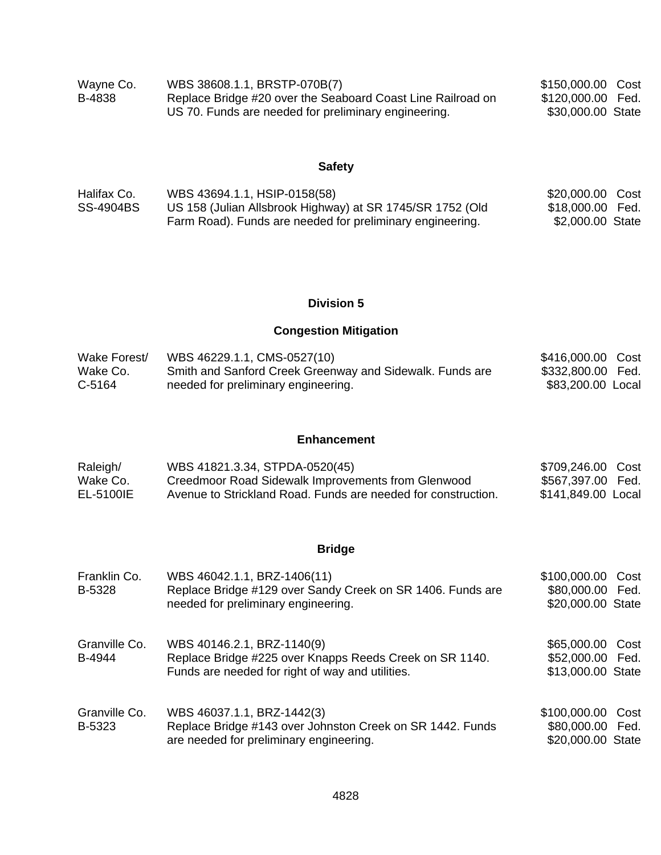| Wayne Co. | WBS 38608.1.1, BRSTP-070B(7)                                | \$150,000.00 Cost |  |
|-----------|-------------------------------------------------------------|-------------------|--|
| B-4838    | Replace Bridge #20 over the Seaboard Coast Line Railroad on | \$120,000.00 Fed. |  |
|           | US 70. Funds are needed for preliminary engineering.        | \$30,000.00 State |  |

# **Safety**

| Halifax Co. | WBS 43694.1.1, HSIP-0158(58)                              | \$20,000.00 Cost |  |
|-------------|-----------------------------------------------------------|------------------|--|
| SS-4904BS   | US 158 (Julian Allsbrook Highway) at SR 1745/SR 1752 (Old | \$18,000.00 Fed. |  |
|             | Farm Road). Funds are needed for preliminary engineering. | \$2,000.00 State |  |

## **Division 5**

# **Congestion Mitigation**

| Wake Forest/ | WBS 46229.1.1, CMS-0527(10)                              | \$416,000.00 Cost |  |
|--------------|----------------------------------------------------------|-------------------|--|
| Wake Co.     | Smith and Sanford Creek Greenway and Sidewalk. Funds are | \$332,800.00 Fed. |  |
| C-5164       | needed for preliminary engineering.                      | \$83,200.00 Local |  |

## **Enhancement**

| Raleigh/  | WBS 41821.3.34, STPDA-0520(45)                                | \$709,246.00 Cost  |  |
|-----------|---------------------------------------------------------------|--------------------|--|
| Wake Co.  | Creedmoor Road Sidewalk Improvements from Glenwood            | \$567,397.00 Fed.  |  |
| EL-5100IE | Avenue to Strickland Road. Funds are needed for construction. | \$141,849.00 Local |  |

# **Bridge**

| Franklin Co.<br>B-5328  | WBS 46042.1.1, BRZ-1406(11)<br>Replace Bridge #129 over Sandy Creek on SR 1406. Funds are<br>needed for preliminary engineering.          | \$100,000.00<br>\$80,000.00 Fed.<br>\$20,000.00 State | Cost |
|-------------------------|-------------------------------------------------------------------------------------------------------------------------------------------|-------------------------------------------------------|------|
| Granville Co.<br>B-4944 | WBS 40146.2.1, BRZ-1140(9)<br>Replace Bridge #225 over Knapps Reeds Creek on SR 1140.<br>Funds are needed for right of way and utilities. | \$65,000.00<br>\$52,000.00 Fed.<br>\$13,000.00 State  | Cost |
| Granville Co.<br>B-5323 | WBS 46037.1.1, BRZ-1442(3)<br>Replace Bridge #143 over Johnston Creek on SR 1442. Funds<br>are needed for preliminary engineering.        | \$100,000.00<br>\$80,000.00 Fed.<br>\$20,000.00 State | Cost |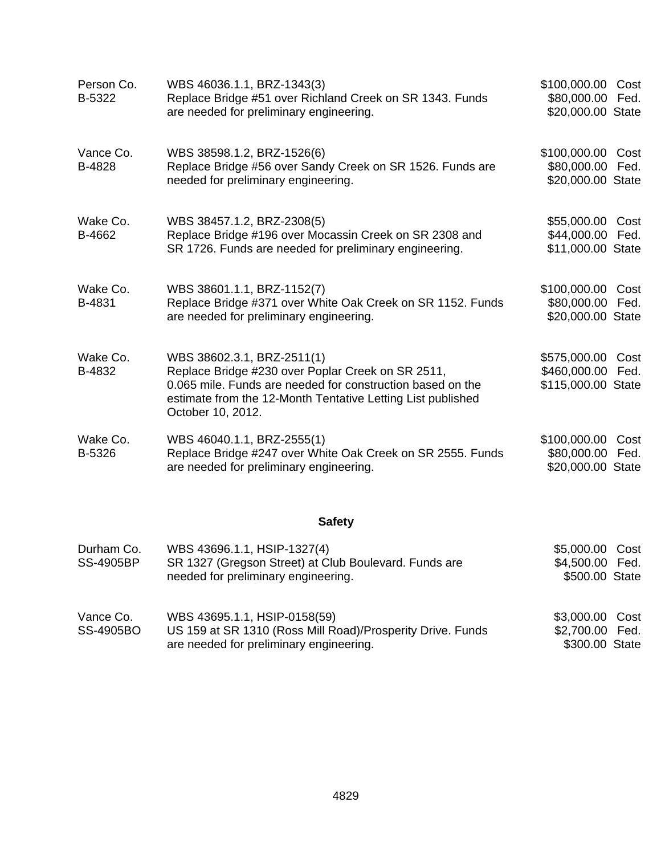| Person Co.<br>B-5322 | WBS 46036.1.1, BRZ-1343(3)<br>Replace Bridge #51 over Richland Creek on SR 1343. Funds<br>are needed for preliminary engineering.                                                                                                 | \$100,000.00 Cost<br>\$80,000.00 Fed.<br>\$20,000.00 State   |      |
|----------------------|-----------------------------------------------------------------------------------------------------------------------------------------------------------------------------------------------------------------------------------|--------------------------------------------------------------|------|
| Vance Co.<br>B-4828  | WBS 38598.1.2, BRZ-1526(6)<br>Replace Bridge #56 over Sandy Creek on SR 1526. Funds are<br>needed for preliminary engineering.                                                                                                    | \$100,000.00 Cost<br>\$80,000.00 Fed.<br>\$20,000.00 State   |      |
| Wake Co.<br>B-4662   | WBS 38457.1.2, BRZ-2308(5)<br>Replace Bridge #196 over Mocassin Creek on SR 2308 and<br>SR 1726. Funds are needed for preliminary engineering.                                                                                    | \$55,000.00 Cost<br>\$44,000.00 Fed.<br>\$11,000.00 State    |      |
| Wake Co.<br>B-4831   | WBS 38601.1.1, BRZ-1152(7)<br>Replace Bridge #371 over White Oak Creek on SR 1152. Funds<br>are needed for preliminary engineering.                                                                                               | \$100,000.00 Cost<br>\$80,000.00 Fed.<br>\$20,000.00 State   |      |
| Wake Co.<br>B-4832   | WBS 38602.3.1, BRZ-2511(1)<br>Replace Bridge #230 over Poplar Creek on SR 2511,<br>0.065 mile. Funds are needed for construction based on the<br>estimate from the 12-Month Tentative Letting List published<br>October 10, 2012. | \$575,000.00 Cost<br>\$460,000.00 Fed.<br>\$115,000.00 State |      |
| Wake Co.<br>B-5326   | WBS 46040.1.1, BRZ-2555(1)<br>Replace Bridge #247 over White Oak Creek on SR 2555. Funds<br>are needed for preliminary engineering.                                                                                               | \$100,000.00<br>\$80,000.00 Fed.<br>\$20,000.00 State        | Cost |
|                      | <b>Safety</b>                                                                                                                                                                                                                     |                                                              |      |
| Durham Co.           | WBS 43696.1.1, HSIP-1327(4)                                                                                                                                                                                                       | \$5,000.00 Cost                                              |      |

| <b>SS-4905BP</b>       | SR 1327 (Gregson Street) at Club Boulevard. Funds are<br>needed for preliminary engineering.                                          | \$4,500.00 Fed.<br>\$500.00 State                    |
|------------------------|---------------------------------------------------------------------------------------------------------------------------------------|------------------------------------------------------|
| Vance Co.<br>SS-4905BO | WBS 43695.1.1, HSIP-0158(59)<br>US 159 at SR 1310 (Ross Mill Road)/Prosperity Drive. Funds<br>are needed for preliminary engineering. | \$3,000.00 Cost<br>\$2,700.00 Fed.<br>\$300.00 State |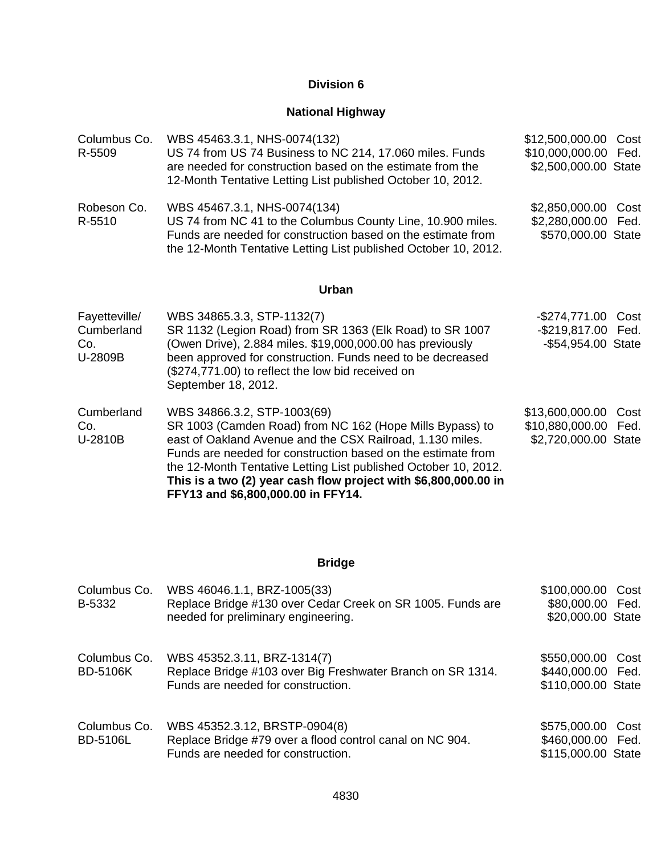### **Division 6**

# **National Highway**

| Columbus Co.<br>R-5509                        | WBS 45463.3.1, NHS-0074(132)<br>US 74 from US 74 Business to NC 214, 17.060 miles. Funds<br>are needed for construction based on the estimate from the<br>12-Month Tentative Letting List published October 10, 2012.                                                                                                                                                                            | \$12,500,000.00<br>\$10,000,000.00<br>\$2,500,000.00 State     | Cost<br>Fed. |
|-----------------------------------------------|--------------------------------------------------------------------------------------------------------------------------------------------------------------------------------------------------------------------------------------------------------------------------------------------------------------------------------------------------------------------------------------------------|----------------------------------------------------------------|--------------|
| Robeson Co.<br>R-5510                         | WBS 45467.3.1, NHS-0074(134)<br>US 74 from NC 41 to the Columbus County Line, 10.900 miles.<br>Funds are needed for construction based on the estimate from<br>the 12-Month Tentative Letting List published October 10, 2012.                                                                                                                                                                   | \$2,850,000.00<br>\$2,280,000.00<br>\$570,000.00 State         | Cost<br>Fed. |
|                                               | <b>Urban</b>                                                                                                                                                                                                                                                                                                                                                                                     |                                                                |              |
| Fayetteville/<br>Cumberland<br>Co.<br>U-2809B | WBS 34865.3.3, STP-1132(7)<br>SR 1132 (Legion Road) from SR 1363 (Elk Road) to SR 1007<br>(Owen Drive), 2.884 miles. \$19,000,000.00 has previously<br>been approved for construction. Funds need to be decreased<br>(\$274,771.00) to reflect the low bid received on<br>September 18, 2012.                                                                                                    | -\$274,771.00 Cost<br>-\$219,817.00 Fed.<br>-\$54,954.00 State |              |
| Cumberland<br>Co.<br>U-2810B                  | WBS 34866.3.2, STP-1003(69)<br>SR 1003 (Camden Road) from NC 162 (Hope Mills Bypass) to<br>east of Oakland Avenue and the CSX Railroad, 1.130 miles.<br>Funds are needed for construction based on the estimate from<br>the 12-Month Tentative Letting List published October 10, 2012.<br>This is a two (2) year cash flow project with \$6,800,000.00 in<br>FFY13 and \$6,800,000.00 in FFY14. | \$13,600,000.00<br>\$10,880,000.00<br>\$2,720,000.00 State     | Cost<br>Fed. |

| Columbus Co.<br>B-5332          | WBS 46046.1.1, BRZ-1005(33)<br>Replace Bridge #130 over Cedar Creek on SR 1005. Funds are<br>needed for preliminary engineering. | \$100,000.00 Cost<br>\$80,000.00 Fed.<br>\$20,000.00 State   |  |
|---------------------------------|----------------------------------------------------------------------------------------------------------------------------------|--------------------------------------------------------------|--|
| Columbus Co.<br><b>BD-5106K</b> | WBS 45352.3.11, BRZ-1314(7)<br>Replace Bridge #103 over Big Freshwater Branch on SR 1314.<br>Funds are needed for construction.  | \$550,000.00 Cost<br>\$440,000.00 Fed.<br>\$110,000.00 State |  |
| Columbus Co.<br><b>BD-5106L</b> | WBS 45352.3.12, BRSTP-0904(8)<br>Replace Bridge #79 over a flood control canal on NC 904.<br>Funds are needed for construction.  | \$575,000.00 Cost<br>\$460,000.00 Fed.<br>\$115,000.00 State |  |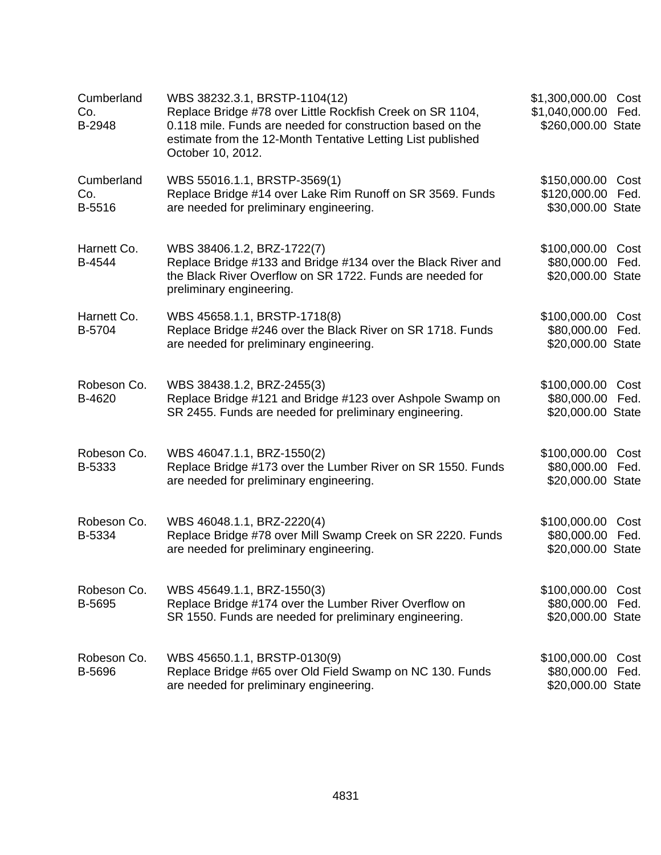| Cumberland<br>Co.<br>B-2948 | WBS 38232.3.1, BRSTP-1104(12)<br>Replace Bridge #78 over Little Rockfish Creek on SR 1104,<br>0.118 mile. Funds are needed for construction based on the<br>estimate from the 12-Month Tentative Letting List published<br>October 10, 2012. | \$1,300,000.00<br>\$1,040,000.00<br>\$260,000.00 State     | Cost<br>Fed. |
|-----------------------------|----------------------------------------------------------------------------------------------------------------------------------------------------------------------------------------------------------------------------------------------|------------------------------------------------------------|--------------|
| Cumberland<br>Co.<br>B-5516 | WBS 55016.1.1, BRSTP-3569(1)<br>Replace Bridge #14 over Lake Rim Runoff on SR 3569. Funds<br>are needed for preliminary engineering.                                                                                                         | \$150,000.00 Cost<br>\$120,000.00<br>\$30,000.00 State     | Fed.         |
| Harnett Co.<br>B-4544       | WBS 38406.1.2, BRZ-1722(7)<br>Replace Bridge #133 and Bridge #134 over the Black River and<br>the Black River Overflow on SR 1722. Funds are needed for<br>preliminary engineering.                                                          | \$100,000.00<br>\$80,000.00<br>\$20,000.00 State           | Cost<br>Fed. |
| Harnett Co.<br>B-5704       | WBS 45658.1.1, BRSTP-1718(8)<br>Replace Bridge #246 over the Black River on SR 1718. Funds<br>are needed for preliminary engineering.                                                                                                        | \$100,000.00 Cost<br>\$80,000.00 Fed.<br>\$20,000.00 State |              |
| Robeson Co.<br>B-4620       | WBS 38438.1.2, BRZ-2455(3)<br>Replace Bridge #121 and Bridge #123 over Ashpole Swamp on<br>SR 2455. Funds are needed for preliminary engineering.                                                                                            | \$100,000.00<br>\$80,000.00<br>\$20,000.00 State           | Cost<br>Fed. |
| Robeson Co.<br>B-5333       | WBS 46047.1.1, BRZ-1550(2)<br>Replace Bridge #173 over the Lumber River on SR 1550. Funds<br>are needed for preliminary engineering.                                                                                                         | \$100,000.00<br>\$80,000.00<br>\$20,000.00 State           | Cost<br>Fed. |
| Robeson Co.<br>B-5334       | WBS 46048.1.1, BRZ-2220(4)<br>Replace Bridge #78 over Mill Swamp Creek on SR 2220. Funds<br>are needed for preliminary engineering.                                                                                                          | \$100,000.00<br>\$80,000.00 Fed.<br>\$20,000.00 State      | Cost         |
| Robeson Co.<br>B-5695       | WBS 45649.1.1, BRZ-1550(3)<br>Replace Bridge #174 over the Lumber River Overflow on<br>SR 1550. Funds are needed for preliminary engineering.                                                                                                | \$100,000.00<br>\$80,000.00<br>\$20,000.00 State           | Cost<br>Fed. |
| Robeson Co.<br>B-5696       | WBS 45650.1.1, BRSTP-0130(9)<br>Replace Bridge #65 over Old Field Swamp on NC 130. Funds<br>are needed for preliminary engineering.                                                                                                          | \$100,000.00<br>\$80,000.00<br>\$20,000.00 State           | Cost<br>Fed. |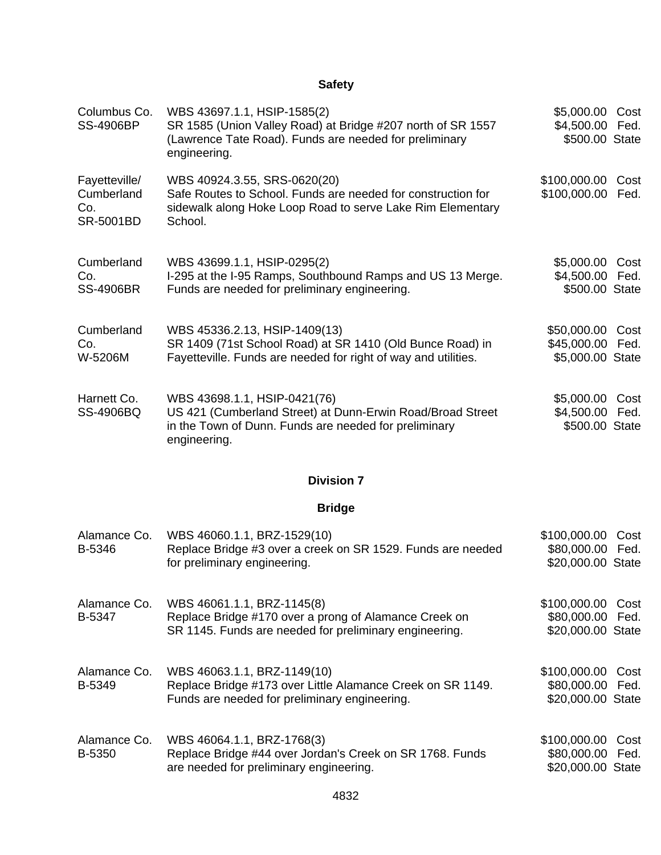| Columbus Co.<br><b>SS-4906BP</b>                | WBS 43697.1.1, HSIP-1585(2)<br>SR 1585 (Union Valley Road) at Bridge #207 north of SR 1557<br>(Lawrence Tate Road). Funds are needed for preliminary<br>engineering.  | \$5,000.00 Cost<br>\$4,500.00<br>\$500.00 State          | Fed.         |
|-------------------------------------------------|-----------------------------------------------------------------------------------------------------------------------------------------------------------------------|----------------------------------------------------------|--------------|
| Fayetteville/<br>Cumberland<br>Co.<br>SR-5001BD | WBS 40924.3.55, SRS-0620(20)<br>Safe Routes to School. Funds are needed for construction for<br>sidewalk along Hoke Loop Road to serve Lake Rim Elementary<br>School. | \$100,000.00 Cost<br>\$100,000.00                        | Fed.         |
| Cumberland<br>Co.<br><b>SS-4906BR</b>           | WBS 43699.1.1, HSIP-0295(2)<br>I-295 at the I-95 Ramps, Southbound Ramps and US 13 Merge.<br>Funds are needed for preliminary engineering.                            | \$5,000.00<br>\$4,500.00<br>\$500.00 State               | Cost<br>Fed. |
| Cumberland<br>Co.<br>W-5206M                    | WBS 45336.2.13, HSIP-1409(13)<br>SR 1409 (71st School Road) at SR 1410 (Old Bunce Road) in<br>Fayetteville. Funds are needed for right of way and utilities.          | \$50,000.00 Cost<br>\$45,000.00 Fed.<br>\$5,000.00 State |              |
| Harnett Co.<br>SS-4906BQ                        | WBS 43698.1.1, HSIP-0421(76)<br>US 421 (Cumberland Street) at Dunn-Erwin Road/Broad Street<br>in the Town of Dunn. Funds are needed for preliminary<br>engineering.   | \$5,000.00<br>\$4,500.00<br>\$500.00 State               | Cost<br>Fed. |
|                                                 | <b>Division 7</b>                                                                                                                                                     |                                                          |              |
|                                                 | <b>Bridge</b>                                                                                                                                                         |                                                          |              |
| Alamance Co.<br>B-5346                          | WBS 46060.1.1, BRZ-1529(10)<br>Replace Bridge #3 over a creek on SR 1529. Funds are needed<br>for preliminary engineering.                                            | \$100,000.00<br>\$80,000.00 Fed.<br>\$20,000.00 State    | Cost         |
| Alamance Co.<br>B-5347                          | WBS 46061.1.1, BRZ-1145(8)<br>Replace Bridge #170 over a prong of Alamance Creek on<br>SR 1145. Funds are needed for preliminary engineering.                         | \$100,000.00<br>\$80,000.00<br>\$20,000.00 State         | Cost<br>Fed. |
| Alamance Co.<br>B-5349                          | WBS 46063.1.1, BRZ-1149(10)<br>Replace Bridge #173 over Little Alamance Creek on SR 1149.<br>Funds are needed for preliminary engineering.                            | \$100,000.00<br>\$80,000.00<br>\$20,000.00 State         | Cost<br>Fed. |
| Alamance Co.<br>B-5350                          | WBS 46064.1.1, BRZ-1768(3)<br>Replace Bridge #44 over Jordan's Creek on SR 1768. Funds<br>are needed for preliminary engineering.                                     | \$100,000.00<br>\$80,000.00<br>\$20,000.00 State         | Cost<br>Fed. |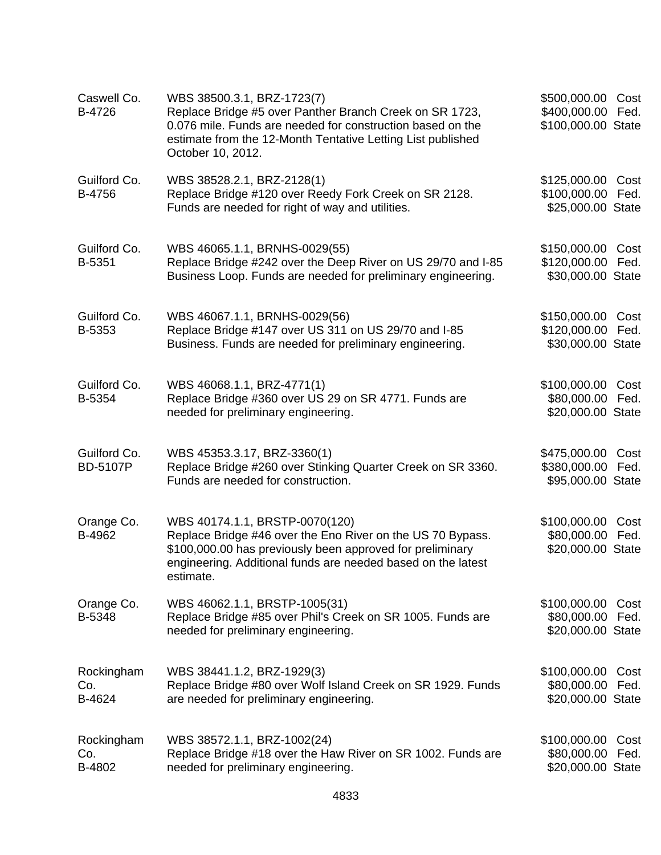| Caswell Co.<br>B-4726           | WBS 38500.3.1, BRZ-1723(7)<br>Replace Bridge #5 over Panther Branch Creek on SR 1723,<br>0.076 mile. Funds are needed for construction based on the<br>estimate from the 12-Month Tentative Letting List published<br>October 10, 2012. | \$500,000.00<br>\$400,000.00<br>\$100,000.00 State     | Cost<br>Fed. |
|---------------------------------|-----------------------------------------------------------------------------------------------------------------------------------------------------------------------------------------------------------------------------------------|--------------------------------------------------------|--------------|
| Guilford Co.<br>B-4756          | WBS 38528.2.1, BRZ-2128(1)<br>Replace Bridge #120 over Reedy Fork Creek on SR 2128.<br>Funds are needed for right of way and utilities.                                                                                                 | \$125,000.00<br>\$100,000.00<br>\$25,000.00 State      | Cost<br>Fed. |
| Guilford Co.<br>B-5351          | WBS 46065.1.1, BRNHS-0029(55)<br>Replace Bridge #242 over the Deep River on US 29/70 and I-85<br>Business Loop. Funds are needed for preliminary engineering.                                                                           | \$150,000.00<br>\$120,000.00<br>\$30,000.00 State      | Cost<br>Fed. |
| Guilford Co.<br>B-5353          | WBS 46067.1.1, BRNHS-0029(56)<br>Replace Bridge #147 over US 311 on US 29/70 and I-85<br>Business. Funds are needed for preliminary engineering.                                                                                        | \$150,000.00 Cost<br>\$120,000.00<br>\$30,000.00 State | Fed.         |
| Guilford Co.<br>B-5354          | WBS 46068.1.1, BRZ-4771(1)<br>Replace Bridge #360 over US 29 on SR 4771. Funds are<br>needed for preliminary engineering.                                                                                                               | \$100,000.00<br>\$80,000.00<br>\$20,000.00 State       | Cost<br>Fed. |
| Guilford Co.<br><b>BD-5107P</b> | WBS 45353.3.17, BRZ-3360(1)<br>Replace Bridge #260 over Stinking Quarter Creek on SR 3360.<br>Funds are needed for construction.                                                                                                        | \$475,000.00<br>\$380,000.00<br>\$95,000.00 State      | Cost<br>Fed. |
| Orange Co.<br>B-4962            | WBS 40174.1.1, BRSTP-0070(120)<br>Replace Bridge #46 over the Eno River on the US 70 Bypass.<br>\$100,000.00 has previously been approved for preliminary<br>engineering. Additional funds are needed based on the latest<br>estimate.  | \$100,000.00<br>\$80,000.00<br>\$20,000.00 State       | Cost<br>Fed. |
| Orange Co.<br>B-5348            | WBS 46062.1.1, BRSTP-1005(31)<br>Replace Bridge #85 over Phil's Creek on SR 1005. Funds are<br>needed for preliminary engineering.                                                                                                      | \$100,000.00<br>\$80,000.00<br>\$20,000.00 State       | Cost<br>Fed. |
| Rockingham<br>Co.<br>B-4624     | WBS 38441.1.2, BRZ-1929(3)<br>Replace Bridge #80 over Wolf Island Creek on SR 1929. Funds<br>are needed for preliminary engineering.                                                                                                    | \$100,000.00<br>\$80,000.00<br>\$20,000.00 State       | Cost<br>Fed. |
| Rockingham<br>Co.<br>B-4802     | WBS 38572.1.1, BRZ-1002(24)<br>Replace Bridge #18 over the Haw River on SR 1002. Funds are<br>needed for preliminary engineering.                                                                                                       | \$100,000.00<br>\$80,000.00<br>\$20,000.00 State       | Cost<br>Fed. |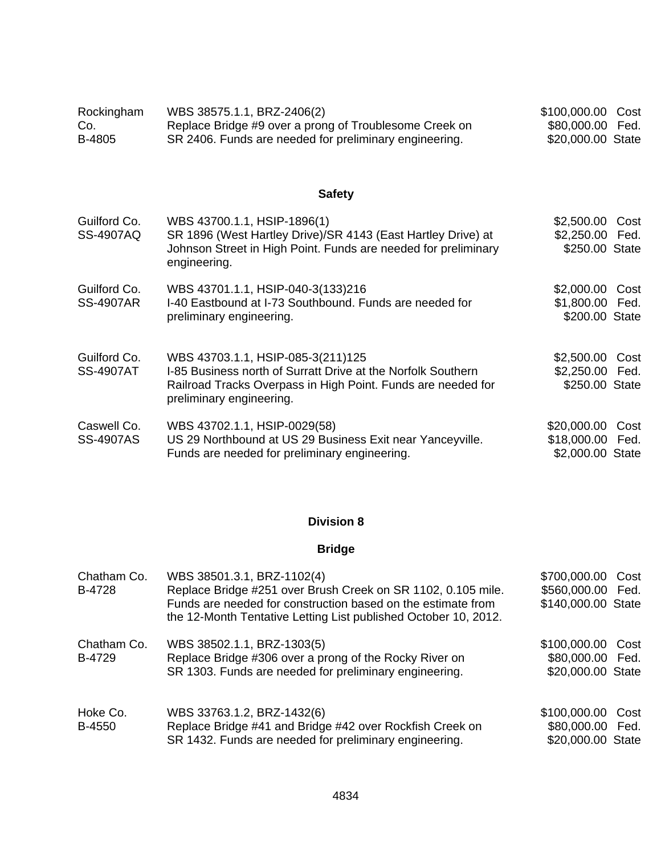| Rockingham | WBS 38575.1.1, BRZ-2406(2)                             | \$100,000.00 Cost |  |
|------------|--------------------------------------------------------|-------------------|--|
| Co.        | Replace Bridge #9 over a prong of Troublesome Creek on | \$80,000.00 Fed.  |  |
| B-4805     | SR 2406. Funds are needed for preliminary engineering. | \$20,000.00 State |  |

| Guilford Co.<br><b>SS-4907AQ</b> | WBS 43700.1.1, HSIP-1896(1)<br>SR 1896 (West Hartley Drive)/SR 4143 (East Hartley Drive) at<br>Johnson Street in High Point. Funds are needed for preliminary<br>engineering.                 | \$2,500.00 Cost<br>\$2,250.00 Fed.<br>\$250.00 State        |
|----------------------------------|-----------------------------------------------------------------------------------------------------------------------------------------------------------------------------------------------|-------------------------------------------------------------|
| Guilford Co.<br><b>SS-4907AR</b> | WBS 43701.1.1, HSIP-040-3(133)216<br>I-40 Eastbound at I-73 Southbound. Funds are needed for<br>preliminary engineering.                                                                      | \$2,000.00 Cost<br>\$1,800.00 Fed.<br>\$200.00 State        |
| Guilford Co.<br><b>SS-4907AT</b> | WBS 43703.1.1, HSIP-085-3(211)125<br>I-85 Business north of Surratt Drive at the Norfolk Southern<br>Railroad Tracks Overpass in High Point. Funds are needed for<br>preliminary engineering. | \$2,500.00 Cost<br>\$2,250.00 Fed.<br>\$250.00 State        |
| Caswell Co.<br><b>SS-4907AS</b>  | WBS 43702.1.1, HSIP-0029(58)<br>US 29 Northbound at US 29 Business Exit near Yanceyville.<br>Funds are needed for preliminary engineering.                                                    | \$20,000.00<br>Cost<br>\$18,000.00 Fed.<br>\$2,000.00 State |

# **Division 8**

| Chatham Co.<br>B-4728 | WBS 38501.3.1, BRZ-1102(4)<br>Replace Bridge #251 over Brush Creek on SR 1102, 0.105 mile.<br>Funds are needed for construction based on the estimate from<br>the 12-Month Tentative Letting List published October 10, 2012. | \$700,000.00<br>\$560,000.00 Fed.<br>\$140,000.00 State | Cost |
|-----------------------|-------------------------------------------------------------------------------------------------------------------------------------------------------------------------------------------------------------------------------|---------------------------------------------------------|------|
| Chatham Co.<br>B-4729 | WBS 38502.1.1, BRZ-1303(5)<br>Replace Bridge #306 over a prong of the Rocky River on<br>SR 1303. Funds are needed for preliminary engineering.                                                                                | \$100,000.00<br>\$80,000.00 Fed.<br>\$20,000.00 State   | Cost |
| Hoke Co.<br>B-4550    | WBS 33763.1.2, BRZ-1432(6)<br>Replace Bridge #41 and Bridge #42 over Rockfish Creek on<br>SR 1432. Funds are needed for preliminary engineering.                                                                              | \$100,000.00<br>\$80,000.00 Fed.<br>\$20,000.00 State   | Cost |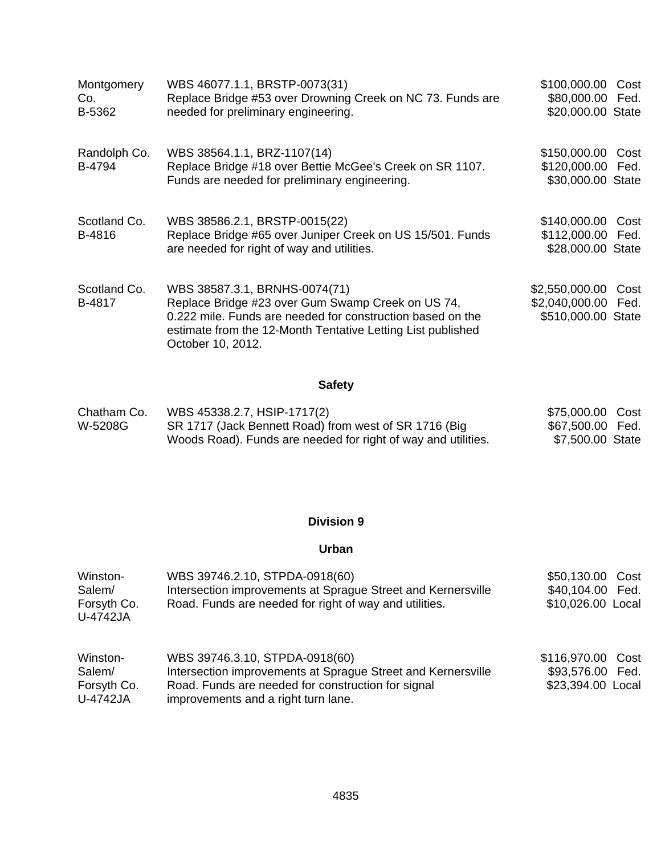| Montgomery<br>Co.<br>B-5362 | WBS 46077.1.1, BRSTP-0073(31)<br>Replace Bridge #53 over Drowning Creek on NC 73. Funds are<br>needed for preliminary engineering.                                                                                                   | \$100,000.00 Cost<br>\$80,000.00 Fed.<br>\$20,000.00 State  |      |
|-----------------------------|--------------------------------------------------------------------------------------------------------------------------------------------------------------------------------------------------------------------------------------|-------------------------------------------------------------|------|
| Randolph Co.<br>B-4794      | WBS 38564.1.1, BRZ-1107(14)<br>Replace Bridge #18 over Bettie McGee's Creek on SR 1107.<br>Funds are needed for preliminary engineering.                                                                                             | \$150,000.00 Cost<br>\$120,000.00 Fed.<br>\$30,000.00 State |      |
| Scotland Co.<br>B-4816      | WBS 38586.2.1, BRSTP-0015(22)<br>Replace Bridge #65 over Juniper Creek on US 15/501. Funds<br>are needed for right of way and utilities.                                                                                             | \$140,000.00 Cost<br>\$112,000.00 Fed.<br>\$28,000.00 State |      |
| Scotland Co.<br>B-4817      | WBS 38587.3.1, BRNHS-0074(71)<br>Replace Bridge #23 over Gum Swamp Creek on US 74,<br>0.222 mile. Funds are needed for construction based on the<br>estimate from the 12-Month Tentative Letting List published<br>October 10, 2012. | \$2,550,000.00<br>\$2,040,000.00 Fed.<br>\$510,000.00 State | Cost |

| Chatham Co. | WBS 45338.2.7, HSIP-1717(2)                                   | \$75,000.00 Cost |  |
|-------------|---------------------------------------------------------------|------------------|--|
| W-5208G     | SR 1717 (Jack Bennett Road) from west of SR 1716 (Big         | \$67,500.00 Fed. |  |
|             | Woods Road). Funds are needed for right of way and utilities. | \$7,500.00 State |  |

### **Division 9**

# **Urban**

| Winston-<br>Salem/<br>Forsyth Co.<br>U-4742JA | WBS 39746.2.10, STPDA-0918(60)<br>Intersection improvements at Sprague Street and Kernersville<br>Road. Funds are needed for right of way and utilities.                                    | \$50,130.00 Cost<br>\$40,104.00<br>Fed.<br>\$10,026.00 Local |
|-----------------------------------------------|---------------------------------------------------------------------------------------------------------------------------------------------------------------------------------------------|--------------------------------------------------------------|
| Winston-<br>Salem/<br>Forsyth Co.<br>U-4742JA | WBS 39746.3.10, STPDA-0918(60)<br>Intersection improvements at Sprague Street and Kernersville<br>Road. Funds are needed for construction for signal<br>improvements and a right turn lane. | \$116,970.00 Cost<br>\$93,576.00 Fed.<br>\$23,394.00 Local   |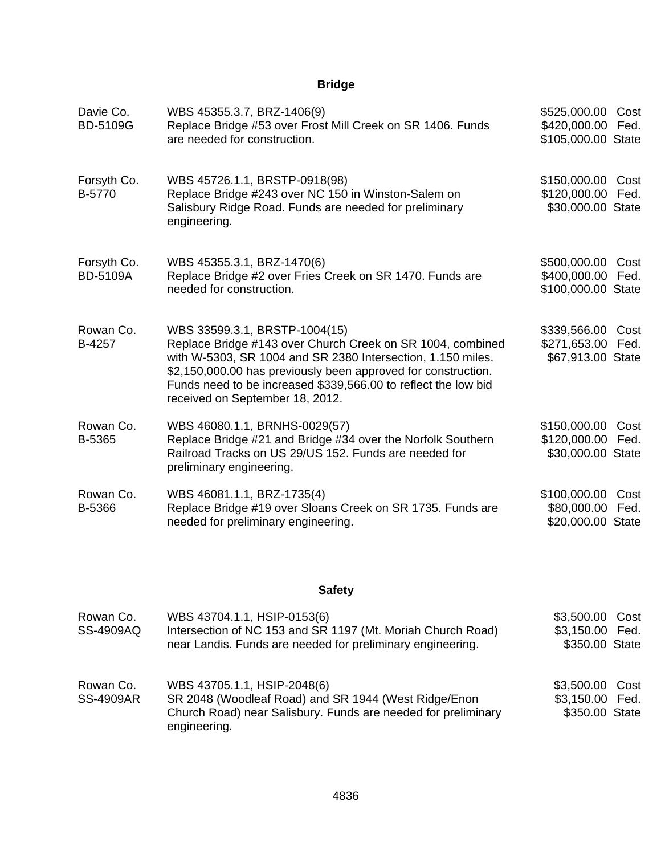# **Bridge**

| Davie Co.<br><b>BD-5109G</b>   | WBS 45355.3.7, BRZ-1406(9)<br>Replace Bridge #53 over Frost Mill Creek on SR 1406. Funds<br>are needed for construction.                                                                                                                                                                                                         | \$525,000.00 Cost<br>\$420,000.00<br>\$105,000.00 State | Fed.         |
|--------------------------------|----------------------------------------------------------------------------------------------------------------------------------------------------------------------------------------------------------------------------------------------------------------------------------------------------------------------------------|---------------------------------------------------------|--------------|
| Forsyth Co.<br>B-5770          | WBS 45726.1.1, BRSTP-0918(98)<br>Replace Bridge #243 over NC 150 in Winston-Salem on<br>Salisbury Ridge Road. Funds are needed for preliminary<br>engineering.                                                                                                                                                                   | \$150,000.00 Cost<br>\$120,000.00<br>\$30,000.00 State  | Fed.         |
| Forsyth Co.<br><b>BD-5109A</b> | WBS 45355.3.1, BRZ-1470(6)<br>Replace Bridge #2 over Fries Creek on SR 1470. Funds are<br>needed for construction.                                                                                                                                                                                                               | \$500,000.00<br>\$400,000.00<br>\$100,000.00 State      | Cost<br>Fed. |
| Rowan Co.<br>B-4257            | WBS 33599.3.1, BRSTP-1004(15)<br>Replace Bridge #143 over Church Creek on SR 1004, combined<br>with W-5303, SR 1004 and SR 2380 Intersection, 1.150 miles.<br>\$2,150,000.00 has previously been approved for construction.<br>Funds need to be increased \$339,566.00 to reflect the low bid<br>received on September 18, 2012. | \$339,566.00 Cost<br>\$271,653.00<br>\$67,913.00 State  | Fed.         |
| Rowan Co.<br>B-5365            | WBS 46080.1.1, BRNHS-0029(57)<br>Replace Bridge #21 and Bridge #34 over the Norfolk Southern<br>Railroad Tracks on US 29/US 152. Funds are needed for<br>preliminary engineering.                                                                                                                                                | \$150,000.00<br>\$120,000.00 Fed.<br>\$30,000.00 State  | Cost         |
| Rowan Co.<br>B-5366            | WBS 46081.1.1, BRZ-1735(4)<br>Replace Bridge #19 over Sloans Creek on SR 1735. Funds are<br>needed for preliminary engineering.                                                                                                                                                                                                  | \$100,000.00<br>\$80,000.00 Fed.<br>\$20,000.00 State   | Cost         |

# **Safety**

| Rowan Co.<br><b>SS-4909AQ</b> | WBS 43704.1.1, HSIP-0153(6)<br>Intersection of NC 153 and SR 1197 (Mt. Moriah Church Road)<br>near Landis. Funds are needed for preliminary engineering.             | \$3,500.00 Cost<br>\$3,150.00 Fed.<br>\$350.00 State |  |
|-------------------------------|----------------------------------------------------------------------------------------------------------------------------------------------------------------------|------------------------------------------------------|--|
| Rowan Co.<br><b>SS-4909AR</b> | WBS 43705.1.1, HSIP-2048(6)<br>SR 2048 (Woodleaf Road) and SR 1944 (West Ridge/Enon<br>Church Road) near Salisbury. Funds are needed for preliminary<br>engineering. | \$3,500.00 Cost<br>\$3,150.00 Fed.<br>\$350.00 State |  |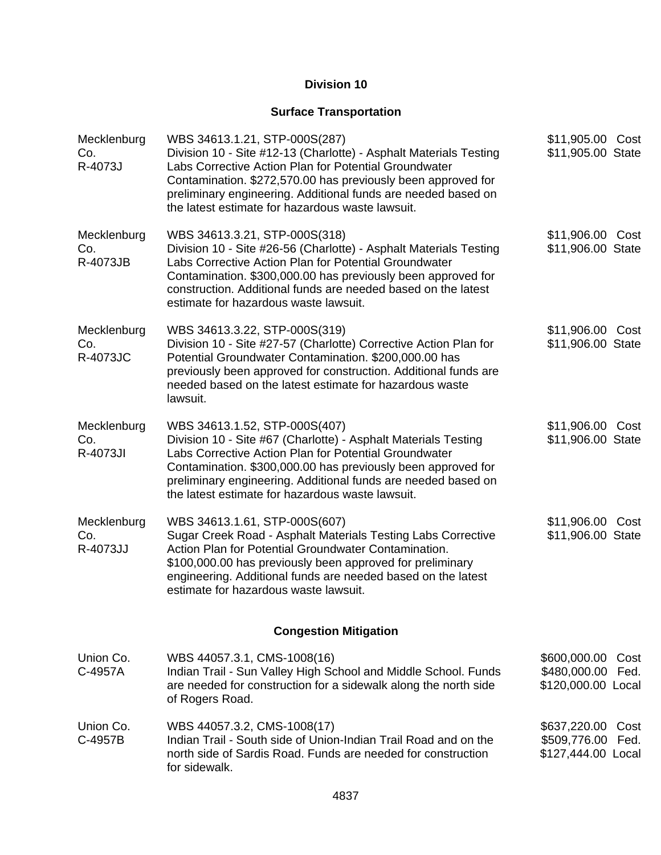## **Division 10**

# **Surface Transportation**

| Mecklenburg<br>Co.<br>R-4073J         | WBS 34613.1.21, STP-000S(287)<br>Division 10 - Site #12-13 (Charlotte) - Asphalt Materials Testing<br>Labs Corrective Action Plan for Potential Groundwater<br>Contamination. \$272,570.00 has previously been approved for<br>preliminary engineering. Additional funds are needed based on<br>the latest estimate for hazardous waste lawsuit. | \$11,905.00 Cost<br>\$11,905.00 State                              |
|---------------------------------------|--------------------------------------------------------------------------------------------------------------------------------------------------------------------------------------------------------------------------------------------------------------------------------------------------------------------------------------------------|--------------------------------------------------------------------|
| Mecklenburg<br>Co.<br>R-4073JB        | WBS 34613.3.21, STP-000S(318)<br>Division 10 - Site #26-56 (Charlotte) - Asphalt Materials Testing<br>Labs Corrective Action Plan for Potential Groundwater<br>Contamination. \$300,000.00 has previously been approved for<br>construction. Additional funds are needed based on the latest<br>estimate for hazardous waste lawsuit.            | \$11,906.00 Cost<br>\$11,906.00 State                              |
| Mecklenburg<br>Co.<br><b>R-4073JC</b> | WBS 34613.3.22, STP-000S(319)<br>Division 10 - Site #27-57 (Charlotte) Corrective Action Plan for<br>Potential Groundwater Contamination. \$200,000.00 has<br>previously been approved for construction. Additional funds are<br>needed based on the latest estimate for hazardous waste<br>lawsuit.                                             | \$11,906.00 Cost<br>\$11,906.00 State                              |
| Mecklenburg<br>Co.<br>R-4073JI        | WBS 34613.1.52, STP-000S(407)<br>Division 10 - Site #67 (Charlotte) - Asphalt Materials Testing<br>Labs Corrective Action Plan for Potential Groundwater<br>Contamination. \$300,000.00 has previously been approved for<br>preliminary engineering. Additional funds are needed based on<br>the latest estimate for hazardous waste lawsuit.    | \$11,906.00 Cost<br>\$11,906.00 State                              |
| Mecklenburg<br>Co.<br>R-4073JJ        | WBS 34613.1.61, STP-000S(607)<br>Sugar Creek Road - Asphalt Materials Testing Labs Corrective<br>Action Plan for Potential Groundwater Contamination.<br>\$100,000.00 has previously been approved for preliminary<br>engineering. Additional funds are needed based on the latest<br>estimate for hazardous waste lawsuit.                      | \$11,906.00 Cost<br>\$11,906.00 State                              |
|                                       | <b>Congestion Mitigation</b>                                                                                                                                                                                                                                                                                                                     |                                                                    |
| Union Co.<br>C-4957A                  | WBS 44057.3.1, CMS-1008(16)<br>Indian Trail - Sun Valley High School and Middle School. Funds<br>are needed for construction for a sidewalk along the north side<br>of Rogers Road.                                                                                                                                                              | \$600,000.00<br>Cost<br>\$480,000.00<br>Fed.<br>\$120,000.00 Local |
| Union Co.<br>C-4957B                  | WBS 44057.3.2, CMS-1008(17)<br>Indian Trail - South side of Union-Indian Trail Road and on the<br>north side of Sardis Road. Funds are needed for construction<br>for sidewalk.                                                                                                                                                                  | \$637,220.00<br>Cost<br>\$509,776.00<br>Fed.<br>\$127,444.00 Local |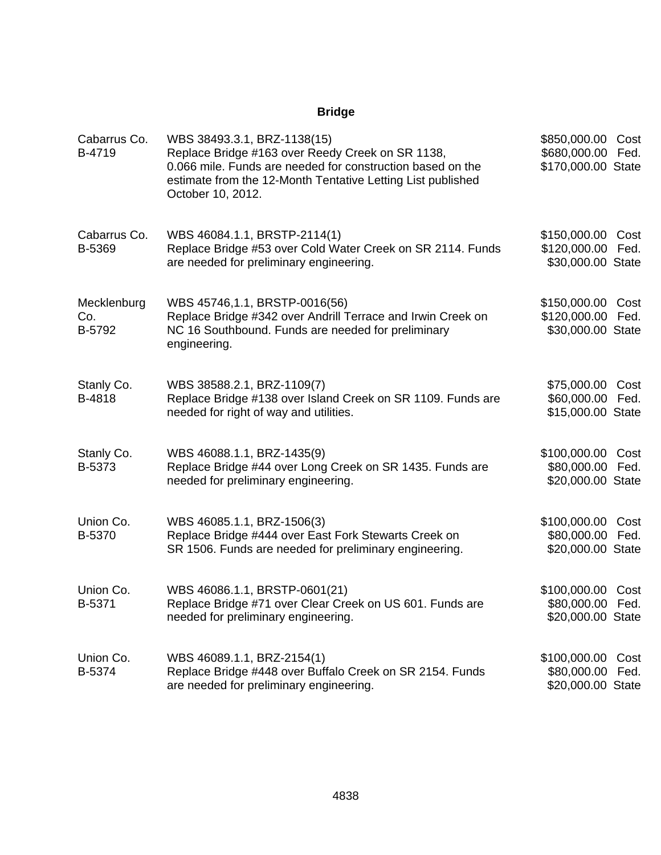| Cabarrus Co.<br>B-4719       | WBS 38493.3.1, BRZ-1138(15)<br>Replace Bridge #163 over Reedy Creek on SR 1138,<br>0.066 mile. Funds are needed for construction based on the<br>estimate from the 12-Month Tentative Letting List published<br>October 10, 2012. | \$850,000.00 Cost<br>\$680,000.00 Fed.<br>\$170,000.00 State  |
|------------------------------|-----------------------------------------------------------------------------------------------------------------------------------------------------------------------------------------------------------------------------------|---------------------------------------------------------------|
| Cabarrus Co.<br>B-5369       | WBS 46084.1.1, BRSTP-2114(1)<br>Replace Bridge #53 over Cold Water Creek on SR 2114. Funds<br>are needed for preliminary engineering.                                                                                             | \$150,000.00 Cost<br>\$120,000.00 Fed.<br>\$30,000.00 State   |
| Mecklenburg<br>Co.<br>B-5792 | WBS 45746,1.1, BRSTP-0016(56)<br>Replace Bridge #342 over Andrill Terrace and Irwin Creek on<br>NC 16 Southbound. Funds are needed for preliminary<br>engineering.                                                                | \$150,000.00 Cost<br>\$120,000.00 Fed.<br>\$30,000.00 State   |
| Stanly Co.<br>B-4818         | WBS 38588.2.1, BRZ-1109(7)<br>Replace Bridge #138 over Island Creek on SR 1109. Funds are<br>needed for right of way and utilities.                                                                                               | \$75,000.00 Cost<br>\$60,000.00 Fed.<br>\$15,000.00 State     |
| Stanly Co.<br>B-5373         | WBS 46088.1.1, BRZ-1435(9)<br>Replace Bridge #44 over Long Creek on SR 1435. Funds are<br>needed for preliminary engineering.                                                                                                     | \$100,000.00 Cost<br>\$80,000.00 Fed.<br>\$20,000.00 State    |
| Union Co.<br>B-5370          | WBS 46085.1.1, BRZ-1506(3)<br>Replace Bridge #444 over East Fork Stewarts Creek on<br>SR 1506. Funds are needed for preliminary engineering.                                                                                      | \$100,000.00 Cost<br>\$80,000.00 Fed.<br>\$20,000.00 State    |
| Union Co.<br>B-5371          | WBS 46086.1.1, BRSTP-0601(21)<br>Replace Bridge #71 over Clear Creek on US 601. Funds are<br>needed for preliminary engineering.                                                                                                  | \$100,000.00 Cost<br>\$80,000.00 Fed.<br>\$20,000.00 State    |
| Union Co.<br>B-5374          | WBS 46089.1.1, BRZ-2154(1)<br>Replace Bridge #448 over Buffalo Creek on SR 2154. Funds<br>are needed for preliminary engineering.                                                                                                 | \$100,000.00<br>Cost<br>\$80,000.00 Fed.<br>\$20,000.00 State |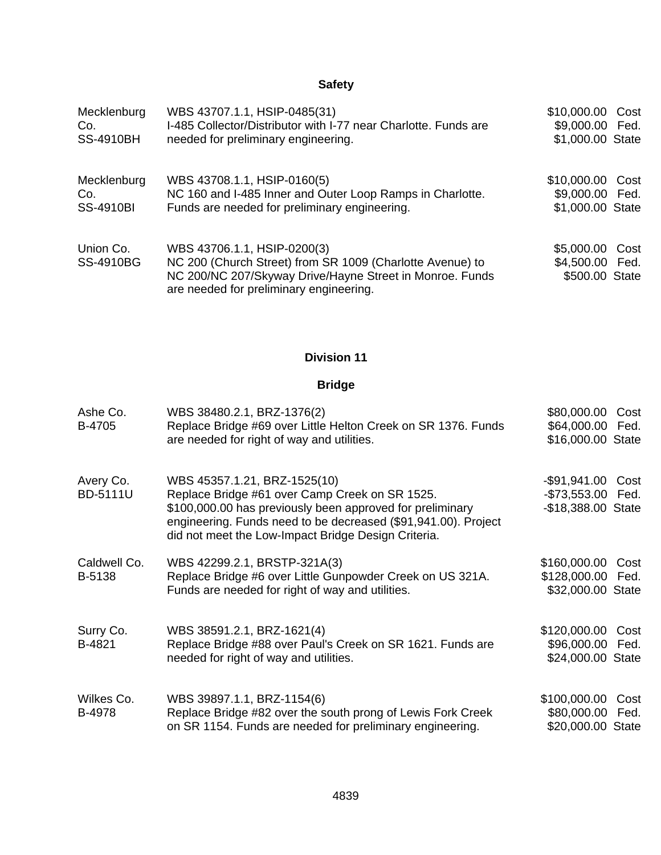| Mecklenburg                   | WBS 43707.1.1, HSIP-0485(31)                                                                                                                                                                    | \$10,000.00 Cost                                     |
|-------------------------------|-------------------------------------------------------------------------------------------------------------------------------------------------------------------------------------------------|------------------------------------------------------|
| Co.                           | I-485 Collector/Distributor with I-77 near Charlotte. Funds are                                                                                                                                 | \$9,000.00 Fed.                                      |
| <b>SS-4910BH</b>              | needed for preliminary engineering.                                                                                                                                                             | \$1,000.00 State                                     |
| Mecklenburg                   | WBS 43708.1.1, HSIP-0160(5)                                                                                                                                                                     | \$10,000.00 Cost                                     |
| Co.                           | NC 160 and I-485 Inner and Outer Loop Ramps in Charlotte.                                                                                                                                       | \$9,000.00 Fed.                                      |
| <b>SS-4910BI</b>              | Funds are needed for preliminary engineering.                                                                                                                                                   | \$1,000.00 State                                     |
| Union Co.<br><b>SS-4910BG</b> | WBS 43706.1.1, HSIP-0200(3)<br>NC 200 (Church Street) from SR 1009 (Charlotte Avenue) to<br>NC 200/NC 207/Skyway Drive/Hayne Street in Monroe. Funds<br>are needed for preliminary engineering. | \$5,000.00 Cost<br>\$4,500.00 Fed.<br>\$500.00 State |

# **Division 11**

| Ashe Co.<br>B-4705     | WBS 38480.2.1, BRZ-1376(2)<br>Replace Bridge #69 over Little Helton Creek on SR 1376. Funds<br>are needed for right of way and utilities.                                                                                                                            | \$80,000.00<br>\$64,000.00 Fed.<br>\$16,000.00 State         | Cost         |
|------------------------|----------------------------------------------------------------------------------------------------------------------------------------------------------------------------------------------------------------------------------------------------------------------|--------------------------------------------------------------|--------------|
| Avery Co.<br>BD-5111U  | WBS 45357.1.21, BRZ-1525(10)<br>Replace Bridge #61 over Camp Creek on SR 1525.<br>\$100,000.00 has previously been approved for preliminary<br>engineering. Funds need to be decreased (\$91,941.00). Project<br>did not meet the Low-Impact Bridge Design Criteria. | -\$91,941.00 Cost<br>-\$73,553.00 Fed.<br>-\$18,388.00 State |              |
| Caldwell Co.<br>B-5138 | WBS 42299.2.1, BRSTP-321A(3)<br>Replace Bridge #6 over Little Gunpowder Creek on US 321A.<br>Funds are needed for right of way and utilities.                                                                                                                        | \$160,000.00<br>\$128,000.00 Fed.<br>\$32,000.00 State       | Cost         |
| Surry Co.<br>B-4821    | WBS 38591.2.1, BRZ-1621(4)<br>Replace Bridge #88 over Paul's Creek on SR 1621. Funds are<br>needed for right of way and utilities.                                                                                                                                   | \$120,000.00<br>\$96,000.00 Fed.<br>\$24,000.00 State        | Cost         |
| Wilkes Co.<br>B-4978   | WBS 39897.1.1, BRZ-1154(6)<br>Replace Bridge #82 over the south prong of Lewis Fork Creek<br>on SR 1154. Funds are needed for preliminary engineering.                                                                                                               | \$100,000.00<br>\$80,000.00<br>\$20,000.00 State             | Cost<br>Fed. |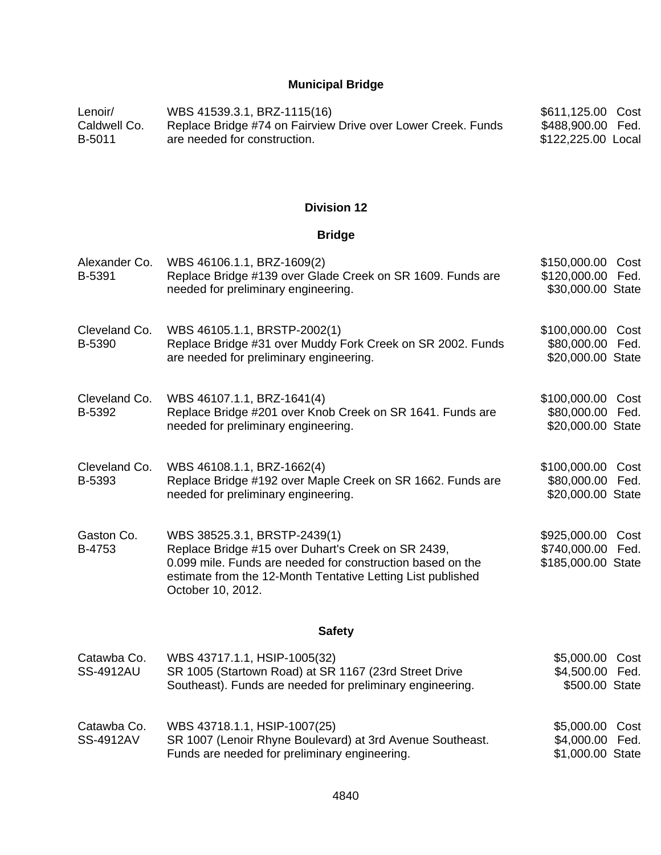# **Municipal Bridge**

| Lenoir/      | WBS 41539.3.1, BRZ-1115(16)                                  | \$611,125.00 Cost  |  |
|--------------|--------------------------------------------------------------|--------------------|--|
| Caldwell Co. | Replace Bridge #74 on Fairview Drive over Lower Creek. Funds | \$488,900.00 Fed.  |  |
| B-5011       | are needed for construction.                                 | \$122,225.00 Local |  |

### **Division 12**

| Alexander Co.<br>B-5391         | WBS 46106.1.1, BRZ-1609(2)<br>Replace Bridge #139 over Glade Creek on SR 1609. Funds are<br>needed for preliminary engineering.                                                                                                      | \$150,000.00 Cost<br>\$120,000.00 Fed.<br>\$30,000.00 State  |  |
|---------------------------------|--------------------------------------------------------------------------------------------------------------------------------------------------------------------------------------------------------------------------------------|--------------------------------------------------------------|--|
| Cleveland Co.<br>B-5390         | WBS 46105.1.1, BRSTP-2002(1)<br>Replace Bridge #31 over Muddy Fork Creek on SR 2002. Funds<br>are needed for preliminary engineering.                                                                                                | \$100,000.00 Cost<br>\$80,000.00 Fed.<br>\$20,000.00 State   |  |
| Cleveland Co.<br>B-5392         | WBS 46107.1.1, BRZ-1641(4)<br>Replace Bridge #201 over Knob Creek on SR 1641. Funds are<br>needed for preliminary engineering.                                                                                                       | \$100,000.00 Cost<br>\$80,000.00 Fed.<br>\$20,000.00 State   |  |
| Cleveland Co.<br>B-5393         | WBS 46108.1.1, BRZ-1662(4)<br>Replace Bridge #192 over Maple Creek on SR 1662. Funds are<br>needed for preliminary engineering.                                                                                                      | \$100,000.00 Cost<br>\$80,000.00 Fed.<br>\$20,000.00 State   |  |
| Gaston Co.<br>B-4753            | WBS 38525.3.1, BRSTP-2439(1)<br>Replace Bridge #15 over Duhart's Creek on SR 2439,<br>0.099 mile. Funds are needed for construction based on the<br>estimate from the 12-Month Tentative Letting List published<br>October 10, 2012. | \$925,000.00 Cost<br>\$740,000.00 Fed.<br>\$185,000.00 State |  |
|                                 | <b>Safety</b>                                                                                                                                                                                                                        |                                                              |  |
| Catawba Co.<br><b>SS-4912AU</b> | WBS 43717.1.1, HSIP-1005(32)<br>SR 1005 (Startown Road) at SR 1167 (23rd Street Drive<br>Southeast). Funds are needed for preliminary engineering.                                                                                   | \$5,000.00 Cost<br>\$4,500.00 Fed.<br>\$500.00 State         |  |
| Catawba Co.<br>SS-4912AV        | WBS 43718.1.1, HSIP-1007(25)<br>SR 1007 (Lenoir Rhyne Boulevard) at 3rd Avenue Southeast.<br>Funds are needed for preliminary engineering.                                                                                           | \$5,000.00 Cost<br>\$4,000.00 Fed.<br>\$1,000.00 State       |  |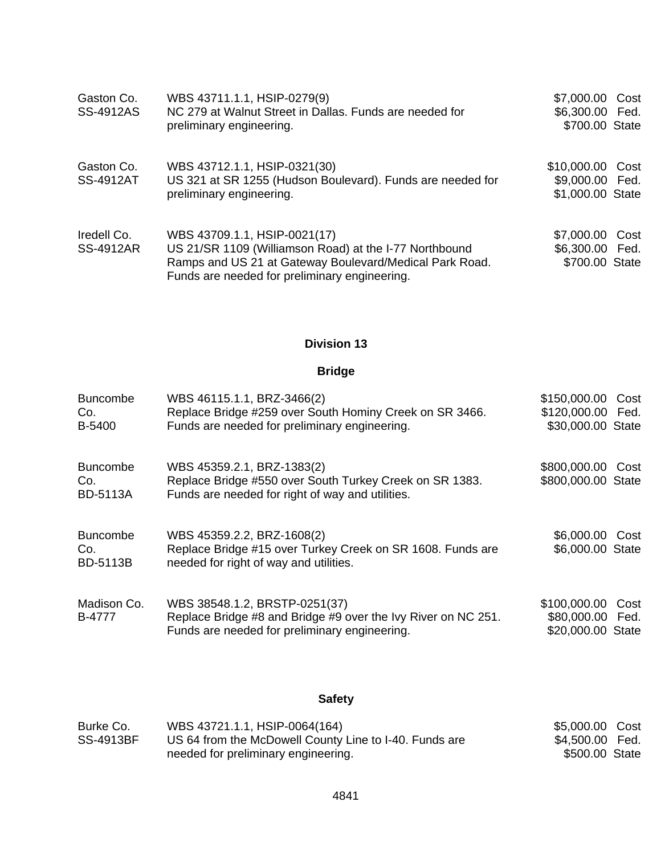| Gaston Co.<br><b>SS-4912AS</b>  | WBS 43711.1.1, HSIP-0279(9)<br>NC 279 at Walnut Street in Dallas. Funds are needed for<br>preliminary engineering.                                                                                 | \$7,000.00 Cost<br>\$6,300.00 Fed.<br>\$700.00 State    |
|---------------------------------|----------------------------------------------------------------------------------------------------------------------------------------------------------------------------------------------------|---------------------------------------------------------|
| Gaston Co.<br><b>SS-4912AT</b>  | WBS 43712.1.1, HSIP-0321(30)<br>US 321 at SR 1255 (Hudson Boulevard). Funds are needed for<br>preliminary engineering.                                                                             | \$10,000.00 Cost<br>\$9,000.00 Fed.<br>\$1,000.00 State |
| Iredell Co.<br><b>SS-4912AR</b> | WBS 43709.1.1, HSIP-0021(17)<br>US 21/SR 1109 (Williamson Road) at the I-77 Northbound<br>Ramps and US 21 at Gateway Boulevard/Medical Park Road.<br>Funds are needed for preliminary engineering. | \$7,000.00 Cost<br>\$6,300.00 Fed.<br>\$700.00 State    |

### **Division 13**

# **Bridge**

| <b>Buncombe</b><br>Co.<br>B-5400          | WBS 46115.1.1, BRZ-3466(2)<br>Replace Bridge #259 over South Hominy Creek on SR 3466.<br>Funds are needed for preliminary engineering.          | \$150,000.00 Cost<br>\$120,000.00 Fed.<br>\$30,000.00 State |      |
|-------------------------------------------|-------------------------------------------------------------------------------------------------------------------------------------------------|-------------------------------------------------------------|------|
| <b>Buncombe</b><br>Co.<br><b>BD-5113A</b> | WBS 45359.2.1, BRZ-1383(2)<br>Replace Bridge #550 over South Turkey Creek on SR 1383.<br>Funds are needed for right of way and utilities.       | \$800,000.00 Cost<br>\$800,000.00 State                     |      |
| <b>Buncombe</b><br>Co.<br><b>BD-5113B</b> | WBS 45359.2.2, BRZ-1608(2)<br>Replace Bridge #15 over Turkey Creek on SR 1608. Funds are<br>needed for right of way and utilities.              | \$6,000.00 Cost<br>\$6,000.00 State                         |      |
| Madison Co.<br>B-4777                     | WBS 38548.1.2, BRSTP-0251(37)<br>Replace Bridge #8 and Bridge #9 over the Ivy River on NC 251.<br>Funds are needed for preliminary engineering. | \$100,000.00<br>\$80,000.00 Fed.<br>\$20,000.00 State       | Cost |

# **Safety**

| Burke Co.        | WBS 43721.1.1, HSIP-0064(164)                          | \$5,000.00 Cost |  |
|------------------|--------------------------------------------------------|-----------------|--|
| <b>SS-4913BF</b> | US 64 from the McDowell County Line to I-40. Funds are | \$4,500.00 Fed. |  |
|                  | needed for preliminary engineering.                    | \$500.00 State  |  |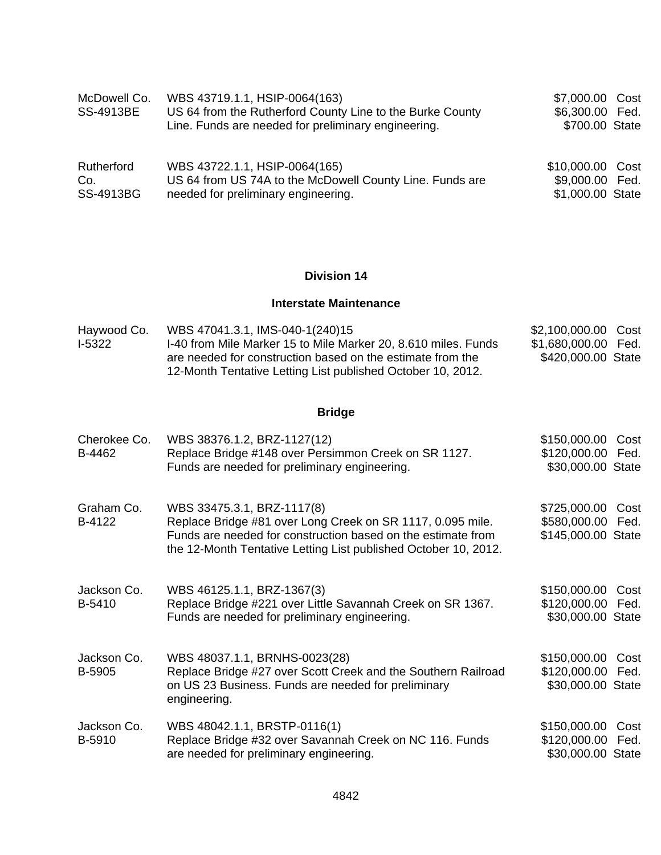| McDowell Co.<br><b>SS-4913BE</b> | WBS 43719.1.1, HSIP-0064(163)<br>US 64 from the Rutherford County Line to the Burke County<br>Line. Funds are needed for preliminary engineering. | \$7,000.00 Cost<br>\$6,300.00 Fed.<br>\$700.00 State |  |
|----------------------------------|---------------------------------------------------------------------------------------------------------------------------------------------------|------------------------------------------------------|--|
| Rutherford                       | WBS 43722.1.1, HSIP-0064(165)                                                                                                                     | \$10,000.00 Cost                                     |  |
| Co.                              | US 64 from US 74A to the McDowell County Line. Funds are                                                                                          | \$9,000.00 Fed.                                      |  |
| SS-4913BG                        | needed for preliminary engineering.                                                                                                               | \$1,000.00 State                                     |  |

## **Division 14**

#### **Interstate Maintenance**

| \$1,680,000.00 Fed.<br>1-40 from Mile Marker 15 to Mile Marker 20, 8.610 miles. Funds<br>I-5322<br>\$420,000.00 State<br>are needed for construction based on the estimate from the | Haywood Co. | WBS 47041.3.1, IMS-040-1(240)15 | \$2,100,000.00 Cost |  |
|-------------------------------------------------------------------------------------------------------------------------------------------------------------------------------------|-------------|---------------------------------|---------------------|--|
|                                                                                                                                                                                     |             |                                 |                     |  |
| 12-Month Tentative Letting List published October 10, 2012.                                                                                                                         |             |                                 |                     |  |

| Cherokee Co.<br>B-4462 | WBS 38376.1.2, BRZ-1127(12)<br>Replace Bridge #148 over Persimmon Creek on SR 1127.<br>Funds are needed for preliminary engineering.                                                                                        | \$150,000.00<br>\$120,000.00 Fed.<br>\$30,000.00 State | Cost         |
|------------------------|-----------------------------------------------------------------------------------------------------------------------------------------------------------------------------------------------------------------------------|--------------------------------------------------------|--------------|
| Graham Co.<br>B-4122   | WBS 33475.3.1, BRZ-1117(8)<br>Replace Bridge #81 over Long Creek on SR 1117, 0.095 mile.<br>Funds are needed for construction based on the estimate from<br>the 12-Month Tentative Letting List published October 10, 2012. | \$725,000.00<br>\$580,000.00<br>\$145,000.00 State     | Cost<br>Fed. |
| Jackson Co.<br>B-5410  | WBS 46125.1.1, BRZ-1367(3)<br>Replace Bridge #221 over Little Savannah Creek on SR 1367.<br>Funds are needed for preliminary engineering.                                                                                   | \$150,000.00<br>\$120,000.00<br>\$30,000.00 State      | Cost<br>Fed. |
| Jackson Co.<br>B-5905  | WBS 48037.1.1, BRNHS-0023(28)<br>Replace Bridge #27 over Scott Creek and the Southern Railroad<br>on US 23 Business. Funds are needed for preliminary<br>engineering.                                                       | \$150,000.00<br>\$120,000.00<br>\$30,000.00 State      | Cost<br>Fed. |
| Jackson Co.<br>B-5910  | WBS 48042.1.1, BRSTP-0116(1)<br>Replace Bridge #32 over Savannah Creek on NC 116. Funds<br>are needed for preliminary engineering.                                                                                          | \$150,000.00<br>\$120,000.00 Fed.<br>\$30,000.00 State | Cost         |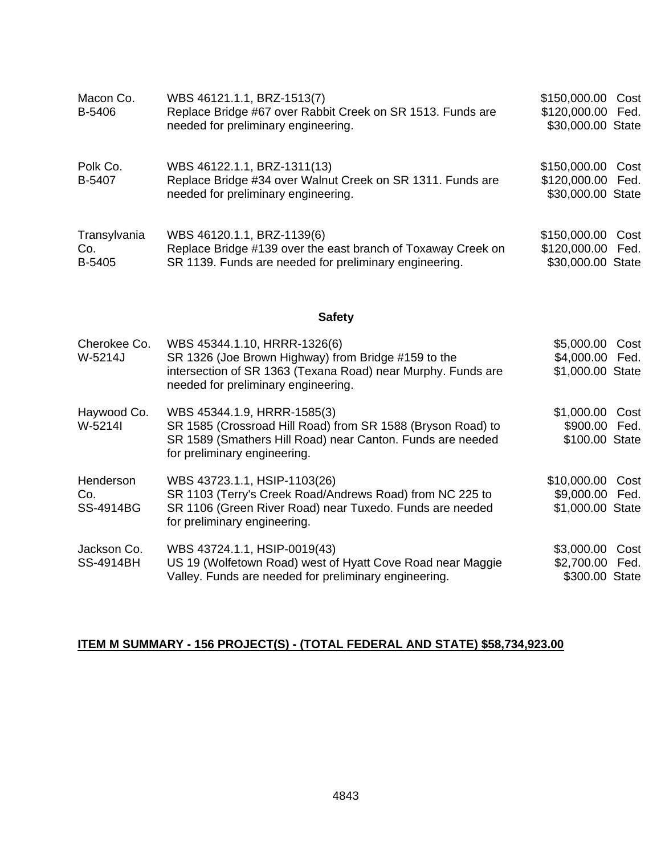| Macon Co.<br>B-5406           | WBS 46121.1.1, BRZ-1513(7)<br>Replace Bridge #67 over Rabbit Creek on SR 1513. Funds are<br>needed for preliminary engineering.                                                            | \$150,000.00 Cost<br>\$120,000.00 Fed.<br>\$30,000.00 State |      |
|-------------------------------|--------------------------------------------------------------------------------------------------------------------------------------------------------------------------------------------|-------------------------------------------------------------|------|
| Polk Co.<br>B-5407            | WBS 46122.1.1, BRZ-1311(13)<br>Replace Bridge #34 over Walnut Creek on SR 1311. Funds are<br>needed for preliminary engineering.                                                           | \$150,000.00 Cost<br>\$120,000.00<br>\$30,000.00 State      | Fed. |
| Transylvania<br>Co.<br>B-5405 | WBS 46120.1.1, BRZ-1139(6)<br>Replace Bridge #139 over the east branch of Toxaway Creek on<br>SR 1139. Funds are needed for preliminary engineering.                                       | \$150,000.00 Cost<br>\$120,000.00 Fed.<br>\$30,000.00 State |      |
|                               | <b>Safety</b>                                                                                                                                                                              |                                                             |      |
| Cherokee Co.<br>W-5214J       | WBS 45344.1.10, HRRR-1326(6)<br>SR 1326 (Joe Brown Highway) from Bridge #159 to the<br>intersection of SR 1363 (Texana Road) near Murphy. Funds are<br>needed for preliminary engineering. | \$5,000.00 Cost<br>\$4,000.00 Fed.<br>\$1,000.00 State      |      |
| Haywood Co.<br>W-5214I        | WBS 45344.1.9, HRRR-1585(3)<br>SR 1585 (Crossroad Hill Road) from SR 1588 (Bryson Road) to<br>SR 1589 (Smathers Hill Road) near Canton. Funds are needed<br>for preliminary engineering.   | \$1,000.00 Cost<br>\$900.00 Fed.<br>\$100.00 State          |      |
| Henderson<br>Co.<br>SS-4914BG | WBS 43723.1.1, HSIP-1103(26)<br>SR 1103 (Terry's Creek Road/Andrews Road) from NC 225 to<br>SR 1106 (Green River Road) near Tuxedo. Funds are needed<br>for preliminary engineering.       | \$10,000.00 Cost<br>\$9,000.00 Fed.<br>\$1,000.00 State     |      |
| Jackson Co.                   | WBS 43724.1.1, HSIP-0019(43)                                                                                                                                                               | \$3,000.00 Cost                                             |      |

#### **ITEM M SUMMARY - 156 PROJECT(S) - (TOTAL FEDERAL AND STATE) \$58,734,923.00**

Valley. Funds are needed for preliminary engineering.

US 19 (Wolfetown Road) west of Hyatt Cove Road near Maggie

\$2,700.00 Fed. \$300.00 State

SS-4914BH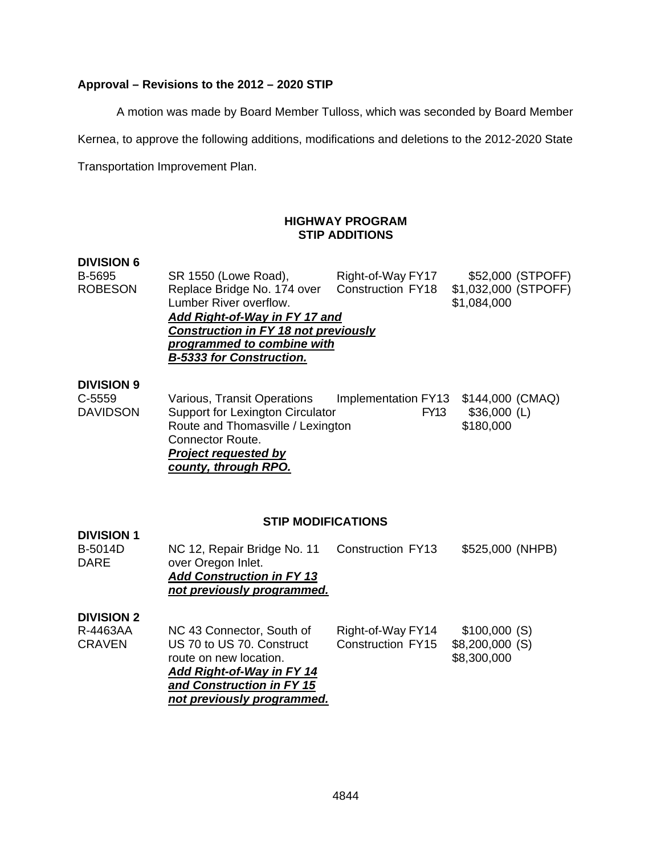## **Approval – Revisions to the 2012 – 2020 STIP**

A motion was made by Board Member Tulloss, which was seconded by Board Member

Kernea, to approve the following additions, modifications and deletions to the 2012-2020 State

Transportation Improvement Plan.

### **HIGHWAY PROGRAM STIP ADDITIONS**

#### **DIVISION 6**

| B-5695             | SR 1550 (Lowe Road),                                                      | Right-of-Way FY17        | \$52,000 (STPOFF)                   |
|--------------------|---------------------------------------------------------------------------|--------------------------|-------------------------------------|
| <b>ROBESON</b>     | Replace Bridge No. 174 over<br>Lumber River overflow.                     | <b>Construction FY18</b> | \$1,032,000 (STPOFF)<br>\$1,084,000 |
|                    | Add Right-of-Way in FY 17 and                                             |                          |                                     |
|                    | <b>Construction in FY 18 not previously</b><br>programmed to combine with |                          |                                     |
|                    | <b>B-5333 for Construction.</b>                                           |                          |                                     |
| <b>NUJIAIALI A</b> |                                                                           |                          |                                     |

### **DIVISION 9**

| C-5559   | Various, Transit Operations       | Implementation FY13 \$144,000 (CMAQ) |               |
|----------|-----------------------------------|--------------------------------------|---------------|
| DAVIDSON | Support for Lexington Circulator  | <b>FY13</b>                          | $$36,000$ (L) |
|          | Route and Thomasville / Lexington |                                      | \$180,000     |
|          | Connector Route.                  |                                      |               |
|          | <b>Project requested by</b>       |                                      |               |
|          | county, through RPO.              |                                      |               |

#### **STIP MODIFICATIONS**

| <b>DIVISION 1</b>             |                                                                                                                     |                          |                  |
|-------------------------------|---------------------------------------------------------------------------------------------------------------------|--------------------------|------------------|
| <b>B-5014D</b><br><b>DARE</b> | NC 12, Repair Bridge No. 11<br>over Oregon Inlet.<br><b>Add Construction in FY 13</b><br>not previously programmed. | Construction FY13        | \$525,000 (NHPB) |
| <b>DIVISION 2</b>             |                                                                                                                     |                          |                  |
| R-4463AA                      | NC 43 Connector, South of                                                                                           | Right-of-Way FY14        | \$100,000(S)     |
| <b>CRAVEN</b>                 | US 70 to US 70. Construct                                                                                           | <b>Construction FY15</b> | \$8,200,000(S)   |
|                               | route on new location.                                                                                              |                          | \$8,300,000      |
|                               | Add Right-of-Way in FY 14                                                                                           |                          |                  |
|                               | and Construction in FY 15                                                                                           |                          |                  |
|                               | not previously programmed.                                                                                          |                          |                  |
|                               |                                                                                                                     |                          |                  |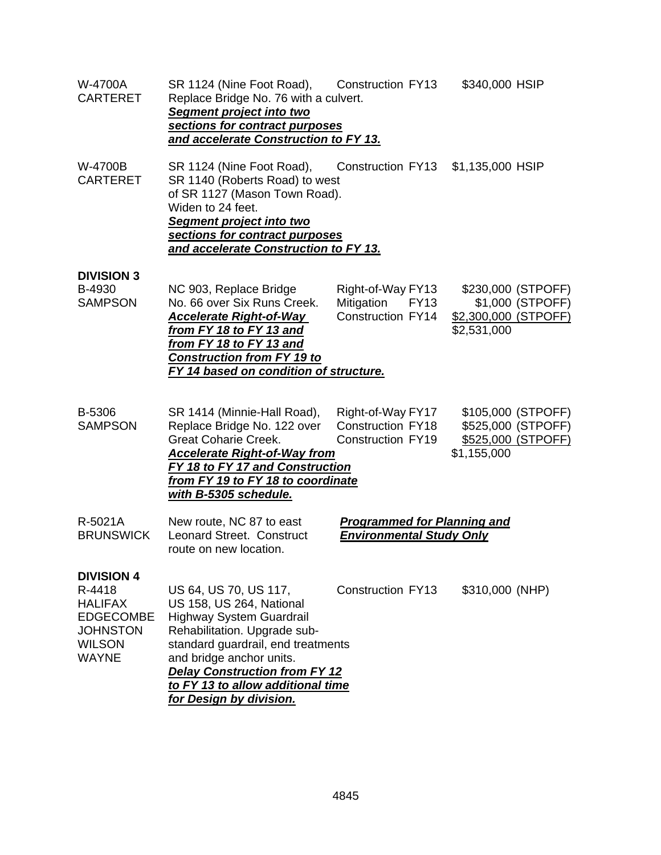| W-4700A<br><b>CARTERET</b>                                                                                            | SR 1124 (Nine Foot Road), Construction FY13<br>Replace Bridge No. 76 with a culvert.<br>Segment project into two<br>sections for contract purposes<br>and accelerate Construction to FY 13.                                                                                                    |                                                                           | \$340,000 HSIP                                                                |
|-----------------------------------------------------------------------------------------------------------------------|------------------------------------------------------------------------------------------------------------------------------------------------------------------------------------------------------------------------------------------------------------------------------------------------|---------------------------------------------------------------------------|-------------------------------------------------------------------------------|
| W-4700B<br><b>CARTERET</b>                                                                                            | SR 1124 (Nine Foot Road),<br>SR 1140 (Roberts Road) to west<br>of SR 1127 (Mason Town Road).<br>Widen to 24 feet.<br>Segment project into two<br>sections for contract purposes<br>and accelerate Construction to FY 13.                                                                       | <b>Construction FY13</b>                                                  | \$1,135,000 HSIP                                                              |
| <b>DIVISION 3</b><br>B-4930<br><b>SAMPSON</b>                                                                         | NC 903, Replace Bridge<br>No. 66 over Six Runs Creek.<br><b>Accelerate Right-of-Way</b><br>from FY 18 to FY 13 and<br>from FY 18 to FY 13 and<br><b>Construction from FY 19 to</b><br><b>FY 14 based on condition of structure.</b>                                                            | Right-of-Way FY13<br>Mitigation<br><b>FY13</b><br>Construction FY14       | \$230,000 (STPOFF)<br>\$1,000 (STPOFF)<br>\$2,300,000 (STPOFF)<br>\$2,531,000 |
| B-5306<br><b>SAMPSON</b>                                                                                              | SR 1414 (Minnie-Hall Road),<br>Replace Bridge No. 122 over<br><b>Great Coharie Creek.</b><br><b>Accelerate Right-of-Way from</b><br><b>FY 18 to FY 17 and Construction</b><br>from FY 19 to FY 18 to coordinate<br>with B-5305 schedule.                                                       | Right-of-Way FY17<br><b>Construction FY18</b><br><b>Construction FY19</b> | \$105,000 (STPOFF)<br>\$525,000 (STPOFF)<br>\$525,000 (STPOFF)<br>\$1,155,000 |
| R-5021A<br><b>BRUNSWICK</b>                                                                                           | New route, NC 87 to east<br>Leonard Street. Construct<br>route on new location.                                                                                                                                                                                                                | <b>Programmed for Planning and</b><br><b>Environmental Study Only</b>     |                                                                               |
| <b>DIVISION 4</b><br>R-4418<br><b>HALIFAX</b><br><b>EDGECOMBE</b><br><b>JOHNSTON</b><br><b>WILSON</b><br><b>WAYNE</b> | US 64, US 70, US 117,<br>US 158, US 264, National<br><b>Highway System Guardrail</b><br>Rehabilitation. Upgrade sub-<br>standard guardrail, end treatments<br>and bridge anchor units.<br><b>Delay Construction from FY 12</b><br>to FY 13 to allow additional time<br>for Design by division. | <b>Construction FY13</b>                                                  | \$310,000 (NHP)                                                               |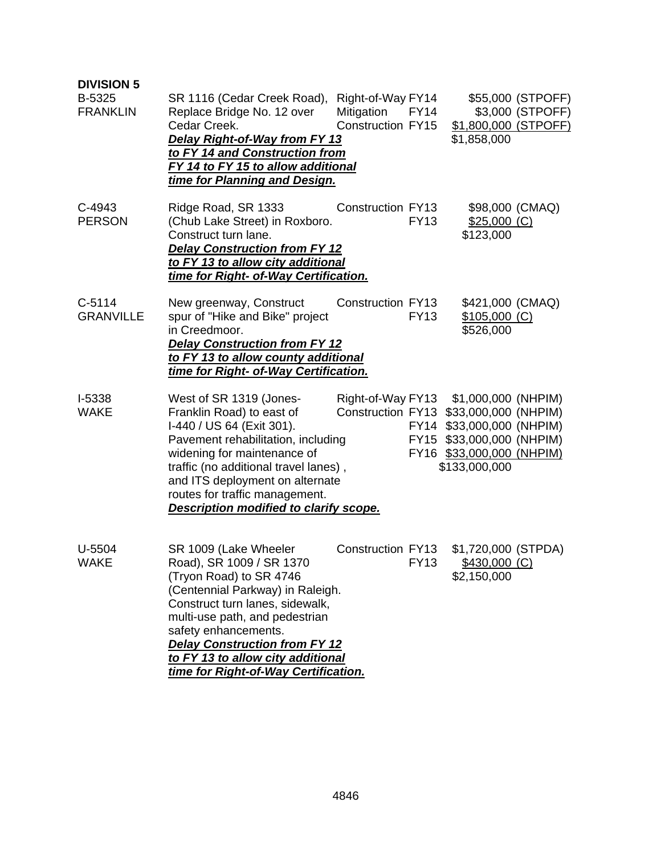| <b>DIVISION 5</b><br>B-5325<br><b>FRANKLIN</b> | SR 1116 (Cedar Creek Road),<br>Replace Bridge No. 12 over<br>Cedar Creek.<br>Delay Right-of-Way from FY 13<br>to FY 14 and Construction from<br>FY 14 to FY 15 to allow additional<br>time for Planning and Design.                                                                                                                | Right-of-Way FY14<br>Mitigation<br>Construction FY15 | <b>FY14</b> | \$1,800,000 (STPOFF)<br>\$1,858,000                                                                                                                 | \$55,000 (STPOFF)<br>\$3,000 (STPOFF) |
|------------------------------------------------|------------------------------------------------------------------------------------------------------------------------------------------------------------------------------------------------------------------------------------------------------------------------------------------------------------------------------------|------------------------------------------------------|-------------|-----------------------------------------------------------------------------------------------------------------------------------------------------|---------------------------------------|
| C-4943<br><b>PERSON</b>                        | Ridge Road, SR 1333<br>(Chub Lake Street) in Roxboro.<br>Construct turn lane.<br><b>Delay Construction from FY 12</b><br>to FY 13 to allow city additional<br>time for Right- of-Way Certification.                                                                                                                                | <b>Construction FY13</b>                             | <b>FY13</b> | $$25,000$ (C)<br>\$123,000                                                                                                                          | \$98,000 (CMAQ)                       |
| $C-5114$<br><b>GRANVILLE</b>                   | New greenway, Construct<br>spur of "Hike and Bike" project<br>in Creedmoor.<br><b>Delay Construction from FY 12</b><br>to FY 13 to allow county additional<br>time for Right- of-Way Certification.                                                                                                                                | <b>Construction FY13</b>                             | <b>FY13</b> | \$421,000 (CMAQ)<br>\$105,000 (C)<br>\$526,000                                                                                                      |                                       |
| I-5338<br><b>WAKE</b>                          | West of SR 1319 (Jones-<br>Franklin Road) to east of<br>I-440 / US 64 (Exit 301).<br>Pavement rehabilitation, including<br>widening for maintenance of<br>traffic (no additional travel lanes),<br>and ITS deployment on alternate<br>routes for traffic management.<br>Description modified to clarify scope.                     | Right-of-Way FY13<br>Construction FY13               |             | \$1,000,000 (NHPIM)<br>\$33,000,000 (NHPIM)<br>FY14 \$33,000,000 (NHPIM)<br>FY15 \$33,000,000 (NHPIM)<br>FY16 \$33,000,000 (NHPIM)<br>\$133,000,000 |                                       |
| $U-5504$<br><b>WAKE</b>                        | SR 1009 (Lake Wheeler<br>Road), SR 1009 / SR 1370<br>(Tryon Road) to SR 4746<br>(Centennial Parkway) in Raleigh.<br>Construct turn lanes, sidewalk,<br>multi-use path, and pedestrian<br>safety enhancements.<br><b>Delay Construction from FY 12</b><br>to FY 13 to allow city additional<br>time for Right-of-Way Certification. | Construction FY13                                    | <b>FY13</b> | \$1,720,000 (STPDA)<br>\$430,000 (C)<br>\$2,150,000                                                                                                 |                                       |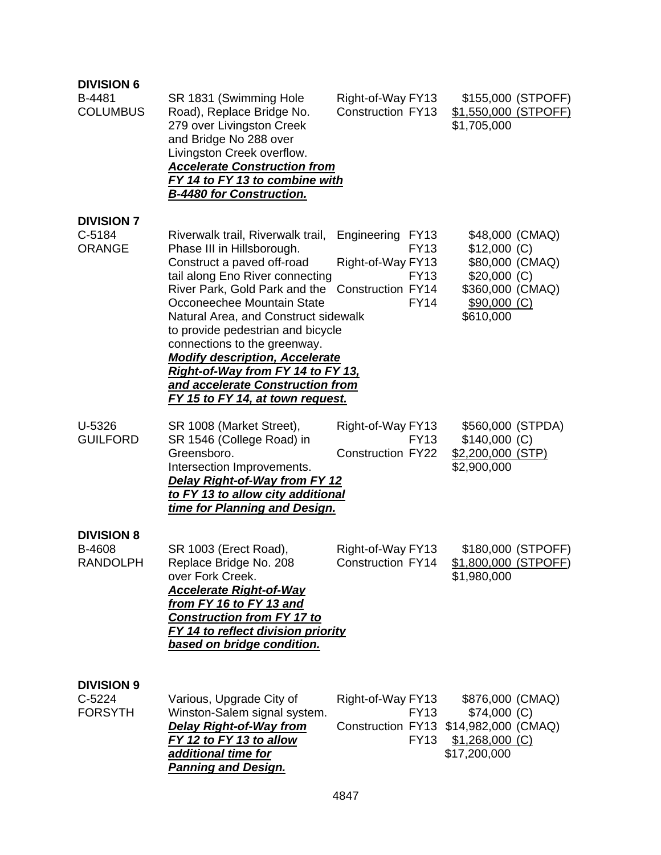| <b>DIVISION 6</b><br>B-4481<br><b>COLUMBUS</b>  | SR 1831 (Swimming Hole<br>Road), Replace Bridge No.<br>279 over Livingston Creek<br>and Bridge No 288 over<br>Livingston Creek overflow.<br><b>Accelerate Construction from</b><br>FY 14 to FY 13 to combine with<br><b>B-4480 for Construction.</b>                                                                                                                                                                                                                      | Right-of-Way FY13<br><b>Construction FY13</b>                                                                            | \$155,000 (STPOFF)<br><u>\$1,550,000 (STPOFF)</u><br>\$1,705,000                                                      |
|-------------------------------------------------|---------------------------------------------------------------------------------------------------------------------------------------------------------------------------------------------------------------------------------------------------------------------------------------------------------------------------------------------------------------------------------------------------------------------------------------------------------------------------|--------------------------------------------------------------------------------------------------------------------------|-----------------------------------------------------------------------------------------------------------------------|
| <b>DIVISION 7</b><br>C-5184<br><b>ORANGE</b>    | Riverwalk trail, Riverwalk trail,<br>Phase III in Hillsborough.<br>Construct a paved off-road<br>tail along Eno River connecting<br>River Park, Gold Park and the<br>Occoneechee Mountain State<br>Natural Area, and Construct sidewalk<br>to provide pedestrian and bicycle<br>connections to the greenway.<br><b>Modify description, Accelerate</b><br><u>Right-of-Way from FY 14 to FY 13,</u><br>and accelerate Construction from<br>FY 15 to FY 14, at town request. | Engineering<br><b>FY13</b><br><b>FY13</b><br>Right-of-Way FY13<br><b>FY13</b><br><b>Construction FY14</b><br><b>FY14</b> | \$48,000 (CMAQ)<br>$$12,000$ (C)<br>\$80,000 (CMAQ)<br>$$20,000$ (C)<br>\$360,000 (CMAQ)<br>\$90,000 (C)<br>\$610,000 |
| U-5326<br><b>GUILFORD</b>                       | SR 1008 (Market Street),<br>SR 1546 (College Road) in<br>Greensboro.<br>Intersection Improvements.<br><b>Delay Right-of-Way from FY 12</b><br>to FY 13 to allow city additional<br>time for Planning and Design.                                                                                                                                                                                                                                                          | Right-of-Way FY13<br><b>FY13</b><br><b>Construction FY22</b>                                                             | \$560,000 (STPDA)<br>$$140,000$ (C)<br>\$2,200,000 (STP)<br>\$2,900,000                                               |
| <b>DIVISION 8</b><br>B-4608<br><b>RANDOLPH</b>  | SR 1003 (Erect Road),<br>Replace Bridge No. 208<br>over Fork Creek.<br><b>Accelerate Right-of-Way</b><br>from FY 16 to FY 13 and<br><b>Construction from FY 17 to</b><br><b>FY 14 to reflect division priority</b><br>based on bridge condition.                                                                                                                                                                                                                          | Right-of-Way FY13<br>Construction FY14                                                                                   | \$180,000 (STPOFF)<br>\$1,800,000 (STPOFF)<br>\$1,980,000                                                             |
| <b>DIVISION 9</b><br>$C-5224$<br><b>FORSYTH</b> | Various, Upgrade City of<br>Winston-Salem signal system.<br><b>Delay Right-of-Way from</b><br>FY 12 to FY 13 to allow<br>additional time for<br><b>Panning and Design.</b>                                                                                                                                                                                                                                                                                                | Right-of-Way FY13<br><b>FY13</b><br><b>FY13</b>                                                                          | \$876,000 (CMAQ)<br>$$74,000$ (C)<br>Construction FY13 \$14,982,000 (CMAQ)<br>$$1,268,000$ (C)<br>\$17,200,000        |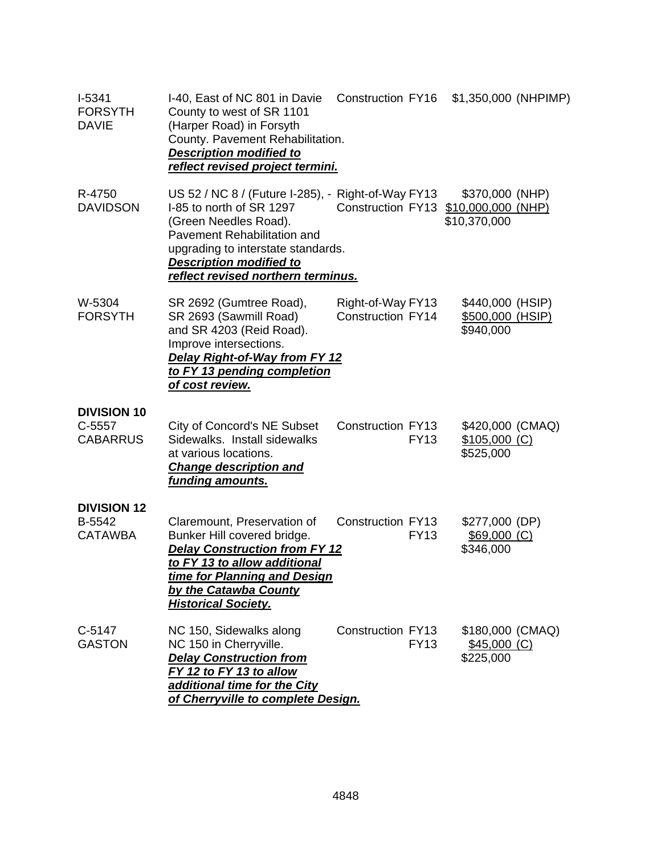| I-5341<br><b>FORSYTH</b><br><b>DAVIE</b>        | I-40, East of NC 801 in Davie<br>County to west of SR 1101<br>(Harper Road) in Forsyth<br>County. Pavement Rehabilitation.<br><b>Description modified to</b><br><u>reflect revised project termini.</u>                                              | Construction FY16                             |             | \$1,350,000 (NHPIMP)                                     |  |
|-------------------------------------------------|------------------------------------------------------------------------------------------------------------------------------------------------------------------------------------------------------------------------------------------------------|-----------------------------------------------|-------------|----------------------------------------------------------|--|
| R-4750<br><b>DAVIDSON</b>                       | US 52 / NC 8 / (Future I-285), - Right-of-Way FY13<br>I-85 to north of SR 1297<br>(Green Needles Road).<br>Pavement Rehabilitation and<br>upgrading to interstate standards.<br><b>Description modified to</b><br>reflect revised northern terminus. | Construction FY13                             |             | \$370,000 (NHP)<br>\$10,000,000 (NHP)<br>\$10,370,000    |  |
| W-5304<br><b>FORSYTH</b>                        | SR 2692 (Gumtree Road),<br>SR 2693 (Sawmill Road)<br>and SR 4203 (Reid Road).<br>Improve intersections.<br>Delay Right-of-Way from FY 12<br>to FY 13 pending completion<br><u>of cost review.</u>                                                    | Right-of-Way FY13<br><b>Construction FY14</b> |             | \$440,000 (HSIP)<br><u>\$500,000 (HSIP)</u><br>\$940,000 |  |
| <b>DIVISION 10</b><br>C-5557<br><b>CABARRUS</b> | City of Concord's NE Subset<br>Sidewalks. Install sidewalks<br>at various locations.<br><b>Change description and</b><br><u>funding amounts.</u>                                                                                                     | <b>Construction FY13</b>                      | <b>FY13</b> | \$420,000 (CMAQ)<br>$$105,000$ (C)<br>\$525,000          |  |
| <b>DIVISION 12</b><br>B-5542<br><b>CATAWBA</b>  | Claremount, Preservation of<br>Bunker Hill covered bridge.<br><b>Delay Construction from FY 12</b><br>to FY 13 to allow additional<br>time for Planning and Design<br>by the Catawba County<br><b>Historical Society.</b>                            | <b>Construction FY13</b>                      | <b>FY13</b> | \$277,000 (DP)<br>$$69,000$ (C)<br>\$346,000             |  |
| $C-5147$<br><b>GASTON</b>                       | NC 150, Sidewalks along<br>NC 150 in Cherryville.<br><b>Delay Construction from</b><br>FY 12 to FY 13 to allow<br>additional time for the City<br>of Cherryville to complete Design.                                                                 | <b>Construction FY13</b>                      | <b>FY13</b> | \$180,000 (CMAQ)<br>$$45,000$ (C)<br>\$225,000           |  |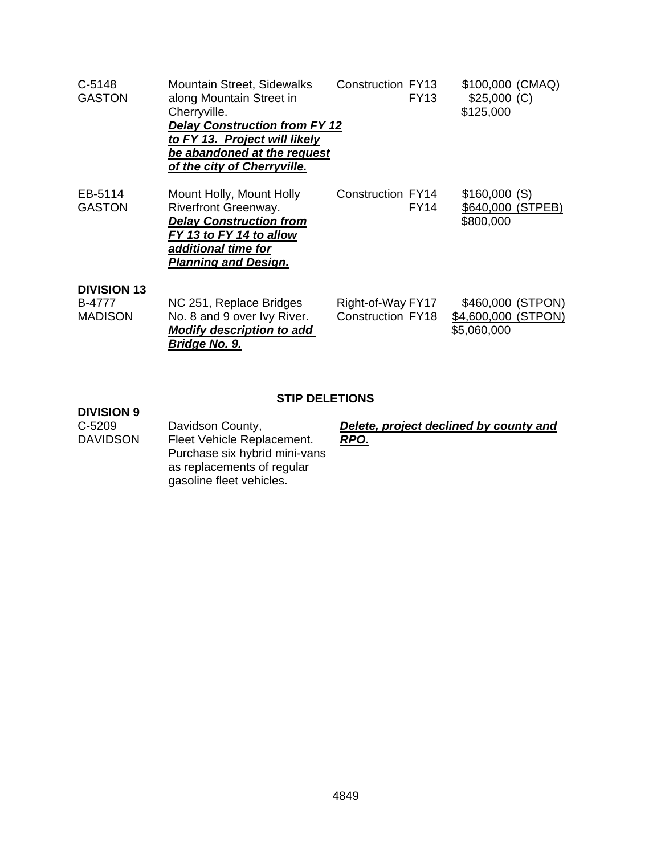| $C-5148$<br><b>GASTON</b>                      | <b>Mountain Street, Sidewalks</b><br>along Mountain Street in<br>Cherryville.<br><b>Delay Construction from FY 12</b><br>to FY 13. Project will likely<br>be abandoned at the request<br>of the city of Cherryville. | <b>Construction FY13</b><br><b>FY13</b>       | \$100,000 (CMAQ)<br>$$25,000$ (C)<br>\$125,000          |
|------------------------------------------------|----------------------------------------------------------------------------------------------------------------------------------------------------------------------------------------------------------------------|-----------------------------------------------|---------------------------------------------------------|
| EB-5114<br><b>GASTON</b>                       | Mount Holly, Mount Holly<br>Riverfront Greenway.<br><b>Delay Construction from</b><br>FY 13 to FY 14 to allow<br>additional time for<br><b>Planning and Design.</b>                                                  | <b>Construction FY14</b><br><b>FY14</b>       | \$160,000(S)<br>\$640,000 (STPEB)<br>\$800,000          |
| <b>DIVISION 13</b><br>B-4777<br><b>MADISON</b> | NC 251, Replace Bridges<br>No. 8 and 9 over Ivy River.<br><b>Modify description to add</b><br>Bridge No. 9.                                                                                                          | Right-of-Way FY17<br><b>Construction FY18</b> | \$460,000 (STPON)<br>\$4,600,000 (STPON)<br>\$5,060,000 |

### **STIP DELETIONS**

# **DIVISION 9**

C-5209 Davidson County, *Delete, project declined by county and*  Fleet Vehicle Replacement. Purchase six hybrid mini-vans as replacements of regular gasoline fleet vehicles.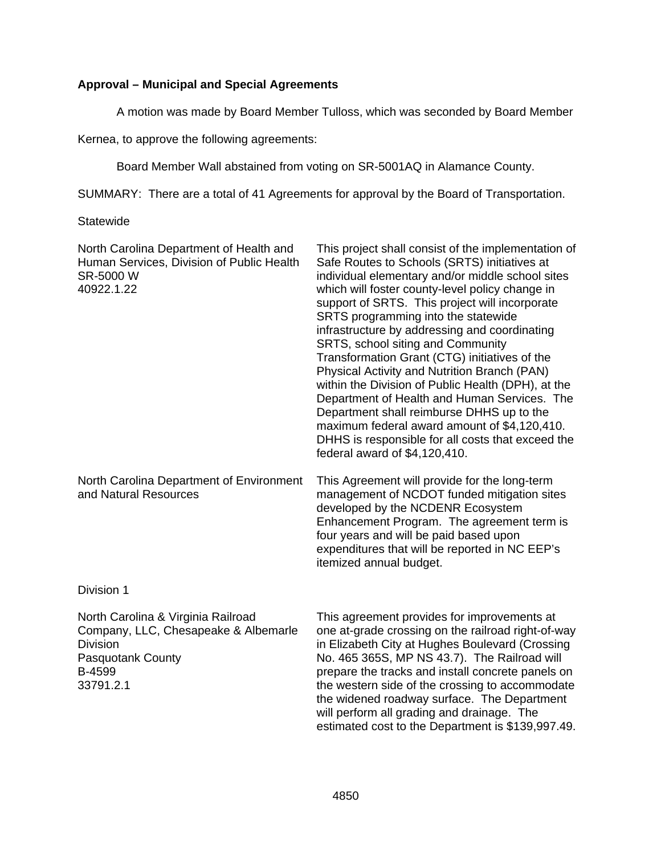### **Approval – Municipal and Special Agreements**

A motion was made by Board Member Tulloss, which was seconded by Board Member

Kernea, to approve the following agreements:

Board Member Wall abstained from voting on SR-5001AQ in Alamance County.

SUMMARY: There are a total of 41 Agreements for approval by the Board of Transportation.

**Statewide** 

| North Carolina Department of Health and<br>Human Services, Division of Public Health<br>SR-5000 W<br>40922.1.22                                  | This project shall consist of the implementation of<br>Safe Routes to Schools (SRTS) initiatives at<br>individual elementary and/or middle school sites<br>which will foster county-level policy change in<br>support of SRTS. This project will incorporate<br>SRTS programming into the statewide<br>infrastructure by addressing and coordinating<br>SRTS, school siting and Community<br>Transformation Grant (CTG) initiatives of the<br>Physical Activity and Nutrition Branch (PAN)<br>within the Division of Public Health (DPH), at the<br>Department of Health and Human Services. The<br>Department shall reimburse DHHS up to the<br>maximum federal award amount of \$4,120,410.<br>DHHS is responsible for all costs that exceed the<br>federal award of \$4,120,410. |
|--------------------------------------------------------------------------------------------------------------------------------------------------|-------------------------------------------------------------------------------------------------------------------------------------------------------------------------------------------------------------------------------------------------------------------------------------------------------------------------------------------------------------------------------------------------------------------------------------------------------------------------------------------------------------------------------------------------------------------------------------------------------------------------------------------------------------------------------------------------------------------------------------------------------------------------------------|
| North Carolina Department of Environment<br>and Natural Resources                                                                                | This Agreement will provide for the long-term<br>management of NCDOT funded mitigation sites<br>developed by the NCDENR Ecosystem<br>Enhancement Program. The agreement term is<br>four years and will be paid based upon<br>expenditures that will be reported in NC EEP's<br>itemized annual budget.                                                                                                                                                                                                                                                                                                                                                                                                                                                                              |
| Division 1                                                                                                                                       |                                                                                                                                                                                                                                                                                                                                                                                                                                                                                                                                                                                                                                                                                                                                                                                     |
| North Carolina & Virginia Railroad<br>Company, LLC, Chesapeake & Albemarle<br><b>Division</b><br><b>Pasquotank County</b><br>B-4599<br>33791.2.1 | This agreement provides for improvements at<br>one at-grade crossing on the railroad right-of-way<br>in Elizabeth City at Hughes Boulevard (Crossing<br>No. 465 365S, MP NS 43.7). The Railroad will<br>prepare the tracks and install concrete panels on<br>the western side of the crossing to accommodate<br>the widened roadway surface. The Department<br>will perform all grading and drainage. The<br>estimated cost to the Department is \$139,997.49.                                                                                                                                                                                                                                                                                                                      |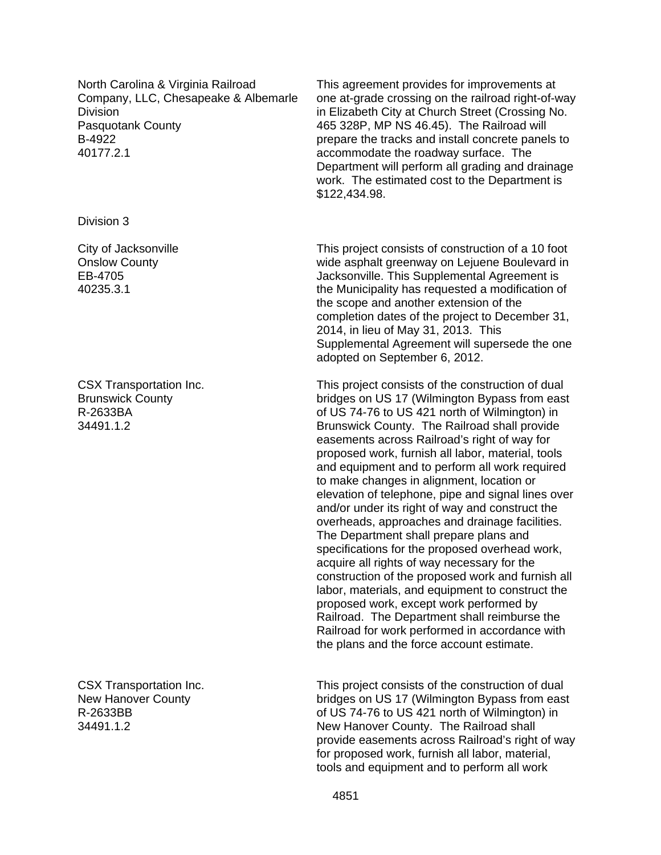North Carolina & Virginia Railroad Company, LLC, Chesapeake & Albemarle Division Pasquotank County B-4922 40177.2.1

Division 3

City of Jacksonville Onslow County EB-4705 40235.3.1

CSX Transportation Inc. Brunswick County R-2633BA 34491.1.2

CSX Transportation Inc. New Hanover County R-2633BB 34491.1.2

This agreement provides for improvements at one at-grade crossing on the railroad right-of-way in Elizabeth City at Church Street (Crossing No. 465 328P, MP NS 46.45). The Railroad will prepare the tracks and install concrete panels to accommodate the roadway surface. The Department will perform all grading and drainage work. The estimated cost to the Department is \$122,434.98.

This project consists of construction of a 10 foot wide asphalt greenway on Leiuene Boulevard in Jacksonville. This Supplemental Agreement is the Municipality has requested a modification of the scope and another extension of the completion dates of the project to December 31, 2014, in lieu of May 31, 2013. This Supplemental Agreement will supersede the one adopted on September 6, 2012.

This project consists of the construction of dual bridges on US 17 (Wilmington Bypass from east of US 74-76 to US 421 north of Wilmington) in Brunswick County. The Railroad shall provide easements across Railroad's right of way for proposed work, furnish all labor, material, tools and equipment and to perform all work required to make changes in alignment, location or elevation of telephone, pipe and signal lines over and/or under its right of way and construct the overheads, approaches and drainage facilities. The Department shall prepare plans and specifications for the proposed overhead work, acquire all rights of way necessary for the construction of the proposed work and furnish all labor, materials, and equipment to construct the proposed work, except work performed by Railroad. The Department shall reimburse the Railroad for work performed in accordance with the plans and the force account estimate.

This project consists of the construction of dual bridges on US 17 (Wilmington Bypass from east of US 74-76 to US 421 north of Wilmington) in New Hanover County. The Railroad shall provide easements across Railroad's right of way for proposed work, furnish all labor, material, tools and equipment and to perform all work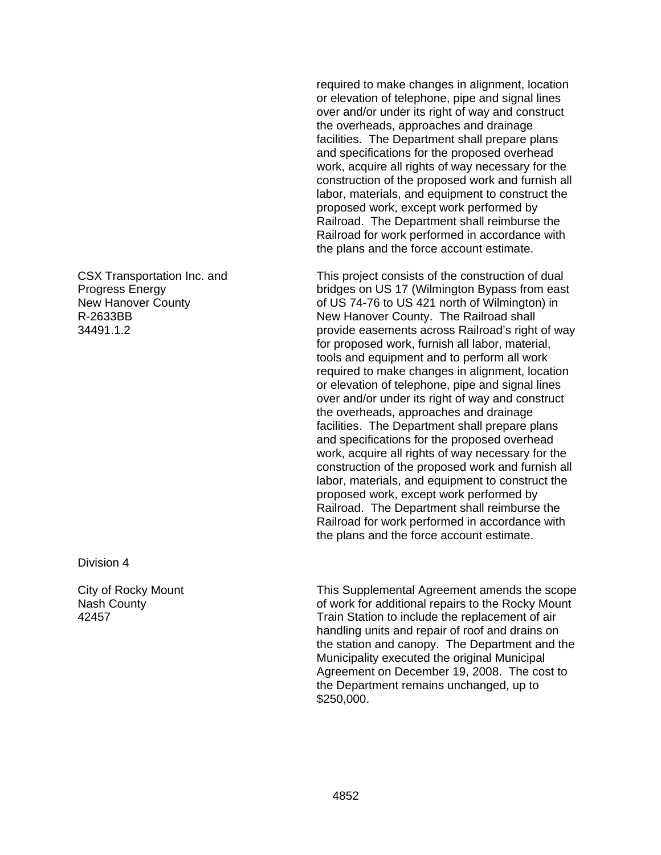CSX Transportation Inc. and Progress Energy New Hanover County R-2633BB 34491.1.2

Division 4

City of Rocky Mount Nash County 42457

required to make changes in alignment, location or elevation of telephone, pipe and signal lines over and/or under its right of way and construct the overheads, approaches and drainage facilities. The Department shall prepare plans and specifications for the proposed overhead work, acquire all rights of way necessary for the construction of the proposed work and furnish all labor, materials, and equipment to construct the proposed work, except work performed by Railroad. The Department shall reimburse the Railroad for work performed in accordance with the plans and the force account estimate.

This project consists of the construction of dual bridges on US 17 (Wilmington Bypass from east of US 74-76 to US 421 north of Wilmington) in New Hanover County. The Railroad shall provide easements across Railroad's right of way for proposed work, furnish all labor, material, tools and equipment and to perform all work required to make changes in alignment, location or elevation of telephone, pipe and signal lines over and/or under its right of way and construct the overheads, approaches and drainage facilities. The Department shall prepare plans and specifications for the proposed overhead work, acquire all rights of way necessary for the construction of the proposed work and furnish all labor, materials, and equipment to construct the proposed work, except work performed by Railroad. The Department shall reimburse the Railroad for work performed in accordance with the plans and the force account estimate.

This Supplemental Agreement amends the scope of work for additional repairs to the Rocky Mount Train Station to include the replacement of air handling units and repair of roof and drains on the station and canopy. The Department and the Municipality executed the original Municipal Agreement on December 19, 2008. The cost to the Department remains unchanged, up to \$250,000.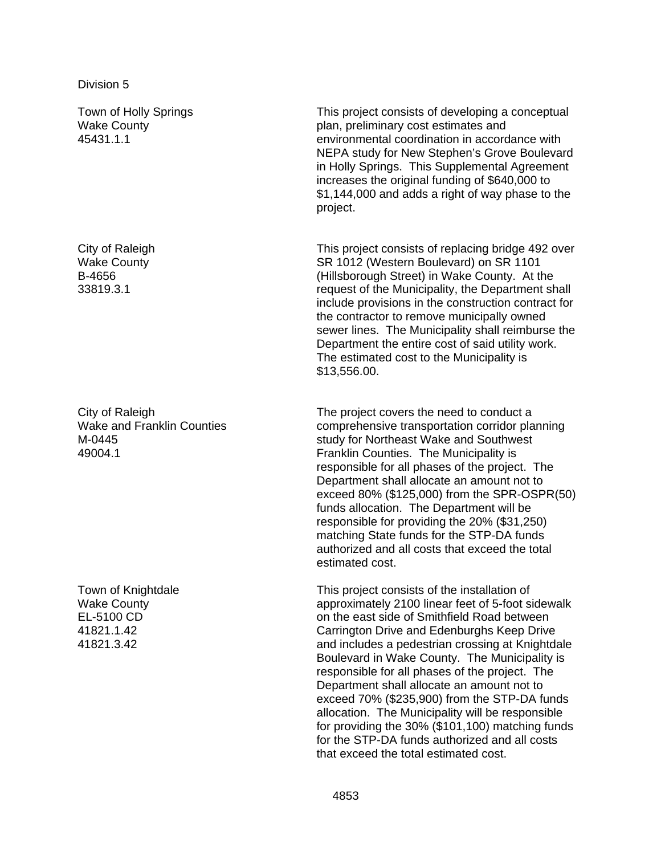Town of Holly Springs Wake County 45431.1.1

City of Raleigh Wake County B-4656 33819.3.1

City of Raleigh Wake and Franklin Counties M-0445 49004.1

Town of Knightdale Wake County EL-5100 CD 41821.1.42 41821.3.42

This project consists of developing a conceptual plan, preliminary cost estimates and environmental coordination in accordance with NEPA study for New Stephen's Grove Boulevard in Holly Springs. This Supplemental Agreement increases the original funding of \$640,000 to \$1,144,000 and adds a right of way phase to the project.

This project consists of replacing bridge 492 over SR 1012 (Western Boulevard) on SR 1101 (Hillsborough Street) in Wake County. At the request of the Municipality, the Department shall include provisions in the construction contract for the contractor to remove municipally owned sewer lines. The Municipality shall reimburse the Department the entire cost of said utility work. The estimated cost to the Municipality is \$13,556.00.

The project covers the need to conduct a comprehensive transportation corridor planning study for Northeast Wake and Southwest Franklin Counties. The Municipality is responsible for all phases of the project. The Department shall allocate an amount not to exceed 80% (\$125,000) from the SPR-OSPR(50) funds allocation. The Department will be responsible for providing the 20% (\$31,250) matching State funds for the STP-DA funds authorized and all costs that exceed the total estimated cost.

This project consists of the installation of approximately 2100 linear feet of 5-foot sidewalk on the east side of Smithfield Road between Carrington Drive and Edenburghs Keep Drive and includes a pedestrian crossing at Knightdale Boulevard in Wake County. The Municipality is responsible for all phases of the project. The Department shall allocate an amount not to exceed 70% (\$235,900) from the STP-DA funds allocation. The Municipality will be responsible for providing the 30% (\$101,100) matching funds for the STP-DA funds authorized and all costs that exceed the total estimated cost.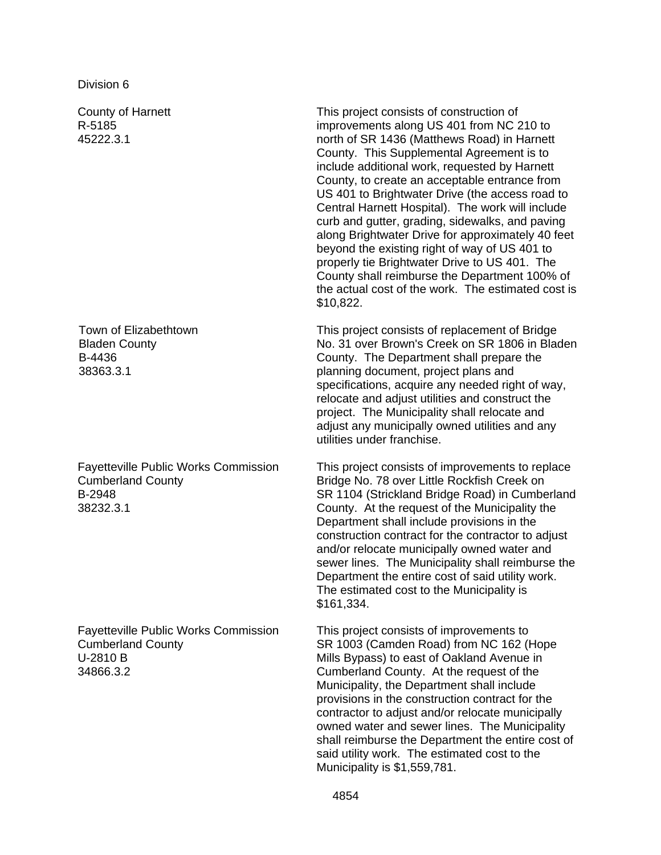Division 6

County of Harnett R-5185 45222.3.1

Town of Elizabethtown Bladen County B-4436 38363.3.1

Fayetteville Public Works Commission Cumberland County B-2948 38232.3.1

Fayetteville Public Works Commission Cumberland County U-2810 B 34866.3.2

This project consists of construction of improvements along US 401 from NC 210 to north of SR 1436 (Matthews Road) in Harnett County. This Supplemental Agreement is to include additional work, requested by Harnett County, to create an acceptable entrance from US 401 to Brightwater Drive (the access road to Central Harnett Hospital). The work will include curb and gutter, grading, sidewalks, and paving along Brightwater Drive for approximately 40 feet beyond the existing right of way of US 401 to properly tie Brightwater Drive to US 401. The County shall reimburse the Department 100% of the actual cost of the work. The estimated cost is \$10,822.

This project consists of replacement of Bridge No. 31 over Brown's Creek on SR 1806 in Bladen County. The Department shall prepare the planning document, project plans and specifications, acquire any needed right of way, relocate and adjust utilities and construct the project. The Municipality shall relocate and adjust any municipally owned utilities and any utilities under franchise.

This project consists of improvements to replace Bridge No. 78 over Little Rockfish Creek on SR 1104 (Strickland Bridge Road) in Cumberland County. At the request of the Municipality the Department shall include provisions in the construction contract for the contractor to adjust and/or relocate municipally owned water and sewer lines. The Municipality shall reimburse the Department the entire cost of said utility work. The estimated cost to the Municipality is \$161,334.

This project consists of improvements to SR 1003 (Camden Road) from NC 162 (Hope Mills Bypass) to east of Oakland Avenue in Cumberland County. At the request of the Municipality, the Department shall include provisions in the construction contract for the contractor to adjust and/or relocate municipally owned water and sewer lines. The Municipality shall reimburse the Department the entire cost of said utility work. The estimated cost to the Municipality is \$1,559,781.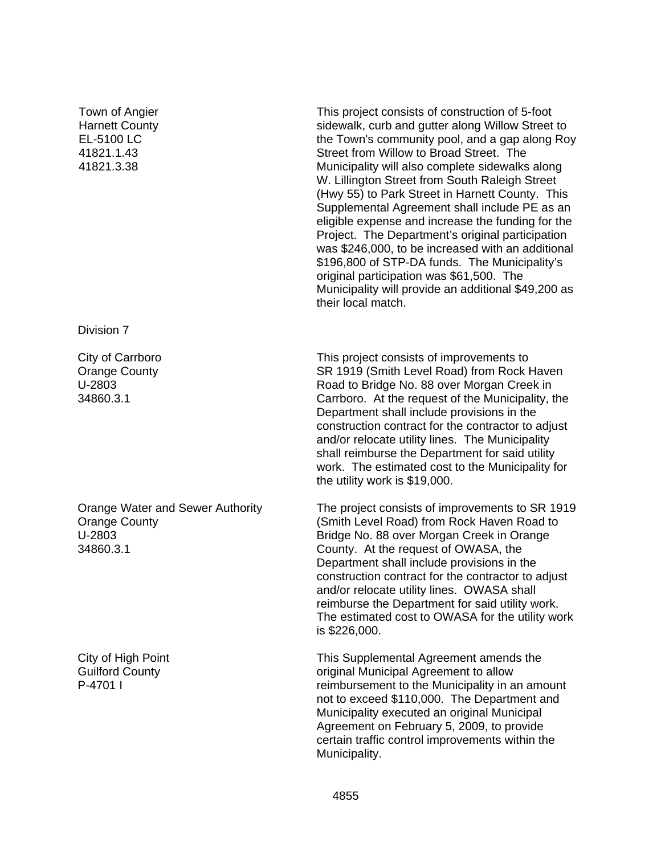#### Town of Angier Harnett County EL-5100 LC 41821.1.43 41821.3.38

Division 7

City of Carrboro Orange County U-2803 34860.3.1

Orange Water and Sewer Authority Orange County U-2803 34860.3.1

City of High Point Guilford County P-4701 I

This project consists of construction of 5-foot sidewalk, curb and gutter along Willow Street to the Town's community pool, and a gap along Roy Street from Willow to Broad Street. The Municipality will also complete sidewalks along W. Lillington Street from South Raleigh Street (Hwy 55) to Park Street in Harnett County. This Supplemental Agreement shall include PE as an eligible expense and increase the funding for the Project. The Department's original participation was \$246,000, to be increased with an additional \$196,800 of STP-DA funds. The Municipality's original participation was \$61,500. The Municipality will provide an additional \$49,200 as their local match.

This project consists of improvements to SR 1919 (Smith Level Road) from Rock Haven Road to Bridge No. 88 over Morgan Creek in Carrboro. At the request of the Municipality, the Department shall include provisions in the construction contract for the contractor to adjust and/or relocate utility lines. The Municipality shall reimburse the Department for said utility work. The estimated cost to the Municipality for the utility work is \$19,000.

The project consists of improvements to SR 1919 (Smith Level Road) from Rock Haven Road to Bridge No. 88 over Morgan Creek in Orange County. At the request of OWASA, the Department shall include provisions in the construction contract for the contractor to adjust and/or relocate utility lines. OWASA shall reimburse the Department for said utility work. The estimated cost to OWASA for the utility work is \$226,000.

This Supplemental Agreement amends the original Municipal Agreement to allow reimbursement to the Municipality in an amount not to exceed \$110,000. The Department and Municipality executed an original Municipal Agreement on February 5, 2009, to provide certain traffic control improvements within the Municipality.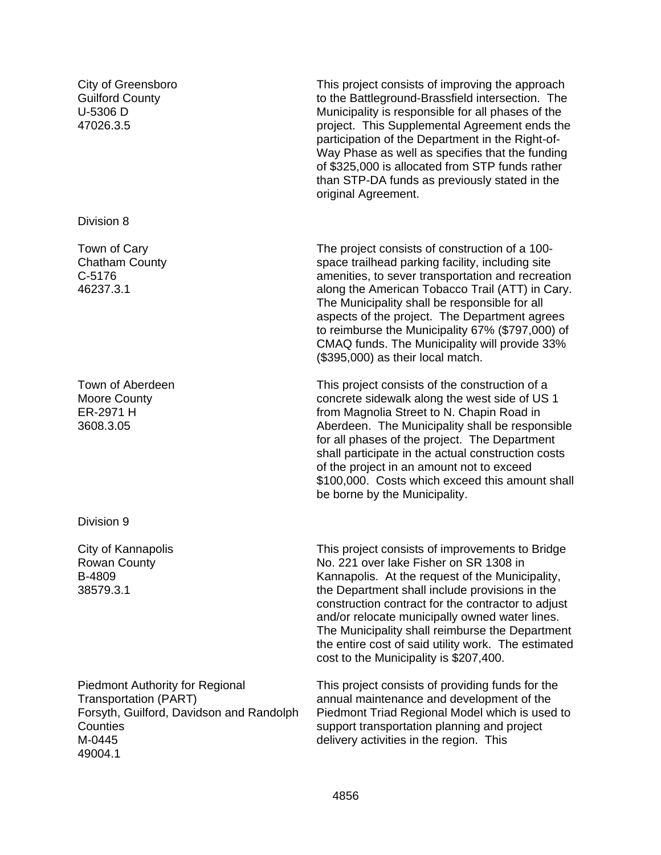City of Greensboro Guilford County U-5306 D 47026.3.5

Division 8

Town of Cary Chatham County C-5176 46237.3.1

Town of Aberdeen Moore County ER-2971 H 3608.3.05

Division 9

City of Kannapolis Rowan County B-4809 38579.3.1

Piedmont Authority for Regional Transportation (PART) Forsyth, Guilford, Davidson and Randolph **Counties** M-0445 49004.1

This project consists of improving the approach to the Battleground-Brassfield intersection. The Municipality is responsible for all phases of the project. This Supplemental Agreement ends the participation of the Department in the Right-of-Way Phase as well as specifies that the funding of \$325,000 is allocated from STP funds rather than STP-DA funds as previously stated in the original Agreement.

The project consists of construction of a 100 space trailhead parking facility, including site amenities, to sever transportation and recreation along the American Tobacco Trail (ATT) in Cary. The Municipality shall be responsible for all aspects of the project. The Department agrees to reimburse the Municipality 67% (\$797,000) of CMAQ funds. The Municipality will provide 33% (\$395,000) as their local match.

This project consists of the construction of a concrete sidewalk along the west side of US 1 from Magnolia Street to N. Chapin Road in Aberdeen. The Municipality shall be responsible for all phases of the project. The Department shall participate in the actual construction costs of the project in an amount not to exceed \$100,000. Costs which exceed this amount shall be borne by the Municipality.

This project consists of improvements to Bridge No. 221 over lake Fisher on SR 1308 in Kannapolis. At the request of the Municipality, the Department shall include provisions in the construction contract for the contractor to adjust and/or relocate municipally owned water lines. The Municipality shall reimburse the Department the entire cost of said utility work. The estimated cost to the Municipality is \$207,400.

This project consists of providing funds for the annual maintenance and development of the Piedmont Triad Regional Model which is used to support transportation planning and project delivery activities in the region. This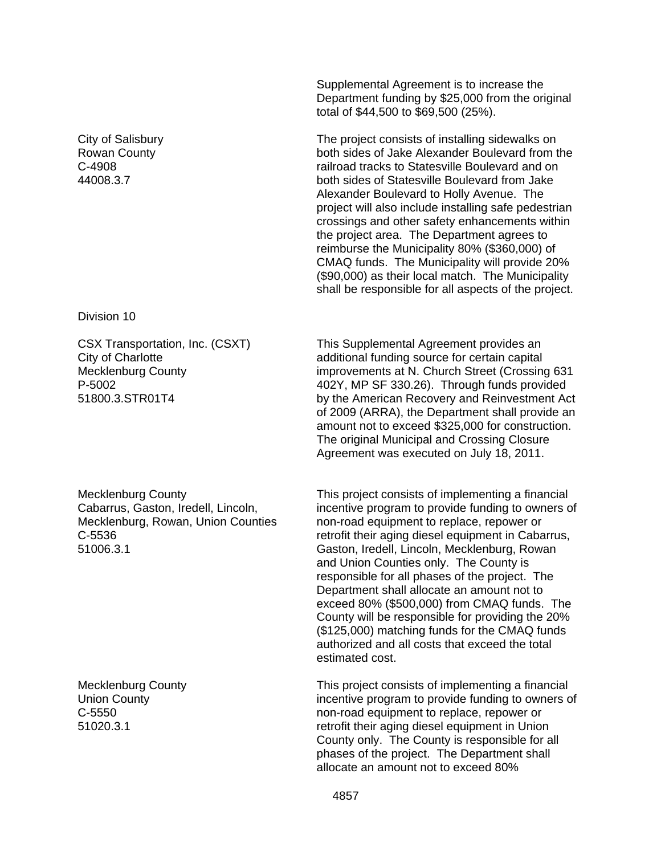City of Salisbury Rowan County C-4908 44008.3.7

Division 10

CSX Transportation, Inc. (CSXT) City of Charlotte Mecklenburg County P-5002 51800.3.STR01T4

Mecklenburg County Cabarrus, Gaston, Iredell, Lincoln, Mecklenburg, Rowan, Union Counties C-5536 51006.3.1

Mecklenburg County Union County C-5550 51020.3.1

Supplemental Agreement is to increase the Department funding by \$25,000 from the original total of \$44,500 to \$69,500 (25%).

The project consists of installing sidewalks on both sides of Jake Alexander Boulevard from the railroad tracks to Statesville Boulevard and on both sides of Statesville Boulevard from Jake Alexander Boulevard to Holly Avenue. The project will also include installing safe pedestrian crossings and other safety enhancements within the project area. The Department agrees to reimburse the Municipality 80% (\$360,000) of CMAQ funds. The Municipality will provide 20% (\$90,000) as their local match. The Municipality shall be responsible for all aspects of the project.

This Supplemental Agreement provides an additional funding source for certain capital improvements at N. Church Street (Crossing 631 402Y, MP SF 330.26). Through funds provided by the American Recovery and Reinvestment Act of 2009 (ARRA), the Department shall provide an amount not to exceed \$325,000 for construction. The original Municipal and Crossing Closure Agreement was executed on July 18, 2011.

This project consists of implementing a financial incentive program to provide funding to owners of non-road equipment to replace, repower or retrofit their aging diesel equipment in Cabarrus, Gaston, Iredell, Lincoln, Mecklenburg, Rowan and Union Counties only. The County is responsible for all phases of the project. The Department shall allocate an amount not to exceed 80% (\$500,000) from CMAQ funds. The County will be responsible for providing the 20% (\$125,000) matching funds for the CMAQ funds authorized and all costs that exceed the total estimated cost.

This project consists of implementing a financial incentive program to provide funding to owners of non-road equipment to replace, repower or retrofit their aging diesel equipment in Union County only. The County is responsible for all phases of the project. The Department shall allocate an amount not to exceed 80%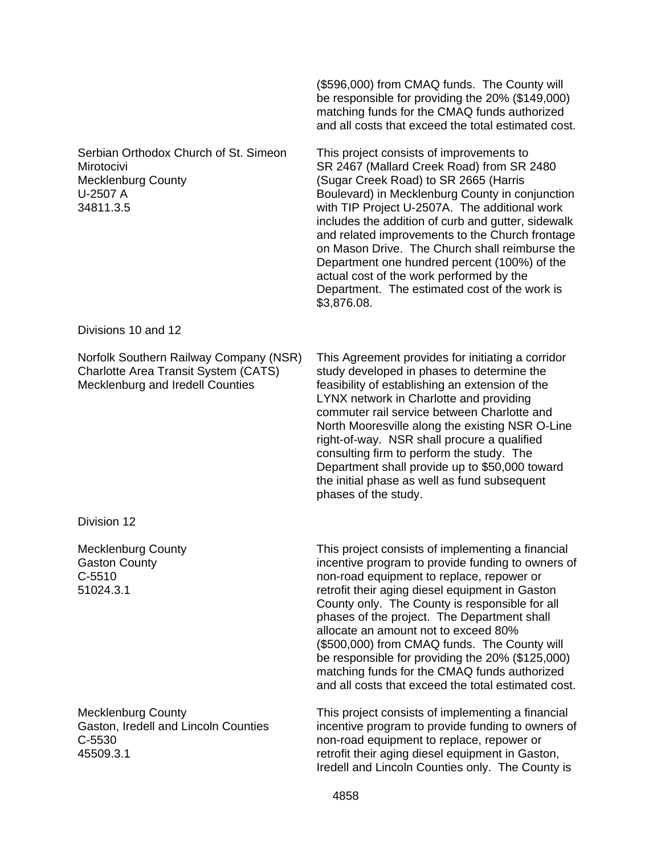|                                                                                                                    | (\$596,000) from CMAQ funds. The County will<br>be responsible for providing the 20% (\$149,000)<br>matching funds for the CMAQ funds authorized<br>and all costs that exceed the total estimated cost.                                                                                                                                                                                                                                                                                                                                                    |
|--------------------------------------------------------------------------------------------------------------------|------------------------------------------------------------------------------------------------------------------------------------------------------------------------------------------------------------------------------------------------------------------------------------------------------------------------------------------------------------------------------------------------------------------------------------------------------------------------------------------------------------------------------------------------------------|
| Serbian Orthodox Church of St. Simeon<br>Mirotocivi<br><b>Mecklenburg County</b><br>U-2507 A<br>34811.3.5          | This project consists of improvements to<br>SR 2467 (Mallard Creek Road) from SR 2480<br>(Sugar Creek Road) to SR 2665 (Harris<br>Boulevard) in Mecklenburg County in conjunction<br>with TIP Project U-2507A. The additional work<br>includes the addition of curb and gutter, sidewalk<br>and related improvements to the Church frontage<br>on Mason Drive. The Church shall reimburse the<br>Department one hundred percent (100%) of the<br>actual cost of the work performed by the<br>Department. The estimated cost of the work is<br>\$3,876.08.  |
| Divisions 10 and 12                                                                                                |                                                                                                                                                                                                                                                                                                                                                                                                                                                                                                                                                            |
| Norfolk Southern Railway Company (NSR)<br>Charlotte Area Transit System (CATS)<br>Mecklenburg and Iredell Counties | This Agreement provides for initiating a corridor<br>study developed in phases to determine the<br>feasibility of establishing an extension of the<br>LYNX network in Charlotte and providing<br>commuter rail service between Charlotte and<br>North Mooresville along the existing NSR O-Line<br>right-of-way. NSR shall procure a qualified<br>consulting firm to perform the study. The<br>Department shall provide up to \$50,000 toward<br>the initial phase as well as fund subsequent<br>phases of the study.                                      |
| Division 12                                                                                                        |                                                                                                                                                                                                                                                                                                                                                                                                                                                                                                                                                            |
| <b>Mecklenburg County</b><br><b>Gaston County</b><br>$C-5510$<br>51024.3.1                                         | This project consists of implementing a financial<br>incentive program to provide funding to owners of<br>non-road equipment to replace, repower or<br>retrofit their aging diesel equipment in Gaston<br>County only. The County is responsible for all<br>phases of the project. The Department shall<br>allocate an amount not to exceed 80%<br>(\$500,000) from CMAQ funds. The County will<br>be responsible for providing the 20% (\$125,000)<br>matching funds for the CMAQ funds authorized<br>and all costs that exceed the total estimated cost. |
| <b>Mecklenburg County</b><br>Gaston, Iredell and Lincoln Counties<br>C-5530<br>45509.3.1                           | This project consists of implementing a financial<br>incentive program to provide funding to owners of<br>non-road equipment to replace, repower or<br>retrofit their aging diesel equipment in Gaston,<br>Iredell and Lincoln Counties only. The County is                                                                                                                                                                                                                                                                                                |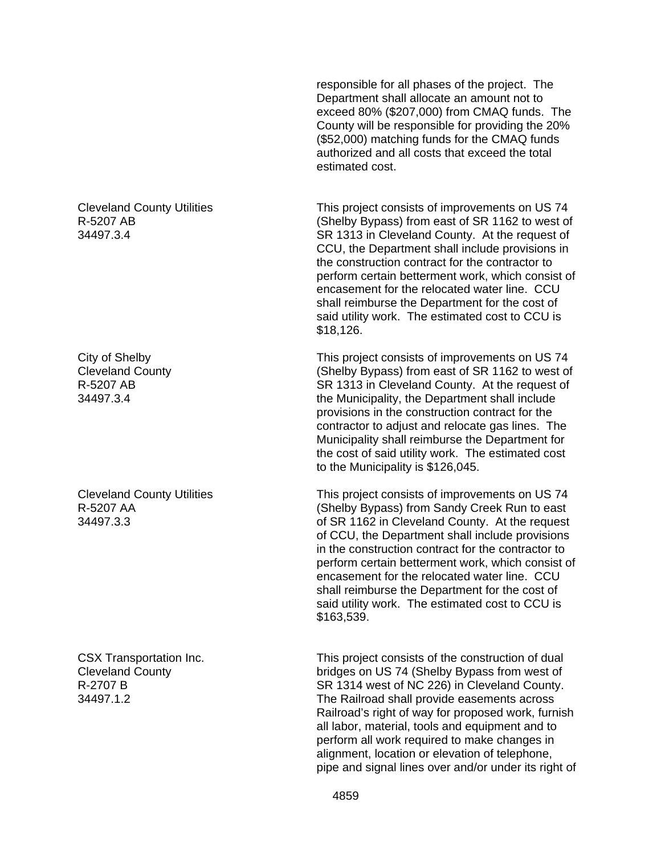responsible for all phases of the project. The Department shall allocate an amount not to exceed 80% (\$207,000) from CMAQ funds. The County will be responsible for providing the 20% (\$52,000) matching funds for the CMAQ funds authorized and all costs that exceed the total estimated cost.

This project consists of improvements on US 74 (Shelby Bypass) from east of SR 1162 to west of SR 1313 in Cleveland County. At the request of CCU, the Department shall include provisions in the construction contract for the contractor to perform certain betterment work, which consist of encasement for the relocated water line. CCU shall reimburse the Department for the cost of said utility work. The estimated cost to CCU is \$18,126.

This project consists of improvements on US 74 (Shelby Bypass) from east of SR 1162 to west of SR 1313 in Cleveland County. At the request of the Municipality, the Department shall include provisions in the construction contract for the contractor to adjust and relocate gas lines. The Municipality shall reimburse the Department for the cost of said utility work. The estimated cost to the Municipality is \$126,045.

This project consists of improvements on US 74 (Shelby Bypass) from Sandy Creek Run to east of SR 1162 in Cleveland County. At the request of CCU, the Department shall include provisions in the construction contract for the contractor to perform certain betterment work, which consist of encasement for the relocated water line. CCU shall reimburse the Department for the cost of said utility work. The estimated cost to CCU is \$163,539.

This project consists of the construction of dual bridges on US 74 (Shelby Bypass from west of SR 1314 west of NC 226) in Cleveland County. The Railroad shall provide easements across Railroad's right of way for proposed work, furnish all labor, material, tools and equipment and to perform all work required to make changes in alignment, location or elevation of telephone, pipe and signal lines over and/or under its right of

Cleveland County Utilities R-5207 AB 34497.3.4

City of Shelby Cleveland County R-5207 AB 34497.3.4

Cleveland County Utilities R-5207 AA 34497.3.3

CSX Transportation Inc. Cleveland County R-2707 B 34497.1.2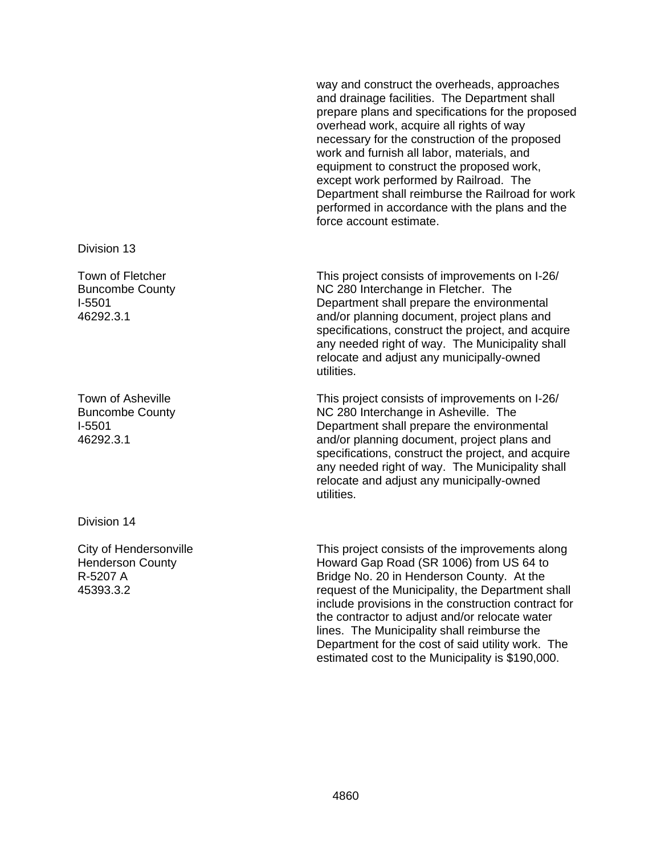way and construct the overheads, approaches and drainage facilities. The Department shall prepare plans and specifications for the proposed overhead work, acquire all rights of way necessary for the construction of the proposed work and furnish all labor, materials, and equipment to construct the proposed work, except work performed by Railroad. The Department shall reimburse the Railroad for work performed in accordance with the plans and the force account estimate.

This project consists of improvements on I-26/ NC 280 Interchange in Fletcher. The Department shall prepare the environmental and/or planning document, project plans and specifications, construct the project, and acquire any needed right of way. The Municipality shall relocate and adjust any municipally-owned utilities.

This project consists of improvements on I-26/ NC 280 Interchange in Asheville. The Department shall prepare the environmental and/or planning document, project plans and specifications, construct the project, and acquire any needed right of way. The Municipality shall relocate and adjust any municipally-owned utilities.

This project consists of the improvements along Howard Gap Road (SR 1006) from US 64 to Bridge No. 20 in Henderson County. At the request of the Municipality, the Department shall include provisions in the construction contract for the contractor to adjust and/or relocate water lines. The Municipality shall reimburse the Department for the cost of said utility work. The estimated cost to the Municipality is \$190,000.

#### Division 13

Town of Fletcher Buncombe County I-5501 46292.3.1

Town of Asheville Buncombe County I-5501 46292.3.1

Division 14

City of Hendersonville Henderson County R-5207 A 45393.3.2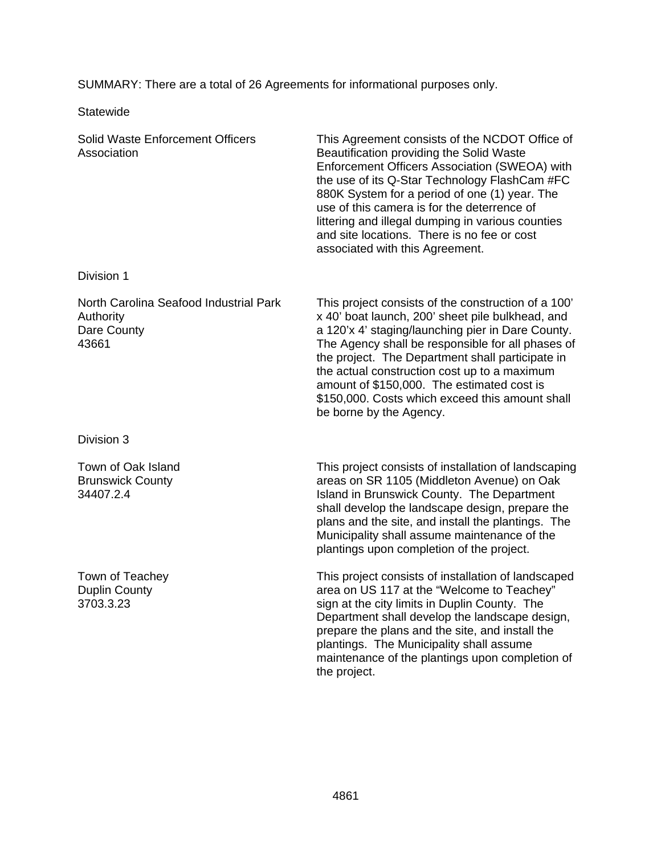SUMMARY: There are a total of 26 Agreements for informational purposes only.

**Statewide** 

| <b>Solid Waste Enforcement Officers</b><br>Association                      | This Agreement consists of the NCDOT Office of<br>Beautification providing the Solid Waste<br>Enforcement Officers Association (SWEOA) with<br>the use of its Q-Star Technology FlashCam #FC<br>880K System for a period of one (1) year. The<br>use of this camera is for the deterrence of<br>littering and illegal dumping in various counties<br>and site locations. There is no fee or cost<br>associated with this Agreement.               |
|-----------------------------------------------------------------------------|---------------------------------------------------------------------------------------------------------------------------------------------------------------------------------------------------------------------------------------------------------------------------------------------------------------------------------------------------------------------------------------------------------------------------------------------------|
| Division 1                                                                  |                                                                                                                                                                                                                                                                                                                                                                                                                                                   |
| North Carolina Seafood Industrial Park<br>Authority<br>Dare County<br>43661 | This project consists of the construction of a 100'<br>x 40' boat launch, 200' sheet pile bulkhead, and<br>a 120'x 4' staging/launching pier in Dare County.<br>The Agency shall be responsible for all phases of<br>the project. The Department shall participate in<br>the actual construction cost up to a maximum<br>amount of \$150,000. The estimated cost is<br>\$150,000. Costs which exceed this amount shall<br>be borne by the Agency. |
| Division 3                                                                  |                                                                                                                                                                                                                                                                                                                                                                                                                                                   |
| Town of Oak Island                                                          | This project consists of installation of landscaping                                                                                                                                                                                                                                                                                                                                                                                              |

Brunswick County 34407.2.4

Town of Teachey Duplin County 3703.3.23

areas on SR 1105 (Middleton Avenue) on Oak Island in Brunswick County. The Department shall develop the landscape design, prepare the plans and the site, and install the plantings. The Municipality shall assume maintenance of the plantings upon completion of the project.

This project consists of installation of landscaped area on US 117 at the "Welcome to Teachey" sign at the city limits in Duplin County. The Department shall develop the landscape design, prepare the plans and the site, and install the plantings. The Municipality shall assume maintenance of the plantings upon completion of the project.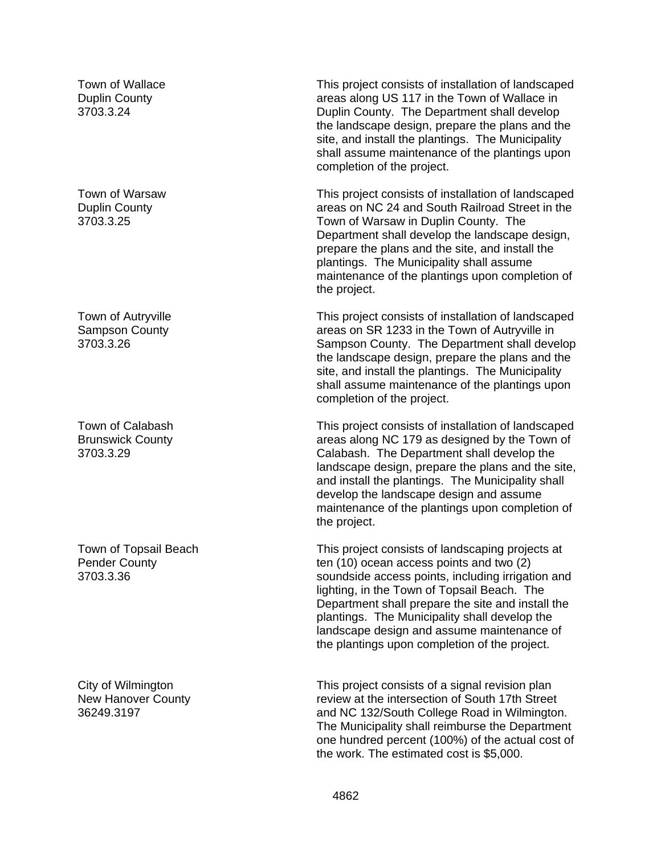Town of Wallace Duplin County 3703.3.24

Town of Warsaw Duplin County 3703.3.25

Town of Autryville Sampson County 3703.3.26

Town of Calabash Brunswick County 3703.3.29

Town of Topsail Beach Pender County 3703.3.36

City of Wilmington New Hanover County 36249.3197

This project consists of installation of landscaped areas along US 117 in the Town of Wallace in Duplin County. The Department shall develop the landscape design, prepare the plans and the site, and install the plantings. The Municipality shall assume maintenance of the plantings upon completion of the project.

This project consists of installation of landscaped areas on NC 24 and South Railroad Street in the Town of Warsaw in Duplin County. The Department shall develop the landscape design, prepare the plans and the site, and install the plantings. The Municipality shall assume maintenance of the plantings upon completion of the project.

This project consists of installation of landscaped areas on SR 1233 in the Town of Autryville in Sampson County. The Department shall develop the landscape design, prepare the plans and the site, and install the plantings. The Municipality shall assume maintenance of the plantings upon completion of the project.

This project consists of installation of landscaped areas along NC 179 as designed by the Town of Calabash. The Department shall develop the landscape design, prepare the plans and the site, and install the plantings. The Municipality shall develop the landscape design and assume maintenance of the plantings upon completion of the project.

This project consists of landscaping projects at ten (10) ocean access points and two (2) soundside access points, including irrigation and lighting, in the Town of Topsail Beach. The Department shall prepare the site and install the plantings. The Municipality shall develop the landscape design and assume maintenance of the plantings upon completion of the project.

This project consists of a signal revision plan review at the intersection of South 17th Street and NC 132/South College Road in Wilmington. The Municipality shall reimburse the Department one hundred percent (100%) of the actual cost of the work. The estimated cost is \$5,000.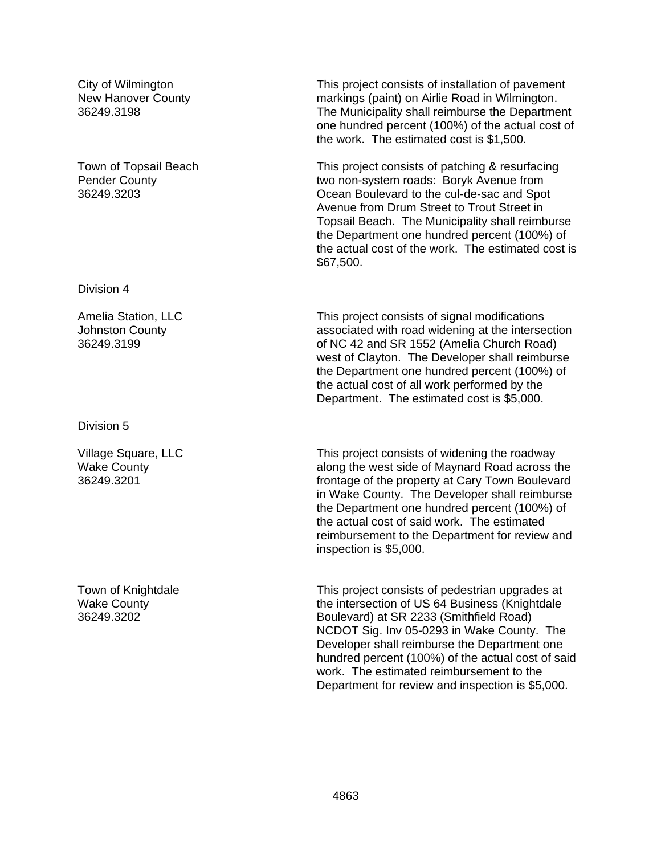City of Wilmington New Hanover County 36249.3198

Town of Topsail Beach Pender County 36249.3203

Division 4

Amelia Station, LLC Johnston County 36249.3199

Division 5

Village Square, LLC Wake County 36249.3201

Town of Knightdale Wake County 36249.3202

This project consists of installation of pavement markings (paint) on Airlie Road in Wilmington. The Municipality shall reimburse the Department one hundred percent (100%) of the actual cost of the work. The estimated cost is \$1,500.

This project consists of patching & resurfacing two non-system roads: Boryk Avenue from Ocean Boulevard to the cul-de-sac and Spot Avenue from Drum Street to Trout Street in Topsail Beach. The Municipality shall reimburse the Department one hundred percent (100%) of the actual cost of the work. The estimated cost is \$67,500.

This project consists of signal modifications associated with road widening at the intersection of NC 42 and SR 1552 (Amelia Church Road) west of Clayton. The Developer shall reimburse the Department one hundred percent (100%) of the actual cost of all work performed by the Department. The estimated cost is \$5,000.

This project consists of widening the roadway along the west side of Maynard Road across the frontage of the property at Cary Town Boulevard in Wake County. The Developer shall reimburse the Department one hundred percent (100%) of the actual cost of said work. The estimated reimbursement to the Department for review and inspection is \$5,000.

This project consists of pedestrian upgrades at the intersection of US 64 Business (Knightdale Boulevard) at SR 2233 (Smithfield Road) NCDOT Sig. Inv 05-0293 in Wake County. The Developer shall reimburse the Department one hundred percent (100%) of the actual cost of said work. The estimated reimbursement to the Department for review and inspection is \$5,000.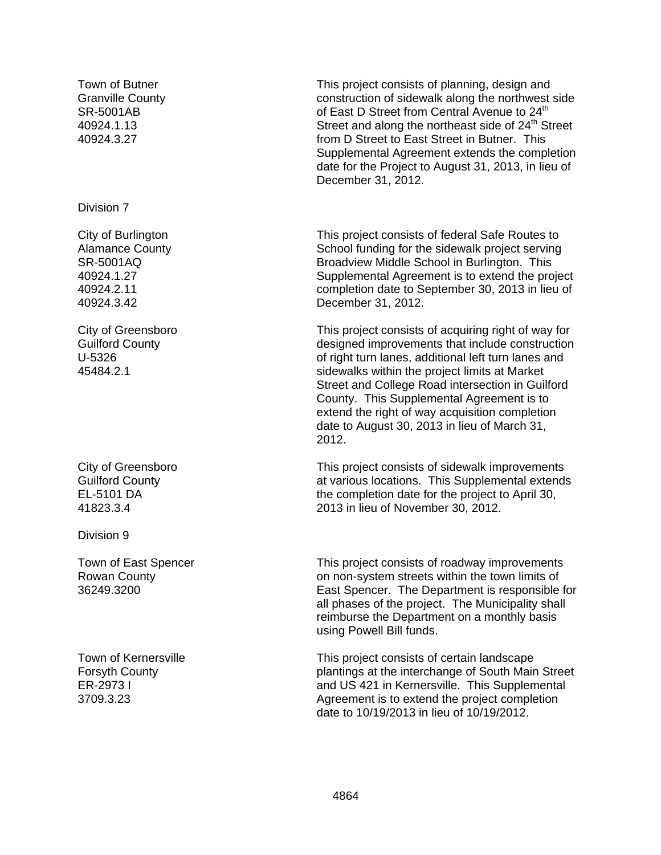Town of Butner Granville County SR-5001AB 40924.1.13 40924.3.27

Division 7

City of Burlington Alamance County SR-5001AQ 40924.1.27 40924.2.11 40924.3.42

City of Greensboro Guilford County U-5326 45484.2.1

City of Greensboro Guilford County EL-5101 DA 41823.3.4

Division 9

Town of East Spencer Rowan County 36249.3200

Town of Kernersville Forsyth County ER-2973 I 3709.3.23

This project consists of planning, design and construction of sidewalk along the northwest side of East D Street from Central Avenue to 24<sup>th</sup> Street and along the northeast side of 24<sup>th</sup> Street from D Street to East Street in Butner. This Supplemental Agreement extends the completion date for the Project to August 31, 2013, in lieu of December 31, 2012.

This project consists of federal Safe Routes to School funding for the sidewalk project serving Broadview Middle School in Burlington. This Supplemental Agreement is to extend the project completion date to September 30, 2013 in lieu of December 31, 2012.

This project consists of acquiring right of way for designed improvements that include construction of right turn lanes, additional left turn lanes and sidewalks within the project limits at Market Street and College Road intersection in Guilford County. This Supplemental Agreement is to extend the right of way acquisition completion date to August 30, 2013 in lieu of March 31, 2012.

This project consists of sidewalk improvements at various locations. This Supplemental extends the completion date for the project to April 30, 2013 in lieu of November 30, 2012.

This project consists of roadway improvements on non-system streets within the town limits of East Spencer. The Department is responsible for all phases of the project. The Municipality shall reimburse the Department on a monthly basis using Powell Bill funds.

This project consists of certain landscape plantings at the interchange of South Main Street and US 421 in Kernersville. This Supplemental Agreement is to extend the project completion date to 10/19/2013 in lieu of 10/19/2012.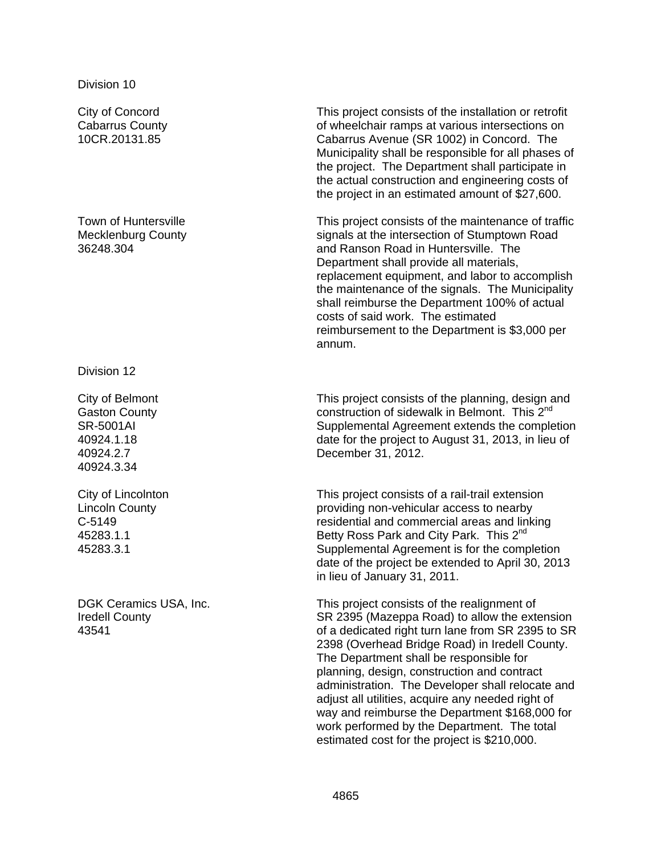City of Concord Cabarrus County 10CR.20131.85

Town of Huntersville Mecklenburg County 36248.304

Division 12

City of Belmont Gaston County SR-5001AI 40924.1.18 40924.2.7 40924.3.34

City of Lincolnton Lincoln County C-5149 45283.1.1 45283.3.1

DGK Ceramics USA, Inc. Iredell County 43541

This project consists of the installation or retrofit of wheelchair ramps at various intersections on Cabarrus Avenue (SR 1002) in Concord. The Municipality shall be responsible for all phases of the project. The Department shall participate in the actual construction and engineering costs of the project in an estimated amount of \$27,600.

This project consists of the maintenance of traffic signals at the intersection of Stumptown Road and Ranson Road in Huntersville. The Department shall provide all materials, replacement equipment, and labor to accomplish the maintenance of the signals. The Municipality shall reimburse the Department 100% of actual costs of said work. The estimated reimbursement to the Department is \$3,000 per annum.

This project consists of the planning, design and construction of sidewalk in Belmont. This 2<sup>nd</sup> Supplemental Agreement extends the completion date for the project to August 31, 2013, in lieu of December 31, 2012.

This project consists of a rail-trail extension providing non-vehicular access to nearby residential and commercial areas and linking Betty Ross Park and City Park. This 2<sup>nd</sup> Supplemental Agreement is for the completion date of the project be extended to April 30, 2013 in lieu of January 31, 2011.

This project consists of the realignment of SR 2395 (Mazeppa Road) to allow the extension of a dedicated right turn lane from SR 2395 to SR 2398 (Overhead Bridge Road) in Iredell County. The Department shall be responsible for planning, design, construction and contract administration. The Developer shall relocate and adjust all utilities, acquire any needed right of way and reimburse the Department \$168,000 for work performed by the Department. The total estimated cost for the project is \$210,000.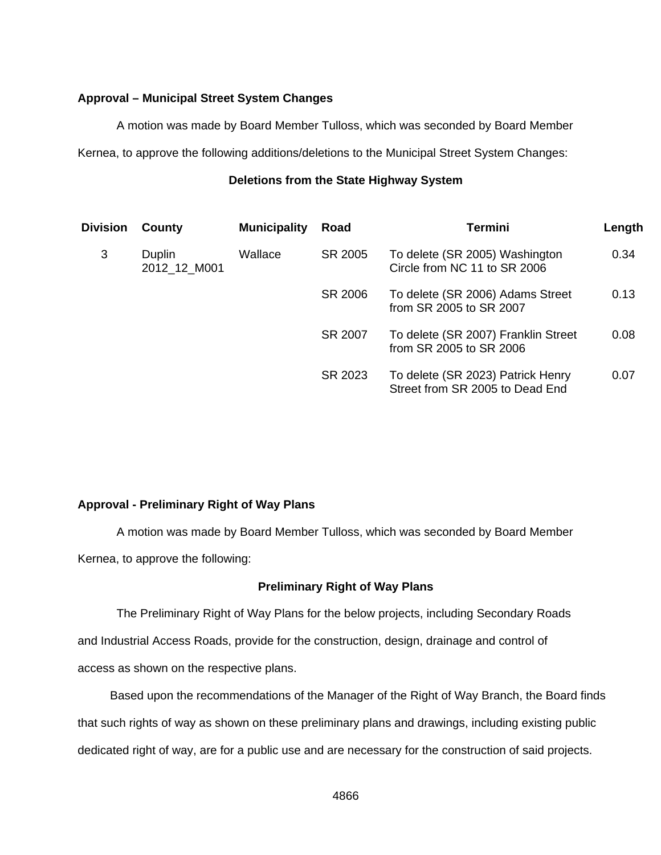## **Approval – Municipal Street System Changes**

A motion was made by Board Member Tulloss, which was seconded by Board Member

Kernea, to approve the following additions/deletions to the Municipal Street System Changes:

## **Deletions from the State Highway System**

| Division | County                 | <b>Municipality</b> | Road                               | <b>Termini</b>                                                       | Length |
|----------|------------------------|---------------------|------------------------------------|----------------------------------------------------------------------|--------|
| 3        | Duplin<br>2012 12 M001 | Wallace             | SR 2005                            | To delete (SR 2005) Washington<br>Circle from NC 11 to SR 2006       | 0.34   |
|          |                        |                     | SR 2006                            | To delete (SR 2006) Adams Street<br>from SR 2005 to SR 2007          | 0.13   |
|          |                        |                     | SR 2007<br>from SR 2005 to SR 2006 | To delete (SR 2007) Franklin Street                                  | 0.08   |
|          |                        |                     | SR 2023                            | To delete (SR 2023) Patrick Henry<br>Street from SR 2005 to Dead End | 0.07   |

## **Approval - Preliminary Right of Way Plans**

 A motion was made by Board Member Tulloss, which was seconded by Board Member Kernea, to approve the following:

## **Preliminary Right of Way Plans**

 The Preliminary Right of Way Plans for the below projects, including Secondary Roads and Industrial Access Roads, provide for the construction, design, drainage and control of access as shown on the respective plans.

 Based upon the recommendations of the Manager of the Right of Way Branch, the Board finds that such rights of way as shown on these preliminary plans and drawings, including existing public dedicated right of way, are for a public use and are necessary for the construction of said projects.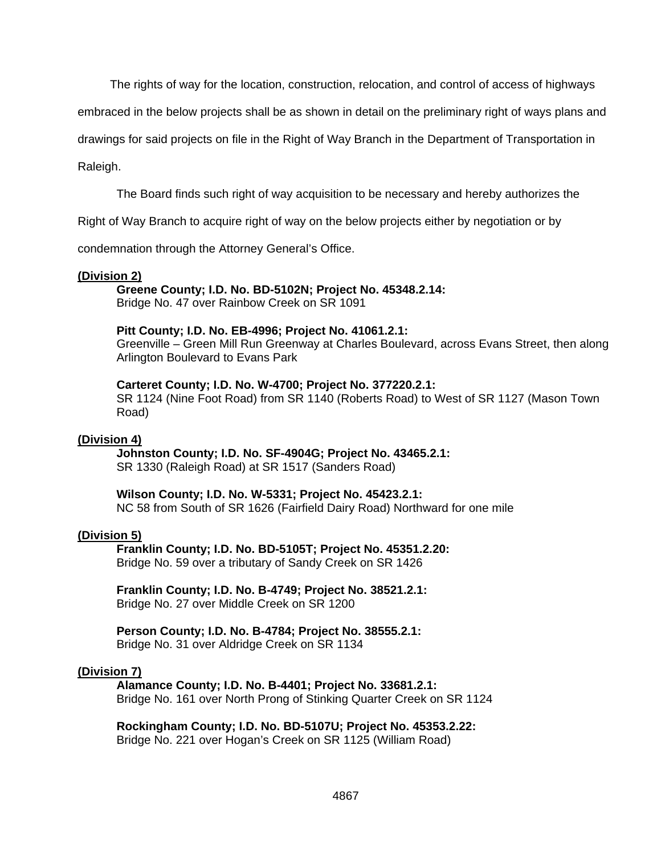The rights of way for the location, construction, relocation, and control of access of highways

embraced in the below projects shall be as shown in detail on the preliminary right of ways plans and

drawings for said projects on file in the Right of Way Branch in the Department of Transportation in

Raleigh.

The Board finds such right of way acquisition to be necessary and hereby authorizes the

Right of Way Branch to acquire right of way on the below projects either by negotiation or by

condemnation through the Attorney General's Office.

#### **(Division 2)**

 **Greene County; I.D. No. BD-5102N; Project No. 45348.2.14:**  Bridge No. 47 over Rainbow Creek on SR 1091

**Pitt County; I.D. No. EB-4996; Project No. 41061.2.1:** 

Greenville – Green Mill Run Greenway at Charles Boulevard, across Evans Street, then along Arlington Boulevard to Evans Park

#### **Carteret County; I.D. No. W-4700; Project No. 377220.2.1:**

SR 1124 (Nine Foot Road) from SR 1140 (Roberts Road) to West of SR 1127 (Mason Town Road)

#### **(Division 4)**

 **Johnston County; I.D. No. SF-4904G; Project No. 43465.2.1:**  SR 1330 (Raleigh Road) at SR 1517 (Sanders Road)

#### **Wilson County; I.D. No. W-5331; Project No. 45423.2.1:**

NC 58 from South of SR 1626 (Fairfield Dairy Road) Northward for one mile

#### **(Division 5)**

 **Franklin County; I.D. No. BD-5105T; Project No. 45351.2.20:**  Bridge No. 59 over a tributary of Sandy Creek on SR 1426

**Franklin County; I.D. No. B-4749; Project No. 38521.2.1:**  Bridge No. 27 over Middle Creek on SR 1200

#### **Person County; I.D. No. B-4784; Project No. 38555.2.1:**  Bridge No. 31 over Aldridge Creek on SR 1134

#### **(Division 7)**

 **Alamance County; I.D. No. B-4401; Project No. 33681.2.1:**  Bridge No. 161 over North Prong of Stinking Quarter Creek on SR 1124

**Rockingham County; I.D. No. BD-5107U; Project No. 45353.2.22:**  Bridge No. 221 over Hogan's Creek on SR 1125 (William Road)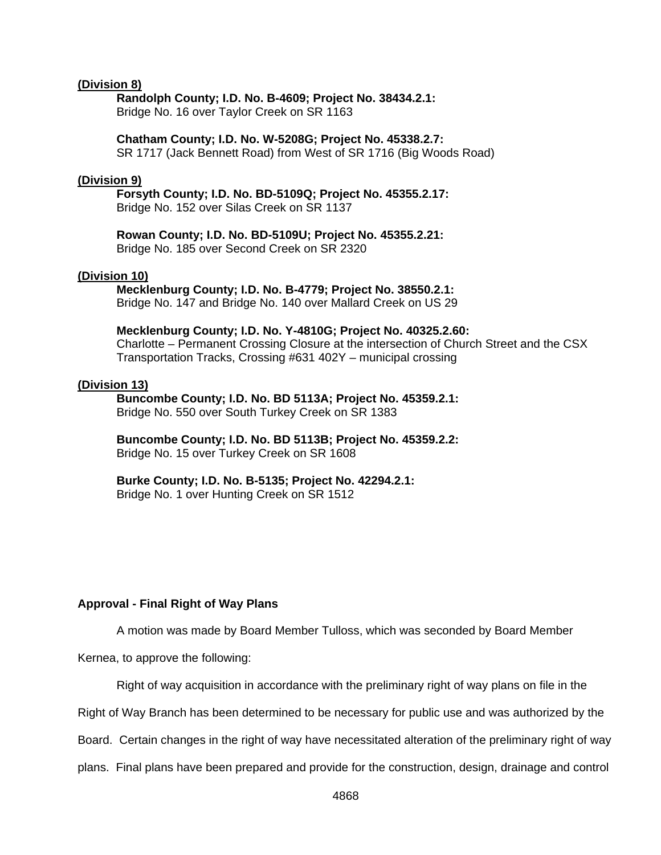#### **(Division 8)**

 **Randolph County; I.D. No. B-4609; Project No. 38434.2.1:**  Bridge No. 16 over Taylor Creek on SR 1163

## **Chatham County; I.D. No. W-5208G; Project No. 45338.2.7:**

SR 1717 (Jack Bennett Road) from West of SR 1716 (Big Woods Road)

#### **(Division 9)**

 **Forsyth County; I.D. No. BD-5109Q; Project No. 45355.2.17:**  Bridge No. 152 over Silas Creek on SR 1137

**Rowan County; I.D. No. BD-5109U; Project No. 45355.2.21:**  Bridge No. 185 over Second Creek on SR 2320

#### **(Division 10)**

 **Mecklenburg County; I.D. No. B-4779; Project No. 38550.2.1:** 

Bridge No. 147 and Bridge No. 140 over Mallard Creek on US 29

**Mecklenburg County; I.D. No. Y-4810G; Project No. 40325.2.60:**  Charlotte – Permanent Crossing Closure at the intersection of Church Street and the CSX Transportation Tracks, Crossing #631 402Y – municipal crossing

#### **(Division 13)**

 **Buncombe County; I.D. No. BD 5113A; Project No. 45359.2.1:**  Bridge No. 550 over South Turkey Creek on SR 1383

**Buncombe County; I.D. No. BD 5113B; Project No. 45359.2.2:**  Bridge No. 15 over Turkey Creek on SR 1608

**Burke County; I.D. No. B-5135; Project No. 42294.2.1:**  Bridge No. 1 over Hunting Creek on SR 1512

#### **Approval - Final Right of Way Plans**

A motion was made by Board Member Tulloss, which was seconded by Board Member

Kernea, to approve the following:

Right of way acquisition in accordance with the preliminary right of way plans on file in the

Right of Way Branch has been determined to be necessary for public use and was authorized by the

Board. Certain changes in the right of way have necessitated alteration of the preliminary right of way

plans. Final plans have been prepared and provide for the construction, design, drainage and control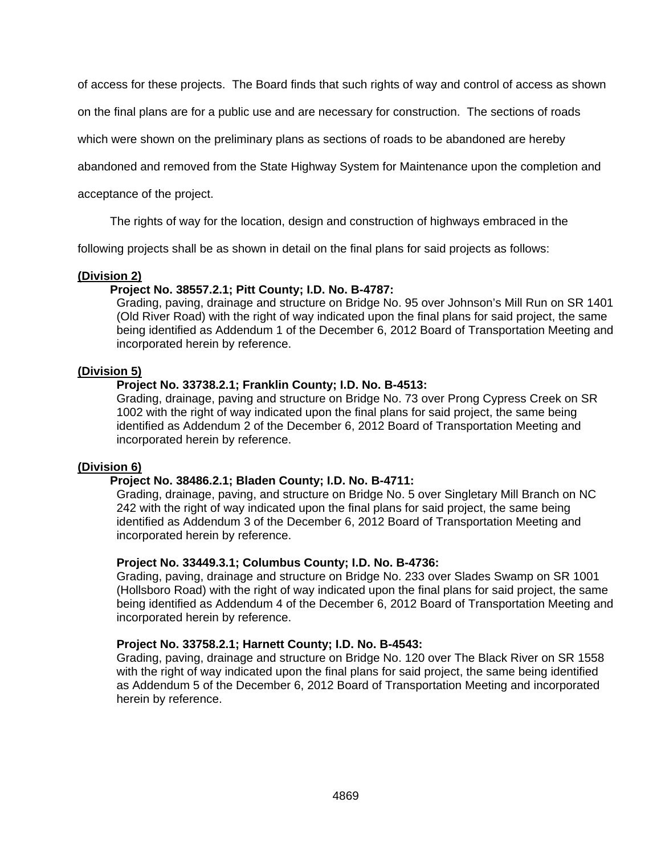of access for these projects. The Board finds that such rights of way and control of access as shown

on the final plans are for a public use and are necessary for construction. The sections of roads

which were shown on the preliminary plans as sections of roads to be abandoned are hereby

abandoned and removed from the State Highway System for Maintenance upon the completion and

acceptance of the project.

The rights of way for the location, design and construction of highways embraced in the

following projects shall be as shown in detail on the final plans for said projects as follows:

#### **(Division 2)**

## **Project No. 38557.2.1; Pitt County; I.D. No. B-4787:**

Grading, paving, drainage and structure on Bridge No. 95 over Johnson's Mill Run on SR 1401 (Old River Road) with the right of way indicated upon the final plans for said project, the same being identified as Addendum 1 of the December 6, 2012 Board of Transportation Meeting and incorporated herein by reference.

## **(Division 5)**

## **Project No. 33738.2.1; Franklin County; I.D. No. B-4513:**

Grading, drainage, paving and structure on Bridge No. 73 over Prong Cypress Creek on SR 1002 with the right of way indicated upon the final plans for said project, the same being identified as Addendum 2 of the December 6, 2012 Board of Transportation Meeting and incorporated herein by reference.

#### **(Division 6)**

## **Project No. 38486.2.1; Bladen County; I.D. No. B-4711:**

Grading, drainage, paving, and structure on Bridge No. 5 over Singletary Mill Branch on NC 242 with the right of way indicated upon the final plans for said project, the same being identified as Addendum 3 of the December 6, 2012 Board of Transportation Meeting and incorporated herein by reference.

#### **Project No. 33449.3.1; Columbus County; I.D. No. B-4736:**

Grading, paving, drainage and structure on Bridge No. 233 over Slades Swamp on SR 1001 (Hollsboro Road) with the right of way indicated upon the final plans for said project, the same being identified as Addendum 4 of the December 6, 2012 Board of Transportation Meeting and incorporated herein by reference.

## **Project No. 33758.2.1; Harnett County; I.D. No. B-4543:**

Grading, paving, drainage and structure on Bridge No. 120 over The Black River on SR 1558 with the right of way indicated upon the final plans for said project, the same being identified as Addendum 5 of the December 6, 2012 Board of Transportation Meeting and incorporated herein by reference.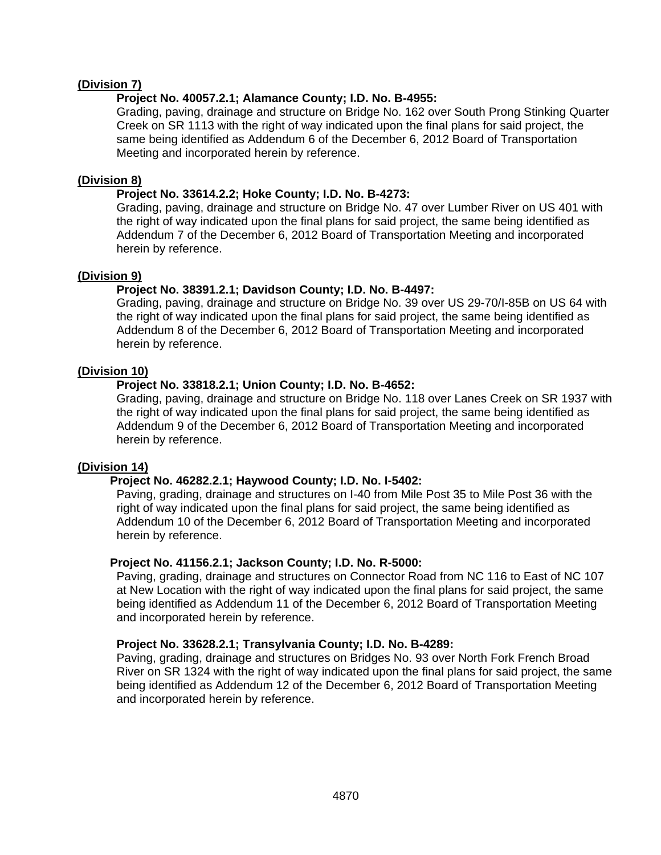# **(Division 7)**

## **Project No. 40057.2.1; Alamance County; I.D. No. B-4955:**

Grading, paving, drainage and structure on Bridge No. 162 over South Prong Stinking Quarter Creek on SR 1113 with the right of way indicated upon the final plans for said project, the same being identified as Addendum 6 of the December 6, 2012 Board of Transportation Meeting and incorporated herein by reference.

# **(Division 8)**

# **Project No. 33614.2.2; Hoke County; I.D. No. B-4273:**

Grading, paving, drainage and structure on Bridge No. 47 over Lumber River on US 401 with the right of way indicated upon the final plans for said project, the same being identified as Addendum 7 of the December 6, 2012 Board of Transportation Meeting and incorporated herein by reference.

# **(Division 9)**

# **Project No. 38391.2.1; Davidson County; I.D. No. B-4497:**

Grading, paving, drainage and structure on Bridge No. 39 over US 29-70/I-85B on US 64 with the right of way indicated upon the final plans for said project, the same being identified as Addendum 8 of the December 6, 2012 Board of Transportation Meeting and incorporated herein by reference.

# **(Division 10)**

# **Project No. 33818.2.1; Union County; I.D. No. B-4652:**

Grading, paving, drainage and structure on Bridge No. 118 over Lanes Creek on SR 1937 with the right of way indicated upon the final plans for said project, the same being identified as Addendum 9 of the December 6, 2012 Board of Transportation Meeting and incorporated herein by reference.

## **(Division 14)**

# **Project No. 46282.2.1; Haywood County; I.D. No. I-5402:**

Paving, grading, drainage and structures on I-40 from Mile Post 35 to Mile Post 36 with the right of way indicated upon the final plans for said project, the same being identified as Addendum 10 of the December 6, 2012 Board of Transportation Meeting and incorporated herein by reference.

## **Project No. 41156.2.1; Jackson County; I.D. No. R-5000:**

Paving, grading, drainage and structures on Connector Road from NC 116 to East of NC 107 at New Location with the right of way indicated upon the final plans for said project, the same being identified as Addendum 11 of the December 6, 2012 Board of Transportation Meeting and incorporated herein by reference.

## **Project No. 33628.2.1; Transylvania County; I.D. No. B-4289:**

Paving, grading, drainage and structures on Bridges No. 93 over North Fork French Broad River on SR 1324 with the right of way indicated upon the final plans for said project, the same being identified as Addendum 12 of the December 6, 2012 Board of Transportation Meeting and incorporated herein by reference.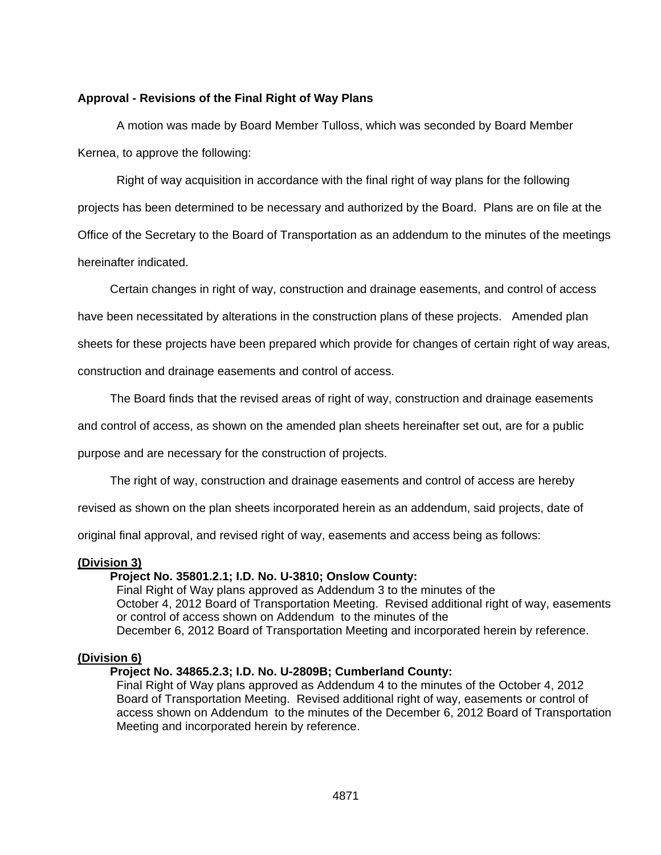## **Approval - Revisions of the Final Right of Way Plans**

A motion was made by Board Member Tulloss, which was seconded by Board Member Kernea, to approve the following:

Right of way acquisition in accordance with the final right of way plans for the following projects has been determined to be necessary and authorized by the Board. Plans are on file at the Office of the Secretary to the Board of Transportation as an addendum to the minutes of the meetings hereinafter indicated.

Certain changes in right of way, construction and drainage easements, and control of access

have been necessitated by alterations in the construction plans of these projects. Amended plan

sheets for these projects have been prepared which provide for changes of certain right of way areas,

construction and drainage easements and control of access.

The Board finds that the revised areas of right of way, construction and drainage easements

and control of access, as shown on the amended plan sheets hereinafter set out, are for a public

purpose and are necessary for the construction of projects.

The right of way, construction and drainage easements and control of access are hereby

revised as shown on the plan sheets incorporated herein as an addendum, said projects, date of

original final approval, and revised right of way, easements and access being as follows:

## **(Division 3)**

## **Project No. 35801.2.1; I.D. No. U-3810; Onslow County:**

Final Right of Way plans approved as Addendum 3 to the minutes of the October 4, 2012 Board of Transportation Meeting. Revised additional right of way, easements or control of access shown on Addendum to the minutes of the December 6, 2012 Board of Transportation Meeting and incorporated herein by reference.

# **(Division 6)**

# **Project No. 34865.2.3; I.D. No. U-2809B; Cumberland County:**

Final Right of Way plans approved as Addendum 4 to the minutes of the October 4, 2012 Board of Transportation Meeting. Revised additional right of way, easements or control of access shown on Addendum to the minutes of the December 6, 2012 Board of Transportation Meeting and incorporated herein by reference.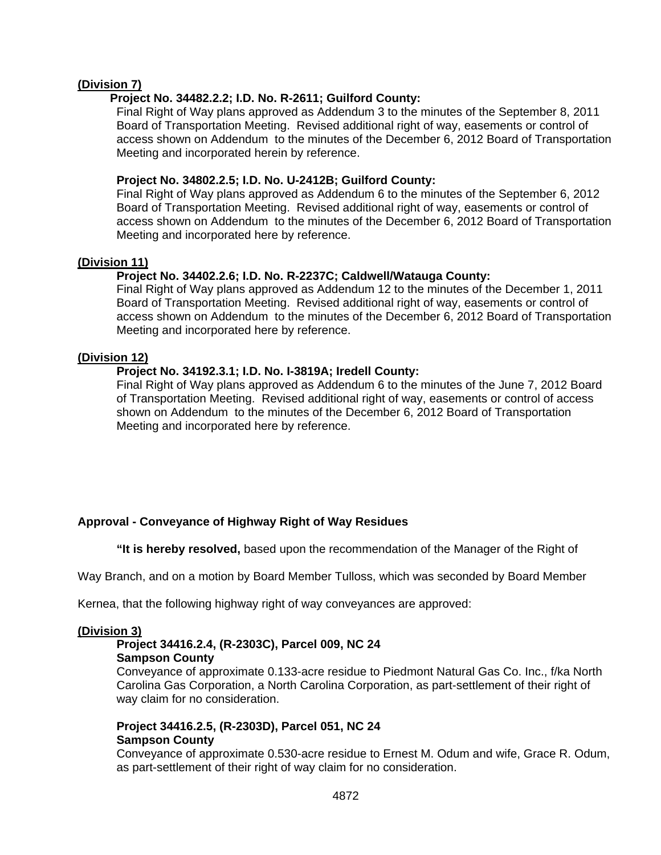# **(Division 7)**

# **Project No. 34482.2.2; I.D. No. R-2611; Guilford County:**

Final Right of Way plans approved as Addendum 3 to the minutes of the September 8, 2011 Board of Transportation Meeting. Revised additional right of way, easements or control of access shown on Addendum to the minutes of the December 6, 2012 Board of Transportation Meeting and incorporated herein by reference.

# **Project No. 34802.2.5; I.D. No. U-2412B; Guilford County:**

Final Right of Way plans approved as Addendum 6 to the minutes of the September 6, 2012 Board of Transportation Meeting. Revised additional right of way, easements or control of access shown on Addendum to the minutes of the December 6, 2012 Board of Transportation Meeting and incorporated here by reference.

## **(Division 11)**

# **Project No. 34402.2.6; I.D. No. R-2237C; Caldwell/Watauga County:**

Final Right of Way plans approved as Addendum 12 to the minutes of the December 1, 2011 Board of Transportation Meeting. Revised additional right of way, easements or control of access shown on Addendum to the minutes of the December 6, 2012 Board of Transportation Meeting and incorporated here by reference.

# **(Division 12)**

# **Project No. 34192.3.1; I.D. No. I-3819A; Iredell County:**

Final Right of Way plans approved as Addendum 6 to the minutes of the June 7, 2012 Board of Transportation Meeting. Revised additional right of way, easements or control of access shown on Addendum to the minutes of the December 6, 2012 Board of Transportation Meeting and incorporated here by reference.

# **Approval - Conveyance of Highway Right of Way Residues**

 **"It is hereby resolved,** based upon the recommendation of the Manager of the Right of

Way Branch, and on a motion by Board Member Tulloss, which was seconded by Board Member

Kernea, that the following highway right of way conveyances are approved:

## **(Division 3)**

## **Project 34416.2.4, (R-2303C), Parcel 009, NC 24 Sampson County**

Conveyance of approximate 0.133-acre residue to Piedmont Natural Gas Co. Inc., f/ka North Carolina Gas Corporation, a North Carolina Corporation, as part-settlement of their right of way claim for no consideration.

## **Project 34416.2.5, (R-2303D), Parcel 051, NC 24 Sampson County**

Conveyance of approximate 0.530-acre residue to Ernest M. Odum and wife, Grace R. Odum, as part-settlement of their right of way claim for no consideration.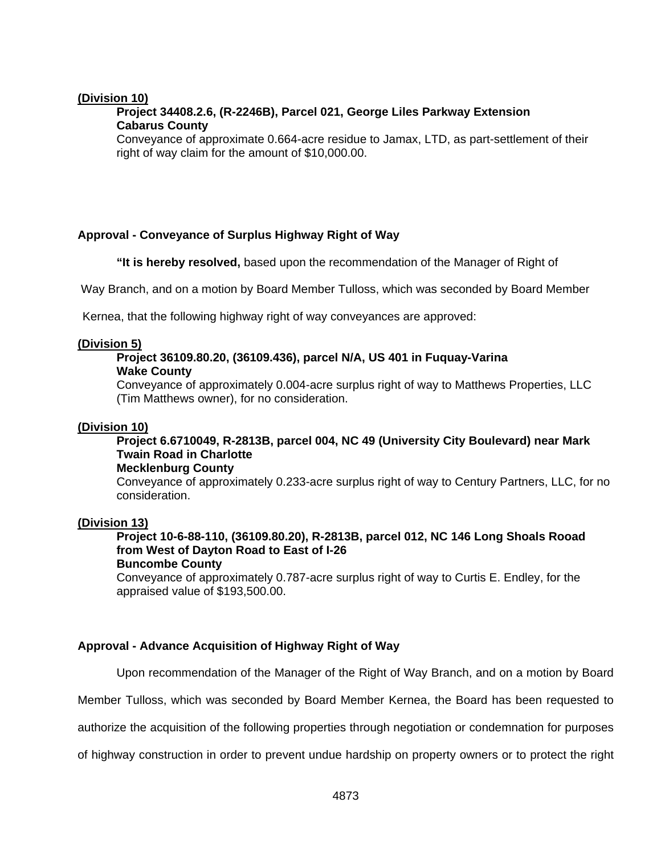## **(Division 10)**

# **Project 34408.2.6, (R-2246B), Parcel 021, George Liles Parkway Extension Cabarus County**

Conveyance of approximate 0.664-acre residue to Jamax, LTD, as part-settlement of their right of way claim for the amount of \$10,000.00.

# **Approval - Conveyance of Surplus Highway Right of Way**

 **"It is hereby resolved,** based upon the recommendation of the Manager of Right of

Way Branch, and on a motion by Board Member Tulloss, which was seconded by Board Member

Kernea, that the following highway right of way conveyances are approved:

## **(Division 5)**

## **Project 36109.80.20, (36109.436), parcel N/A, US 401 in Fuquay-Varina Wake County**

Conveyance of approximately 0.004-acre surplus right of way to Matthews Properties, LLC (Tim Matthews owner), for no consideration.

## **(Division 10)**

# **Project 6.6710049, R-2813B, parcel 004, NC 49 (University City Boulevard) near Mark Twain Road in Charlotte**

#### **Mecklenburg County**

Conveyance of approximately 0.233-acre surplus right of way to Century Partners, LLC, for no consideration.

## **(Division 13)**

# **Project 10-6-88-110, (36109.80.20), R-2813B, parcel 012, NC 146 Long Shoals Rooad from West of Dayton Road to East of I-26**

**Buncombe County** 

Conveyance of approximately 0.787-acre surplus right of way to Curtis E. Endley, for the appraised value of \$193,500.00.

# **Approval - Advance Acquisition of Highway Right of Way**

Upon recommendation of the Manager of the Right of Way Branch, and on a motion by Board

Member Tulloss, which was seconded by Board Member Kernea, the Board has been requested to

authorize the acquisition of the following properties through negotiation or condemnation for purposes

of highway construction in order to prevent undue hardship on property owners or to protect the right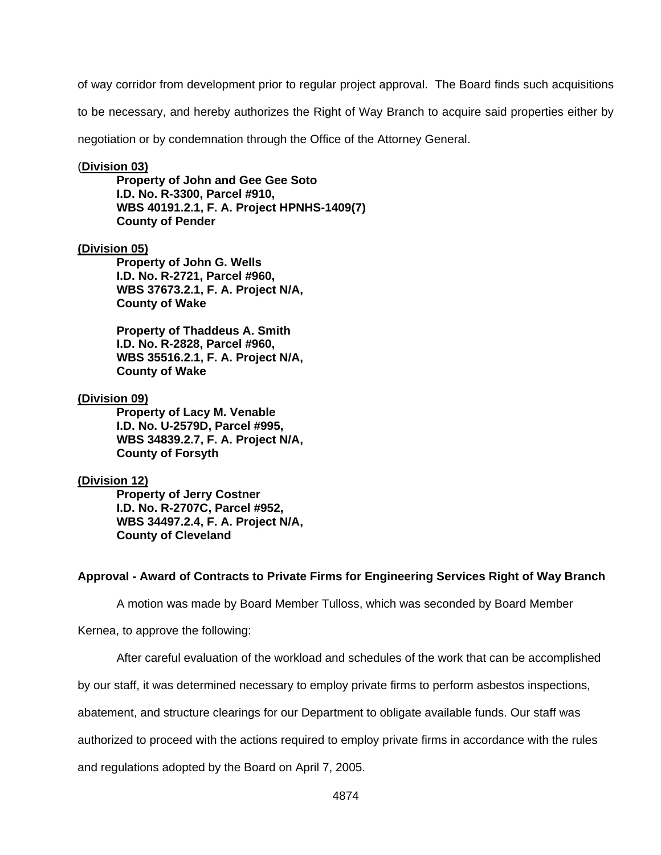of way corridor from development prior to regular project approval. The Board finds such acquisitions

to be necessary, and hereby authorizes the Right of Way Branch to acquire said properties either by

negotiation or by condemnation through the Office of the Attorney General.

#### (**Division 03)**

**Property of John and Gee Gee Soto I.D. No. R-3300, Parcel #910, WBS 40191.2.1, F. A. Project HPNHS-1409(7) County of Pender** 

## **(Division 05)**

**Property of John G. Wells I.D. No. R-2721, Parcel #960, WBS 37673.2.1, F. A. Project N/A, County of Wake** 

**Property of Thaddeus A. Smith I.D. No. R-2828, Parcel #960, WBS 35516.2.1, F. A. Project N/A, County of Wake** 

#### **(Division 09)**

**Property of Lacy M. Venable I.D. No. U-2579D, Parcel #995, WBS 34839.2.7, F. A. Project N/A, County of Forsyth** 

#### **(Division 12)**

**Property of Jerry Costner I.D. No. R-2707C, Parcel #952, WBS 34497.2.4, F. A. Project N/A, County of Cleveland** 

#### **Approval - Award of Contracts to Private Firms for Engineering Services Right of Way Branch**

A motion was made by Board Member Tulloss, which was seconded by Board Member

Kernea, to approve the following:

After careful evaluation of the workload and schedules of the work that can be accomplished

by our staff, it was determined necessary to employ private firms to perform asbestos inspections,

abatement, and structure clearings for our Department to obligate available funds. Our staff was

authorized to proceed with the actions required to employ private firms in accordance with the rules

and regulations adopted by the Board on April 7, 2005.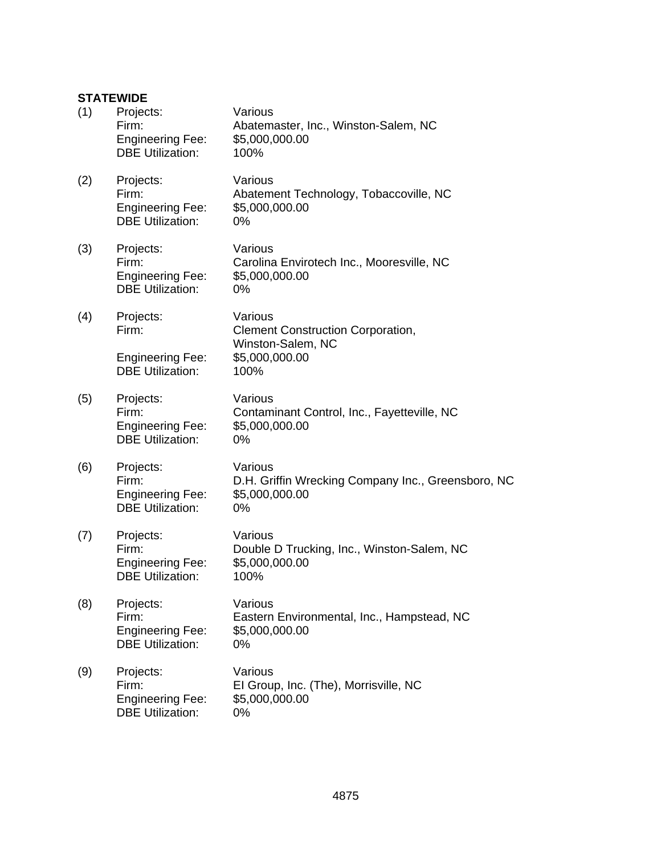# **STATEWIDE**

| (1) | Projects:<br>Firm:<br><b>Engineering Fee:</b><br><b>DBE Utilization:</b> | Various<br>Abatemaster, Inc., Winston-Salem, NC<br>\$5,000,000.00<br>100%             |
|-----|--------------------------------------------------------------------------|---------------------------------------------------------------------------------------|
| (2) | Projects:<br>Firm:<br><b>Engineering Fee:</b><br><b>DBE Utilization:</b> | Various<br>Abatement Technology, Tobaccoville, NC<br>\$5,000,000.00<br>$0\%$          |
| (3) | Projects:<br>Firm:<br><b>Engineering Fee:</b><br><b>DBE Utilization:</b> | Various<br>Carolina Envirotech Inc., Mooresville, NC<br>\$5,000,000.00<br>0%          |
| (4) | Projects:<br>Firm:                                                       | Various<br><b>Clement Construction Corporation,</b>                                   |
|     | <b>Engineering Fee:</b><br><b>DBE Utilization:</b>                       | Winston-Salem, NC<br>\$5,000,000.00<br>100%                                           |
| (5) | Projects:<br>Firm:<br><b>Engineering Fee:</b><br><b>DBE Utilization:</b> | Various<br>Contaminant Control, Inc., Fayetteville, NC<br>\$5,000,000.00<br>0%        |
| (6) | Projects:<br>Firm:<br><b>Engineering Fee:</b><br><b>DBE Utilization:</b> | Various<br>D.H. Griffin Wrecking Company Inc., Greensboro, NC<br>\$5,000,000.00<br>0% |
| (7) | Projects:<br>Firm:<br><b>Engineering Fee:</b><br><b>DBE Utilization:</b> | Various<br>Double D Trucking, Inc., Winston-Salem, NC<br>\$5,000,000.00<br>100%       |
| (8) | Projects:<br>Firm:<br><b>Engineering Fee:</b><br><b>DBE Utilization:</b> | Various<br>Eastern Environmental, Inc., Hampstead, NC<br>\$5,000,000.00<br>$0\%$      |
| (9) | Projects:<br>Firm:<br><b>Engineering Fee:</b><br><b>DBE Utilization:</b> | Various<br>El Group, Inc. (The), Morrisville, NC<br>\$5,000,000.00<br>0%              |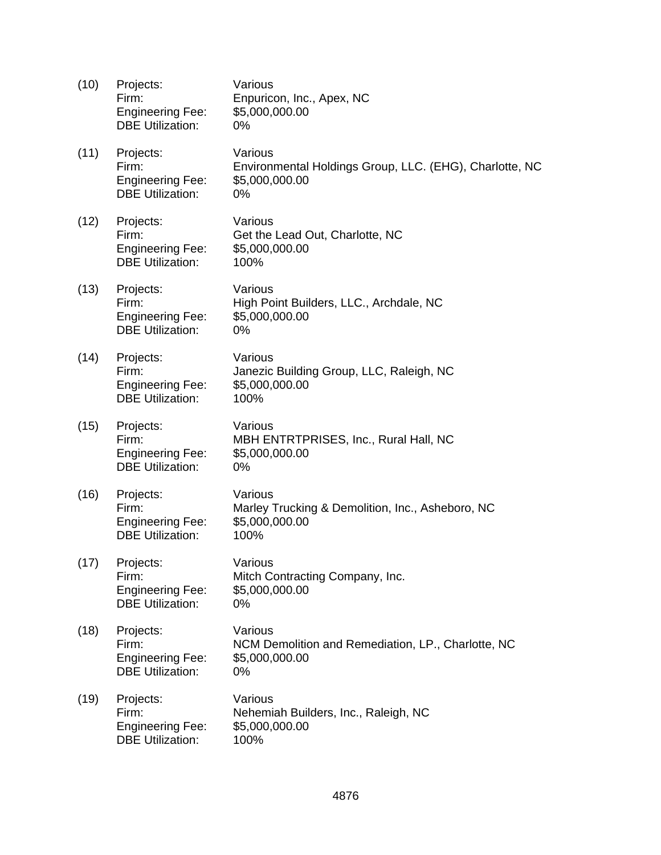| (10) | Projects:<br>Firm:<br><b>Engineering Fee:</b><br><b>DBE Utilization:</b> | Various<br>Enpuricon, Inc., Apex, NC<br>\$5,000,000.00<br>$0\%$                            |
|------|--------------------------------------------------------------------------|--------------------------------------------------------------------------------------------|
| (11) | Projects:<br>Firm:<br><b>Engineering Fee:</b><br><b>DBE Utilization:</b> | Various<br>Environmental Holdings Group, LLC. (EHG), Charlotte, NC<br>\$5,000,000.00<br>0% |
| (12) | Projects:<br>Firm:<br><b>Engineering Fee:</b><br><b>DBE Utilization:</b> | Various<br>Get the Lead Out, Charlotte, NC<br>\$5,000,000.00<br>100%                       |
| (13) | Projects:<br>Firm:<br><b>Engineering Fee:</b><br><b>DBE Utilization:</b> | Various<br>High Point Builders, LLC., Archdale, NC<br>\$5,000,000.00<br>0%                 |
| (14) | Projects:<br>Firm:<br><b>Engineering Fee:</b><br><b>DBE Utilization:</b> | Various<br>Janezic Building Group, LLC, Raleigh, NC<br>\$5,000,000.00<br>100%              |
| (15) | Projects:<br>Firm:<br><b>Engineering Fee:</b><br><b>DBE Utilization:</b> | Various<br>MBH ENTRTPRISES, Inc., Rural Hall, NC<br>\$5,000,000.00<br>0%                   |
| (16) | Projects:<br>Firm:<br><b>Engineering Fee:</b><br><b>DBE Utilization:</b> | Various<br>Marley Trucking & Demolition, Inc., Asheboro, NC<br>\$5,000,000.00<br>100%      |
| (17) | Projects:<br>Firm:<br><b>Engineering Fee:</b><br><b>DBE Utilization:</b> | Various<br>Mitch Contracting Company, Inc.<br>\$5,000,000.00<br>0%                         |
| (18) | Projects:<br>Firm:<br><b>Engineering Fee:</b><br><b>DBE Utilization:</b> | Various<br>NCM Demolition and Remediation, LP., Charlotte, NC<br>\$5,000,000.00<br>0%      |
| (19) | Projects:<br>Firm:<br><b>Engineering Fee:</b><br><b>DBE Utilization:</b> | Various<br>Nehemiah Builders, Inc., Raleigh, NC<br>\$5,000,000.00<br>100%                  |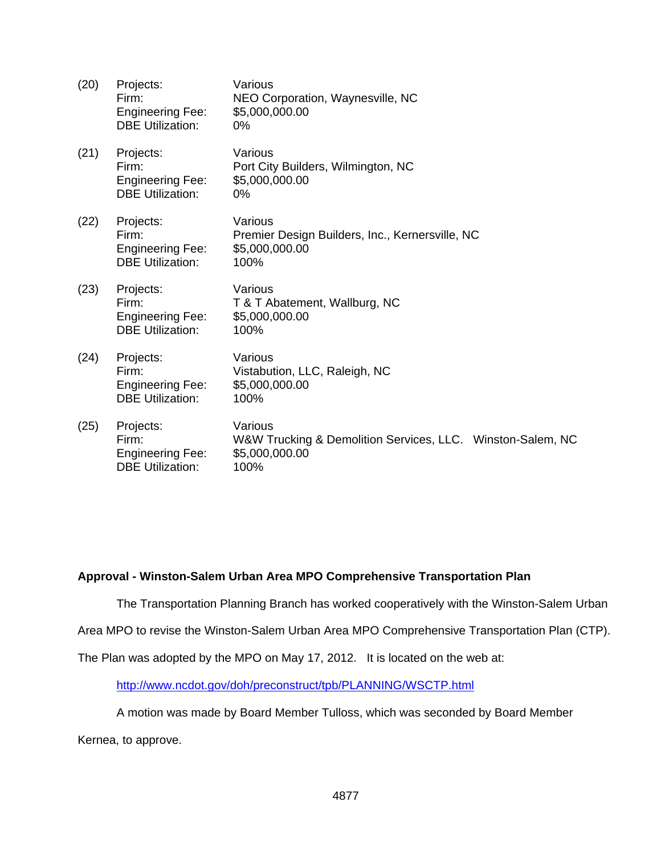| (20) | Projects:<br>Firm:<br><b>Engineering Fee:</b><br><b>DBE Utilization:</b> | Various<br>NEO Corporation, Waynesville, NC<br>\$5,000,000.00<br>$0\%$                          |
|------|--------------------------------------------------------------------------|-------------------------------------------------------------------------------------------------|
| (21) | Projects:<br>Firm:<br><b>Engineering Fee:</b><br><b>DBE Utilization:</b> | Various<br>Port City Builders, Wilmington, NC<br>\$5,000,000.00<br>0%                           |
| (22) | Projects:<br>Firm:<br><b>Engineering Fee:</b><br><b>DBE Utilization:</b> | Various<br>Premier Design Builders, Inc., Kernersville, NC<br>\$5,000,000.00<br>100%            |
| (23) | Projects:<br>Firm:<br><b>Engineering Fee:</b><br><b>DBE Utilization:</b> | Various<br>T & T Abatement, Wallburg, NC<br>\$5,000,000.00<br>100%                              |
| (24) | Projects:<br>Firm:<br><b>Engineering Fee:</b><br><b>DBE Utilization:</b> | Various<br>Vistabution, LLC, Raleigh, NC<br>\$5,000,000.00<br>100%                              |
| (25) | Projects:<br>Firm:<br><b>Engineering Fee:</b><br><b>DBE Utilization:</b> | Various<br>W&W Trucking & Demolition Services, LLC. Winston-Salem, NC<br>\$5,000,000.00<br>100% |

# **Approval - Winston-Salem Urban Area MPO Comprehensive Transportation Plan**

The Transportation Planning Branch has worked cooperatively with the Winston-Salem Urban

Area MPO to revise the Winston-Salem Urban Area MPO Comprehensive Transportation Plan (CTP).

The Plan was adopted by the MPO on May 17, 2012. It is located on the web at:

http://www.ncdot.gov/doh/preconstruct/tpb/PLANNING/WSCTP.html

A motion was made by Board Member Tulloss, which was seconded by Board Member

Kernea, to approve.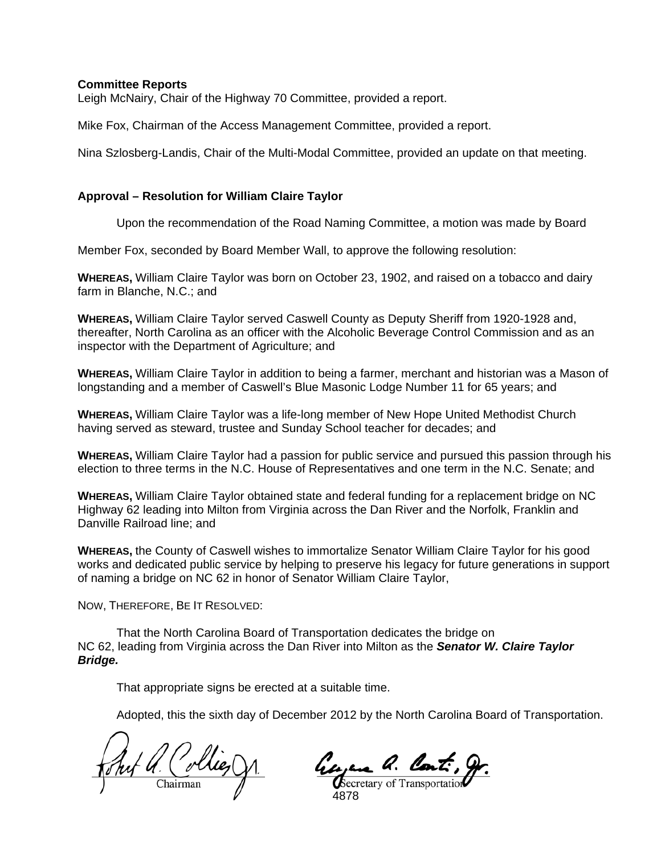#### **Committee Reports**

Leigh McNairy, Chair of the Highway 70 Committee, provided a report.

Mike Fox, Chairman of the Access Management Committee, provided a report.

Nina Szlosberg-Landis, Chair of the Multi-Modal Committee, provided an update on that meeting.

#### **Approval – Resolution for William Claire Taylor**

Upon the recommendation of the Road Naming Committee, a motion was made by Board

Member Fox, seconded by Board Member Wall, to approve the following resolution:

**WHEREAS,** William Claire Taylor was born on October 23, 1902, and raised on a tobacco and dairy farm in Blanche, N.C.; and

**WHEREAS,** William Claire Taylor served Caswell County as Deputy Sheriff from 1920-1928 and, thereafter, North Carolina as an officer with the Alcoholic Beverage Control Commission and as an inspector with the Department of Agriculture; and

**WHEREAS,** William Claire Taylor in addition to being a farmer, merchant and historian was a Mason of longstanding and a member of Caswell's Blue Masonic Lodge Number 11 for 65 years; and

**WHEREAS,** William Claire Taylor was a life-long member of New Hope United Methodist Church having served as steward, trustee and Sunday School teacher for decades; and

**WHEREAS,** William Claire Taylor had a passion for public service and pursued this passion through his election to three terms in the N.C. House of Representatives and one term in the N.C. Senate; and

**WHEREAS,** William Claire Taylor obtained state and federal funding for a replacement bridge on NC Highway 62 leading into Milton from Virginia across the Dan River and the Norfolk, Franklin and Danville Railroad line; and

**WHEREAS,** the County of Caswell wishes to immortalize Senator William Claire Taylor for his good works and dedicated public service by helping to preserve his legacy for future generations in support of naming a bridge on NC 62 in honor of Senator William Claire Taylor,

NOW, THEREFORE, BE IT RESOLVED:

That the North Carolina Board of Transportation dedicates the bridge on NC 62, leading from Virginia across the Dan River into Milton as the *Senator W. Claire Taylor Bridge.* 

That appropriate signs be erected at a suitable time.

Juf a. Collie,

Georgene a. Cont. 9

4878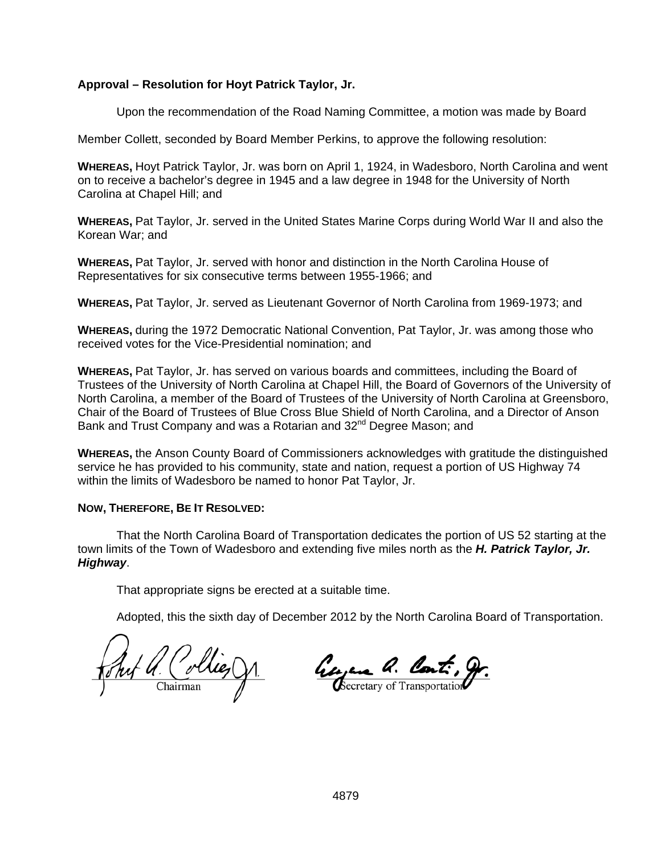# **Approval – Resolution for Hoyt Patrick Taylor, Jr.**

Upon the recommendation of the Road Naming Committee, a motion was made by Board

Member Collett, seconded by Board Member Perkins, to approve the following resolution:

**WHEREAS,** Hoyt Patrick Taylor, Jr. was born on April 1, 1924, in Wadesboro, North Carolina and went on to receive a bachelor's degree in 1945 and a law degree in 1948 for the University of North Carolina at Chapel Hill; and

**WHEREAS,** Pat Taylor, Jr. served in the United States Marine Corps during World War II and also the Korean War; and

**WHEREAS,** Pat Taylor, Jr. served with honor and distinction in the North Carolina House of Representatives for six consecutive terms between 1955-1966; and

**WHEREAS,** Pat Taylor, Jr. served as Lieutenant Governor of North Carolina from 1969-1973; and

**WHEREAS,** during the 1972 Democratic National Convention, Pat Taylor, Jr. was among those who received votes for the Vice-Presidential nomination; and

**WHEREAS,** Pat Taylor, Jr. has served on various boards and committees, including the Board of Trustees of the University of North Carolina at Chapel Hill, the Board of Governors of the University of North Carolina, a member of the Board of Trustees of the University of North Carolina at Greensboro, Chair of the Board of Trustees of Blue Cross Blue Shield of North Carolina, and a Director of Anson Bank and Trust Company and was a Rotarian and 32<sup>nd</sup> Degree Mason; and

**WHEREAS,** the Anson County Board of Commissioners acknowledges with gratitude the distinguished service he has provided to his community, state and nation, request a portion of US Highway 74 within the limits of Wadesboro be named to honor Pat Taylor, Jr.

## **NOW, THEREFORE, BE IT RESOLVED:**

That the North Carolina Board of Transportation dedicates the portion of US 52 starting at the town limits of the Town of Wadesboro and extending five miles north as the *H. Patrick Taylor, Jr. Highway*.

That appropriate signs be erected at a suitable time.

H. Collier

George a. Cont. gr.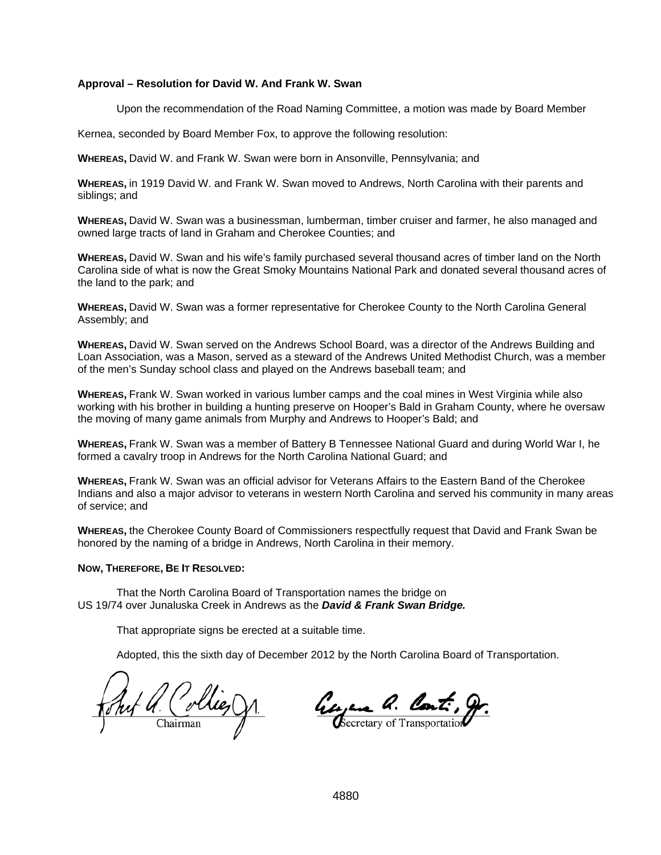#### **Approval – Resolution for David W. And Frank W. Swan**

Upon the recommendation of the Road Naming Committee, a motion was made by Board Member

Kernea, seconded by Board Member Fox, to approve the following resolution:

**WHEREAS,** David W. and Frank W. Swan were born in Ansonville, Pennsylvania; and

**WHEREAS,** in 1919 David W. and Frank W. Swan moved to Andrews, North Carolina with their parents and siblings; and

**WHEREAS,** David W. Swan was a businessman, lumberman, timber cruiser and farmer, he also managed and owned large tracts of land in Graham and Cherokee Counties; and

**WHEREAS,** David W. Swan and his wife's family purchased several thousand acres of timber land on the North Carolina side of what is now the Great Smoky Mountains National Park and donated several thousand acres of the land to the park; and

**WHEREAS,** David W. Swan was a former representative for Cherokee County to the North Carolina General Assembly; and

**WHEREAS,** David W. Swan served on the Andrews School Board, was a director of the Andrews Building and Loan Association, was a Mason, served as a steward of the Andrews United Methodist Church, was a member of the men's Sunday school class and played on the Andrews baseball team; and

**WHEREAS,** Frank W. Swan worked in various lumber camps and the coal mines in West Virginia while also working with his brother in building a hunting preserve on Hooper's Bald in Graham County, where he oversaw the moving of many game animals from Murphy and Andrews to Hooper's Bald; and

**WHEREAS,** Frank W. Swan was a member of Battery B Tennessee National Guard and during World War I, he formed a cavalry troop in Andrews for the North Carolina National Guard; and

**WHEREAS,** Frank W. Swan was an official advisor for Veterans Affairs to the Eastern Band of the Cherokee Indians and also a major advisor to veterans in western North Carolina and served his community in many areas of service; and

**WHEREAS,** the Cherokee County Board of Commissioners respectfully request that David and Frank Swan be honored by the naming of a bridge in Andrews, North Carolina in their memory.

#### **NOW, THEREFORE, BE IT RESOLVED:**

That the North Carolina Board of Transportation names the bridge on US 19/74 over Junaluska Creek in Andrews as the *David & Frank Swan Bridge.*

That appropriate signs be erected at a suitable time.

Wieg Chairman

Georgene Q. Cont.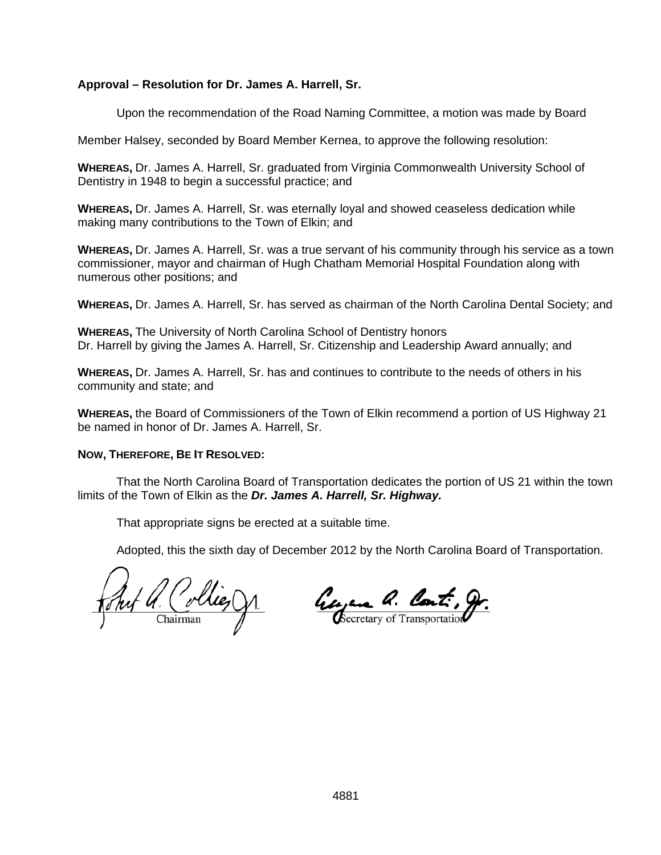# **Approval – Resolution for Dr. James A. Harrell, Sr.**

Upon the recommendation of the Road Naming Committee, a motion was made by Board

Member Halsey, seconded by Board Member Kernea, to approve the following resolution:

**WHEREAS,** Dr. James A. Harrell, Sr. graduated from Virginia Commonwealth University School of Dentistry in 1948 to begin a successful practice; and

**WHEREAS,** Dr. James A. Harrell, Sr. was eternally loyal and showed ceaseless dedication while making many contributions to the Town of Elkin; and

**WHEREAS,** Dr. James A. Harrell, Sr. was a true servant of his community through his service as a town commissioner, mayor and chairman of Hugh Chatham Memorial Hospital Foundation along with numerous other positions; and

**WHEREAS,** Dr. James A. Harrell, Sr. has served as chairman of the North Carolina Dental Society; and

**WHEREAS,** The University of North Carolina School of Dentistry honors Dr. Harrell by giving the James A. Harrell, Sr. Citizenship and Leadership Award annually; and

**WHEREAS,** Dr. James A. Harrell, Sr. has and continues to contribute to the needs of others in his community and state; and

**WHEREAS,** the Board of Commissioners of the Town of Elkin recommend a portion of US Highway 21 be named in honor of Dr. James A. Harrell, Sr.

## **NOW, THEREFORE, BE IT RESOLVED:**

That the North Carolina Board of Transportation dedicates the portion of US 21 within the town limits of the Town of Elkin as the *Dr. James A. Harrell, Sr. Highway.* 

That appropriate signs be erected at a suitable time.

<u>Ant a. Collies gr.</u>

Georgene Q. Cont. gr.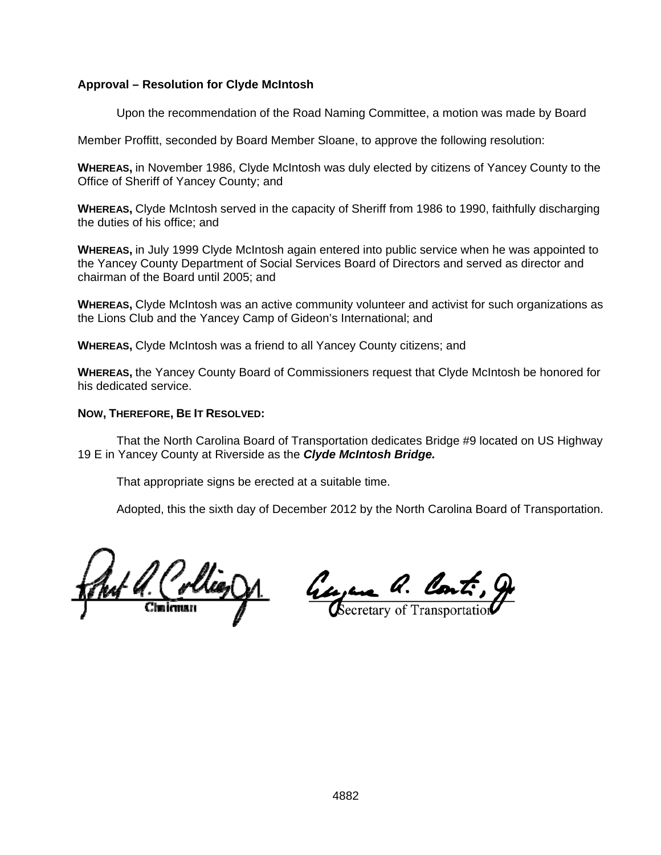# **Approval – Resolution for Clyde McIntosh**

Upon the recommendation of the Road Naming Committee, a motion was made by Board

Member Proffitt, seconded by Board Member Sloane, to approve the following resolution:

**WHEREAS,** in November 1986, Clyde McIntosh was duly elected by citizens of Yancey County to the Office of Sheriff of Yancey County; and

**WHEREAS,** Clyde McIntosh served in the capacity of Sheriff from 1986 to 1990, faithfully discharging the duties of his office; and

**WHEREAS,** in July 1999 Clyde McIntosh again entered into public service when he was appointed to the Yancey County Department of Social Services Board of Directors and served as director and chairman of the Board until 2005; and

**WHEREAS,** Clyde McIntosh was an active community volunteer and activist for such organizations as the Lions Club and the Yancey Camp of Gideon's International; and

**WHEREAS,** Clyde McIntosh was a friend to all Yancey County citizens; and

**WHEREAS,** the Yancey County Board of Commissioners request that Clyde McIntosh be honored for his dedicated service.

## **NOW, THEREFORE, BE IT RESOLVED:**

That the North Carolina Board of Transportation dedicates Bridge #9 located on US Highway 19 E in Yancey County at Riverside as the *Clyde McIntosh Bridge.* 

That appropriate signs be erected at a suitable time.

Collier DA ľ

<u>Georgene Q. Cont.</u>